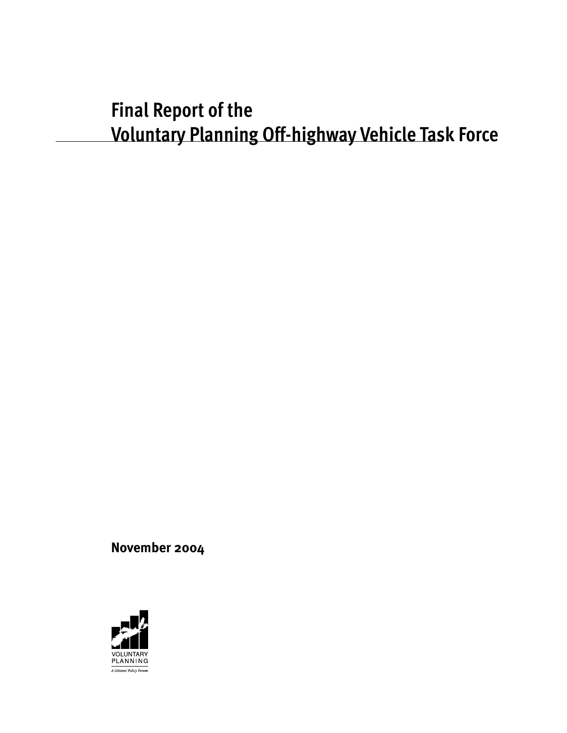# **Final Report of the Voluntary Planning Off-highway Vehicle Task Force**

**November 2004**

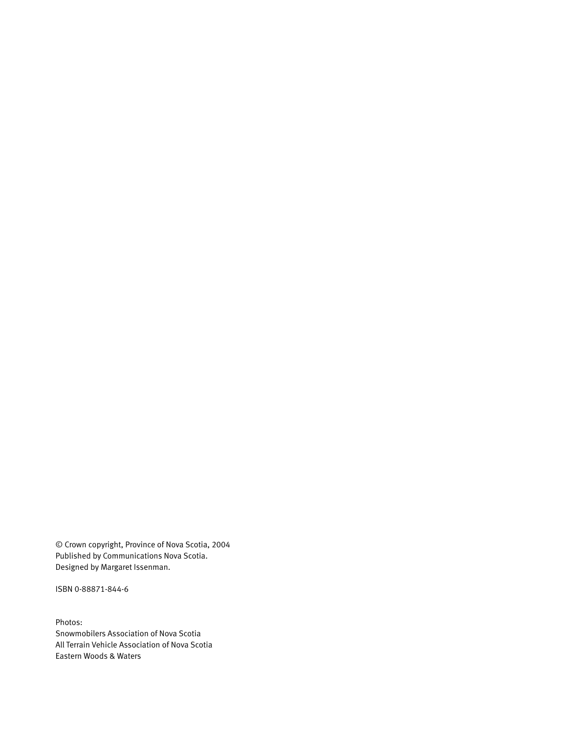© Crown copyright, Province of Nova Scotia, 2004 Published by Communications Nova Scotia. Designed by Margaret Issenman.

ISBN 0-88871-844-6

Photos: Snowmobilers Association of Nova Scotia All Terrain Vehicle Association of Nova Scotia Eastern Woods & Waters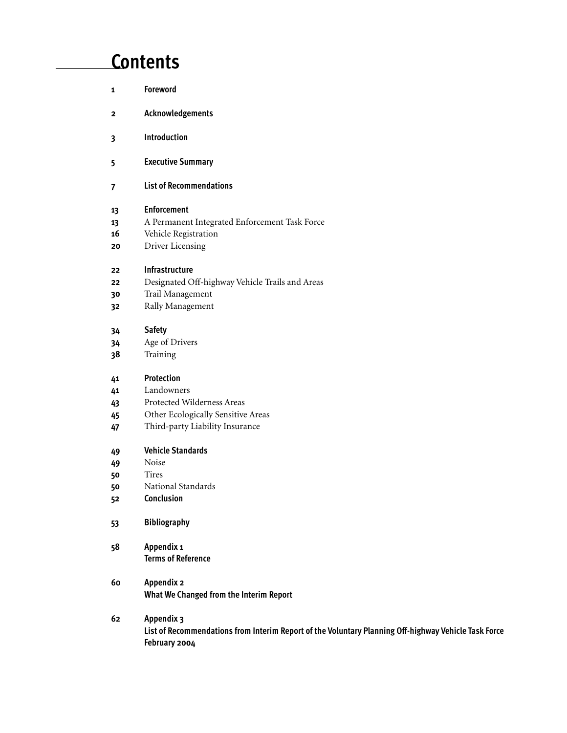# **Contents**

| 1  | Foreword                                                                                                              |
|----|-----------------------------------------------------------------------------------------------------------------------|
| 2  | Acknowledgements                                                                                                      |
| 3  | Introduction                                                                                                          |
| 5  | <b>Executive Summary</b>                                                                                              |
| 7  | <b>List of Recommendations</b>                                                                                        |
| 13 | <b>Enforcement</b>                                                                                                    |
| 13 | A Permanent Integrated Enforcement Task Force                                                                         |
| 16 | Vehicle Registration                                                                                                  |
| 20 | Driver Licensing                                                                                                      |
| 22 | Infrastructure                                                                                                        |
| 22 | Designated Off-highway Vehicle Trails and Areas                                                                       |
| 30 | Trail Management                                                                                                      |
| 32 | Rally Management                                                                                                      |
| 34 | <b>Safety</b>                                                                                                         |
| 34 | Age of Drivers                                                                                                        |
| 38 | Training                                                                                                              |
| 41 | Protection                                                                                                            |
| 41 | Landowners                                                                                                            |
| 43 | Protected Wilderness Areas                                                                                            |
| 45 | Other Ecologically Sensitive Areas                                                                                    |
| 47 | Third-party Liability Insurance                                                                                       |
| 49 | <b>Vehicle Standards</b>                                                                                              |
| 49 | Noise                                                                                                                 |
| 50 | <b>Tires</b>                                                                                                          |
| 50 | National Standards                                                                                                    |
| 52 | Conclusion                                                                                                            |
| 53 | <b>Bibliography</b>                                                                                                   |
| 58 | Appendix 1                                                                                                            |
|    | <b>Terms of Reference</b>                                                                                             |
| 60 | <b>Appendix 2</b>                                                                                                     |
|    | What We Changed from the Interim Report                                                                               |
| 62 | Appendix 3                                                                                                            |
|    | List of Recommendations from Interim Report of the Voluntary Planning Off-highway Vehicle Task Force<br>February 2004 |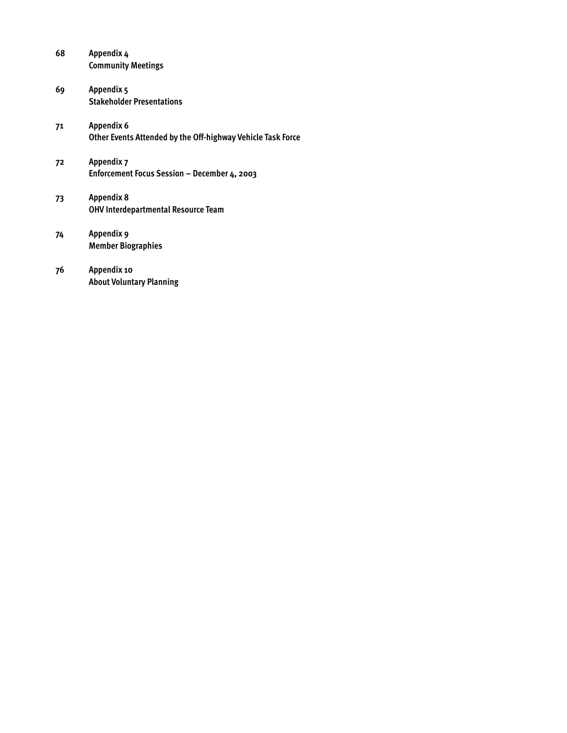| 68 | Appendix 4<br><b>Community Meetings</b>                                          |
|----|----------------------------------------------------------------------------------|
| 69 | Appendix 5<br><b>Stakeholder Presentations</b>                                   |
| 71 | <b>Appendix 6</b><br>Other Events Attended by the Off-highway Vehicle Task Force |
| 72 | Appendix 7<br>Enforcement Focus Session - December 4, 2003                       |
| 73 | <b>Appendix 8</b><br><b>OHV Interdepartmental Resource Team</b>                  |
| 74 | Appendix 9<br><b>Member Biographies</b>                                          |
| 76 | Appendix 10<br><b>About Voluntary Planning</b>                                   |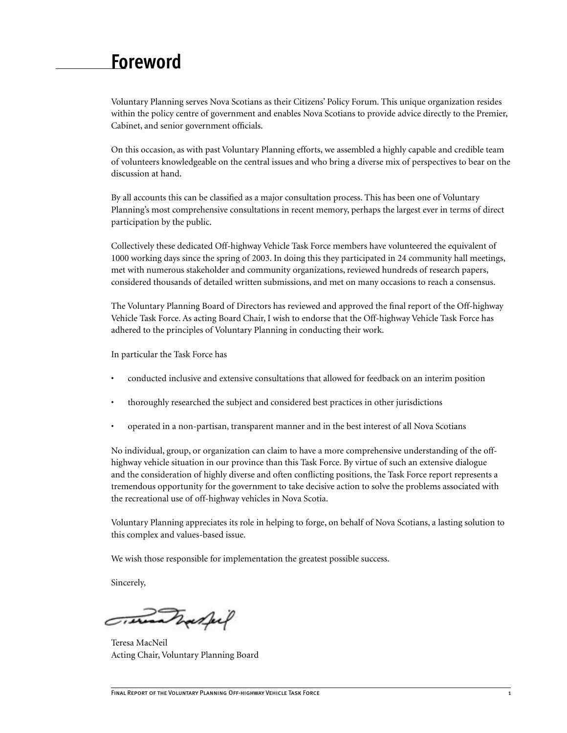# <span id="page-4-0"></span>**Foreword**

Voluntary Planning serves Nova Scotians as their Citizens' Policy Forum. This unique organization resides within the policy centre of government and enables Nova Scotians to provide advice directly to the Premier, Cabinet, and senior government officials.

On this occasion, as with past Voluntary Planning efforts, we assembled a highly capable and credible team of volunteers knowledgeable on the central issues and who bring a diverse mix of perspectives to bear on the discussion at hand.

By all accounts this can be classified as a major consultation process. This has been one of Voluntary Planning's most comprehensive consultations in recent memory, perhaps the largest ever in terms of direct participation by the public.

Collectively these dedicated Off-highway Vehicle Task Force members have volunteered the equivalent of 1000 working days since the spring of 2003. In doing this they participated in 24 community hall meetings, met with numerous stakeholder and community organizations, reviewed hundreds of research papers, considered thousands of detailed written submissions, and met on many occasions to reach a consensus.

The Voluntary Planning Board of Directors has reviewed and approved the final report of the Off-highway Vehicle Task Force. As acting Board Chair, I wish to endorse that the Off-highway Vehicle Task Force has adhered to the principles of Voluntary Planning in conducting their work.

In particular the Task Force has

- conducted inclusive and extensive consultations that allowed for feedback on an interim position
- thoroughly researched the subject and considered best practices in other jurisdictions
- operated in a non-partisan, transparent manner and in the best interest of all Nova Scotians

No individual, group, or organization can claim to have a more comprehensive understanding of the offhighway vehicle situation in our province than this Task Force. By virtue of such an extensive dialogue and the consideration of highly diverse and often conflicting positions, the Task Force report represents a tremendous opportunity for the government to take decisive action to solve the problems associated with the recreational use of off-highway vehicles in Nova Scotia.

Voluntary Planning appreciates its role in helping to forge, on behalf of Nova Scotians, a lasting solution to this complex and values-based issue.

We wish those responsible for implementation the greatest possible success.

Sincerely,

Tradful

Teresa MacNeil Acting Chair, Voluntary Planning Board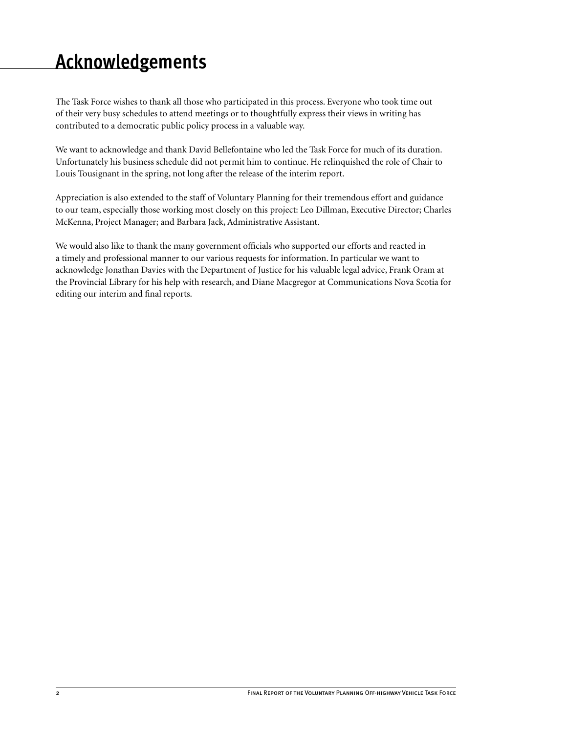# <span id="page-5-0"></span>**Acknowledgements**

The Task Force wishes to thank all those who participated in this process. Everyone who took time out of their very busy schedules to attend meetings or to thoughtfully express their views in writing has contributed to a democratic public policy process in a valuable way.

We want to acknowledge and thank David Bellefontaine who led the Task Force for much of its duration. Unfortunately his business schedule did not permit him to continue. He relinquished the role of Chair to Louis Tousignant in the spring, not long after the release of the interim report.

Appreciation is also extended to the staff of Voluntary Planning for their tremendous effort and guidance to our team, especially those working most closely on this project: Leo Dillman, Executive Director; Charles McKenna, Project Manager; and Barbara Jack, Administrative Assistant.

We would also like to thank the many government officials who supported our efforts and reacted in a timely and professional manner to our various requests for information. In particular we want to acknowledge Jonathan Davies with the Department of Justice for his valuable legal advice, Frank Oram at the Provincial Library for his help with research, and Diane Macgregor at Communications Nova Scotia for editing our interim and final reports.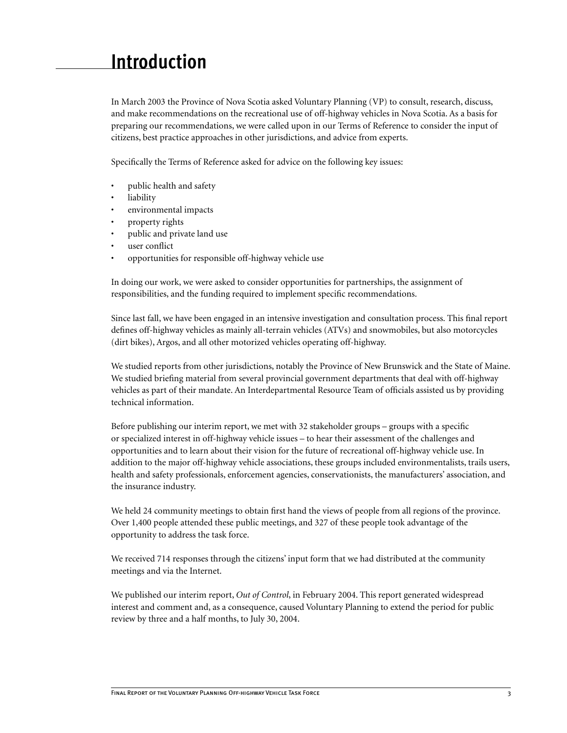# <span id="page-6-0"></span>**Introduction**

In March 2003 the Province of Nova Scotia asked Voluntary Planning (VP) to consult, research, discuss, and make recommendations on the recreational use of off-highway vehicles in Nova Scotia. As a basis for preparing our recommendations, we were called upon in our Terms of Reference to consider the input of citizens, best practice approaches in other jurisdictions, and advice from experts.

Specifically the Terms of Reference asked for advice on the following key issues:

- public health and safety
- liability
- environmental impacts
- property rights
- public and private land use
- user conflict
- opportunities for responsible off-highway vehicle use

In doing our work, we were asked to consider opportunities for partnerships, the assignment of responsibilities, and the funding required to implement specific recommendations.

Since last fall, we have been engaged in an intensive investigation and consultation process. This final report defines off-highway vehicles as mainly all-terrain vehicles (ATVs) and snowmobiles, but also motorcycles (dirt bikes), Argos, and all other motorized vehicles operating off-highway.

We studied reports from other jurisdictions, notably the Province of New Brunswick and the State of Maine. We studied briefing material from several provincial government departments that deal with off-highway vehicles as part of their mandate. An Interdepartmental Resource Team of officials assisted us by providing technical information.

Before publishing our interim report, we met with 32 stakeholder groups – groups with a specific or specialized interest in off-highway vehicle issues – to hear their assessment of the challenges and opportunities and to learn about their vision for the future of recreational off-highway vehicle use. In addition to the major off-highway vehicle associations, these groups included environmentalists, trails users, health and safety professionals, enforcement agencies, conservationists, the manufacturers' association, and the insurance industry.

We held 24 community meetings to obtain first hand the views of people from all regions of the province. Over 1,400 people attended these public meetings, and 327 of these people took advantage of the opportunity to address the task force.

We received 714 responses through the citizens' input form that we had distributed at the community meetings and via the Internet.

We published our interim report, *Out of Control*, in February 2004. This report generated widespread interest and comment and, as a consequence, caused Voluntary Planning to extend the period for public review by three and a half months, to July 30, 2004.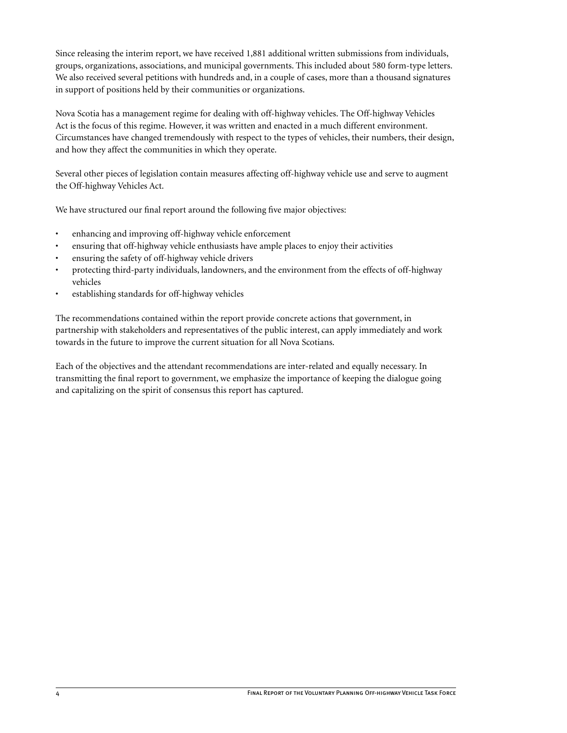Since releasing the interim report, we have received 1,881 additional written submissions from individuals, groups, organizations, associations, and municipal governments. This included about 580 form-type letters. We also received several petitions with hundreds and, in a couple of cases, more than a thousand signatures in support of positions held by their communities or organizations.

Nova Scotia has a management regime for dealing with off-highway vehicles. The Off-highway Vehicles Act is the focus of this regime. However, it was written and enacted in a much different environment. Circumstances have changed tremendously with respect to the types of vehicles, their numbers, their design, and how they affect the communities in which they operate.

Several other pieces of legislation contain measures affecting off-highway vehicle use and serve to augment the Off-highway Vehicles Act.

We have structured our final report around the following five major objectives:

- enhancing and improving off-highway vehicle enforcement
- ensuring that off-highway vehicle enthusiasts have ample places to enjoy their activities
- ensuring the safety of off-highway vehicle drivers
- protecting third-party individuals, landowners, and the environment from the effects of off-highway vehicles
- establishing standards for off-highway vehicles

The recommendations contained within the report provide concrete actions that government, in partnership with stakeholders and representatives of the public interest, can apply immediately and work towards in the future to improve the current situation for all Nova Scotians.

Each of the objectives and the attendant recommendations are inter-related and equally necessary. In transmitting the final report to government, we emphasize the importance of keeping the dialogue going and capitalizing on the spirit of consensus this report has captured.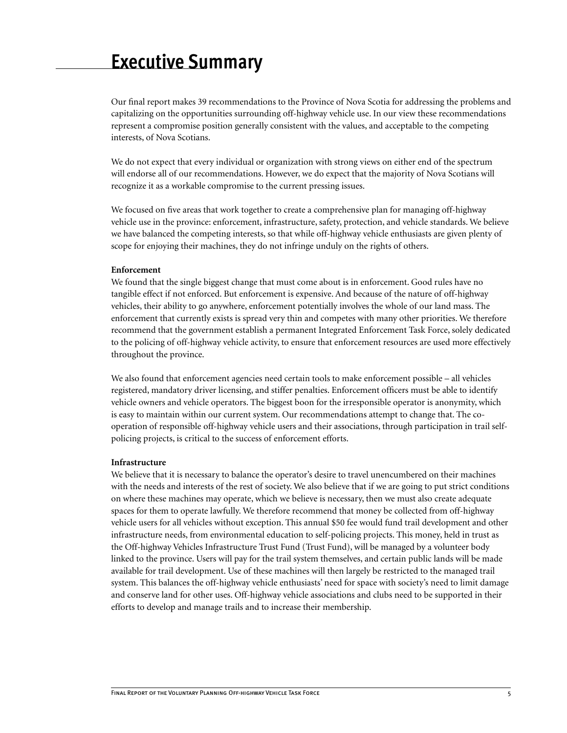# <span id="page-8-0"></span>**Executive Summary**

Our final report makes 39 recommendations to the Province of Nova Scotia for addressing the problems and capitalizing on the opportunities surrounding off-highway vehicle use. In our view these recommendations represent a compromise position generally consistent with the values, and acceptable to the competing interests, of Nova Scotians.

We do not expect that every individual or organization with strong views on either end of the spectrum will endorse all of our recommendations. However, we do expect that the majority of Nova Scotians will recognize it as a workable compromise to the current pressing issues.

We focused on five areas that work together to create a comprehensive plan for managing off-highway vehicle use in the province: enforcement, infrastructure, safety, protection, and vehicle standards. We believe we have balanced the competing interests, so that while off-highway vehicle enthusiasts are given plenty of scope for enjoying their machines, they do not infringe unduly on the rights of others.

#### **Enforcement**

We found that the single biggest change that must come about is in enforcement. Good rules have no tangible effect if not enforced. But enforcement is expensive. And because of the nature of off-highway vehicles, their ability to go anywhere, enforcement potentially involves the whole of our land mass. The enforcement that currently exists is spread very thin and competes with many other priorities. We therefore recommend that the government establish a permanent Integrated Enforcement Task Force, solely dedicated to the policing of off-highway vehicle activity, to ensure that enforcement resources are used more effectively throughout the province.

We also found that enforcement agencies need certain tools to make enforcement possible – all vehicles registered, mandatory driver licensing, and stiffer penalties. Enforcement officers must be able to identify vehicle owners and vehicle operators. The biggest boon for the irresponsible operator is anonymity, which is easy to maintain within our current system. Our recommendations attempt to change that. The cooperation of responsible off-highway vehicle users and their associations, through participation in trail selfpolicing projects, is critical to the success of enforcement efforts.

#### **Infrastructure**

We believe that it is necessary to balance the operator's desire to travel unencumbered on their machines with the needs and interests of the rest of society. We also believe that if we are going to put strict conditions on where these machines may operate, which we believe is necessary, then we must also create adequate spaces for them to operate lawfully. We therefore recommend that money be collected from off-highway vehicle users for all vehicles without exception. This annual \$50 fee would fund trail development and other infrastructure needs, from environmental education to self-policing projects. This money, held in trust as the Off-highway Vehicles Infrastructure Trust Fund (Trust Fund), will be managed by a volunteer body linked to the province. Users will pay for the trail system themselves, and certain public lands will be made available for trail development. Use of these machines will then largely be restricted to the managed trail system. This balances the off-highway vehicle enthusiasts' need for space with society's need to limit damage and conserve land for other uses. Off-highway vehicle associations and clubs need to be supported in their efforts to develop and manage trails and to increase their membership.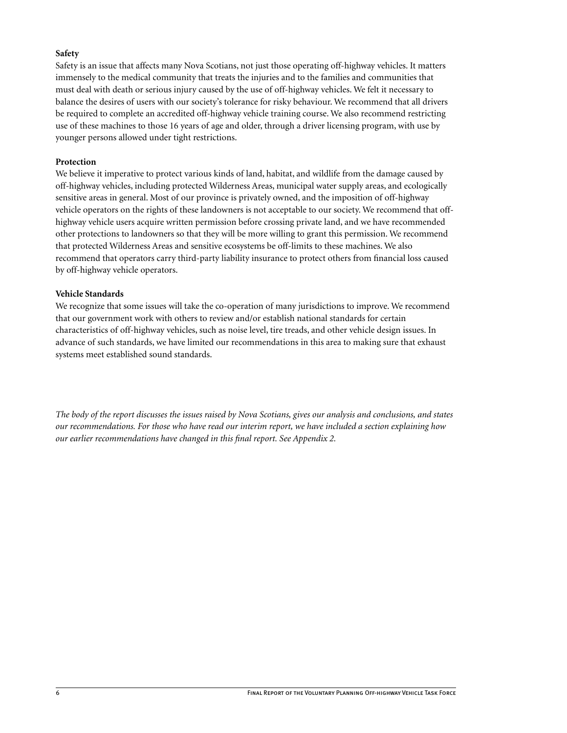#### **Safety**

Safety is an issue that affects many Nova Scotians, not just those operating off-highway vehicles. It matters immensely to the medical community that treats the injuries and to the families and communities that must deal with death or serious injury caused by the use of off-highway vehicles. We felt it necessary to balance the desires of users with our society's tolerance for risky behaviour. We recommend that all drivers be required to complete an accredited off-highway vehicle training course. We also recommend restricting use of these machines to those 16 years of age and older, through a driver licensing program, with use by younger persons allowed under tight restrictions.

#### **Protection**

We believe it imperative to protect various kinds of land, habitat, and wildlife from the damage caused by off-highway vehicles, including protected Wilderness Areas, municipal water supply areas, and ecologically sensitive areas in general. Most of our province is privately owned, and the imposition of off-highway vehicle operators on the rights of these landowners is not acceptable to our society. We recommend that offhighway vehicle users acquire written permission before crossing private land, and we have recommended other protections to landowners so that they will be more willing to grant this permission. We recommend that protected Wilderness Areas and sensitive ecosystems be off-limits to these machines. We also recommend that operators carry third-party liability insurance to protect others from financial loss caused by off-highway vehicle operators.

#### **Vehicle Standards**

We recognize that some issues will take the co-operation of many jurisdictions to improve. We recommend that our government work with others to review and/or establish national standards for certain characteristics of off-highway vehicles, such as noise level, tire treads, and other vehicle design issues. In advance of such standards, we have limited our recommendations in this area to making sure that exhaust systems meet established sound standards.

*The body of the report discusses the issues raised by Nova Scotians, gives our analysis and conclusions, and states our recommendations. For those who have read our interim report, we have included a section explaining how our earlier recommendations have changed in this final report. See Appendix 2.*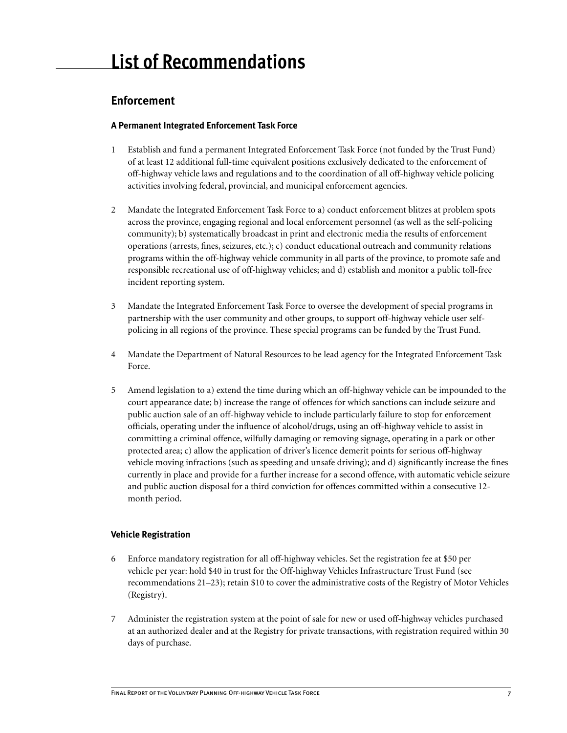# **Enforcement**

## **A Permanent Integrated Enforcement Task Force**

- 1 Establish and fund a permanent Integrated Enforcement Task Force (not funded by the Trust Fund) of at least 12 additional full-time equivalent positions exclusively dedicated to the enforcement of off-highway vehicle laws and regulations and to the coordination of all off-highway vehicle policing activities involving federal, provincial, and municipal enforcement agencies.
- 2 Mandate the Integrated Enforcement Task Force to a) conduct enforcement blitzes at problem spots across the province, engaging regional and local enforcement personnel (as well as the self-policing community); b) systematically broadcast in print and electronic media the results of enforcement operations (arrests, fines, seizures, etc.); c) conduct educational outreach and community relations programs within the off-highway vehicle community in all parts of the province, to promote safe and responsible recreational use of off-highway vehicles; and d) establish and monitor a public toll-free incident reporting system.
- 3 Mandate the Integrated Enforcement Task Force to oversee the development of special programs in partnership with the user community and other groups, to support off-highway vehicle user selfpolicing in all regions of the province. These special programs can be funded by the Trust Fund.
- 4 Mandate the Department of Natural Resources to be lead agency for the Integrated Enforcement Task Force.
- 5 Amend legislation to a) extend the time during which an off-highway vehicle can be impounded to the court appearance date; b) increase the range of offences for which sanctions can include seizure and public auction sale of an off-highway vehicle to include particularly failure to stop for enforcement officials, operating under the influence of alcohol/drugs, using an off-highway vehicle to assist in committing a criminal offence, wilfully damaging or removing signage, operating in a park or other protected area; c) allow the application of driver's licence demerit points for serious off-highway vehicle moving infractions (such as speeding and unsafe driving); and d) significantly increase the fines currently in place and provide for a further increase for a second offence, with automatic vehicle seizure and public auction disposal for a third conviction for offences committed within a consecutive 12 month period.

## **Vehicle Registration**

- 6 Enforce mandatory registration for all off-highway vehicles. Set the registration fee at \$50 per vehicle per year: hold \$40 in trust for the Off-highway Vehicles Infrastructure Trust Fund (see recommendations 21–23); retain \$10 to cover the administrative costs of the Registry of Motor Vehicles (Registry).
- 7 Administer the registration system at the point of sale for new or used off-highway vehicles purchased at an authorized dealer and at the Registry for private transactions, with registration required within 30 days of purchase.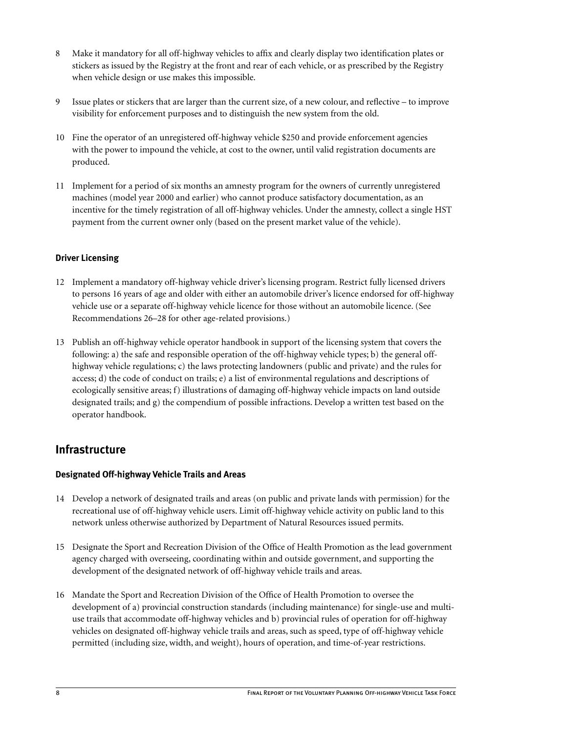- 8 Make it mandatory for all off-highway vehicles to affix and clearly display two identification plates or stickers as issued by the Registry at the front and rear of each vehicle, or as prescribed by the Registry when vehicle design or use makes this impossible.
- 9 Issue plates or stickers that are larger than the current size, of a new colour, and reflective to improve visibility for enforcement purposes and to distinguish the new system from the old.
- 10 Fine the operator of an unregistered off-highway vehicle \$250 and provide enforcement agencies with the power to impound the vehicle, at cost to the owner, until valid registration documents are produced.
- 11 Implement for a period of six months an amnesty program for the owners of currently unregistered machines (model year 2000 and earlier) who cannot produce satisfactory documentation, as an incentive for the timely registration of all off-highway vehicles. Under the amnesty, collect a single HST payment from the current owner only (based on the present market value of the vehicle).

## **Driver Licensing**

- 12 Implement a mandatory off-highway vehicle driver's licensing program. Restrict fully licensed drivers to persons 16 years of age and older with either an automobile driver's licence endorsed for off-highway vehicle use or a separate off-highway vehicle licence for those without an automobile licence. (See Recommendations 26–28 for other age-related provisions.)
- 13 Publish an off-highway vehicle operator handbook in support of the licensing system that covers the following: a) the safe and responsible operation of the off-highway vehicle types; b) the general offhighway vehicle regulations; c) the laws protecting landowners (public and private) and the rules for access; d) the code of conduct on trails; e) a list of environmental regulations and descriptions of ecologically sensitive areas; f) illustrations of damaging off-highway vehicle impacts on land outside designated trails; and g) the compendium of possible infractions. Develop a written test based on the operator handbook.

# **Infrastructure**

## **Designated Off-highway Vehicle Trails and Areas**

- 14 Develop a network of designated trails and areas (on public and private lands with permission) for the recreational use of off-highway vehicle users. Limit off-highway vehicle activity on public land to this network unless otherwise authorized by Department of Natural Resources issued permits.
- 15 Designate the Sport and Recreation Division of the Office of Health Promotion as the lead government agency charged with overseeing, coordinating within and outside government, and supporting the development of the designated network of off-highway vehicle trails and areas.
- 16 Mandate the Sport and Recreation Division of the Office of Health Promotion to oversee the development of a) provincial construction standards (including maintenance) for single-use and multiuse trails that accommodate off-highway vehicles and b) provincial rules of operation for off-highway vehicles on designated off-highway vehicle trails and areas, such as speed, type of off-highway vehicle permitted (including size, width, and weight), hours of operation, and time-of-year restrictions.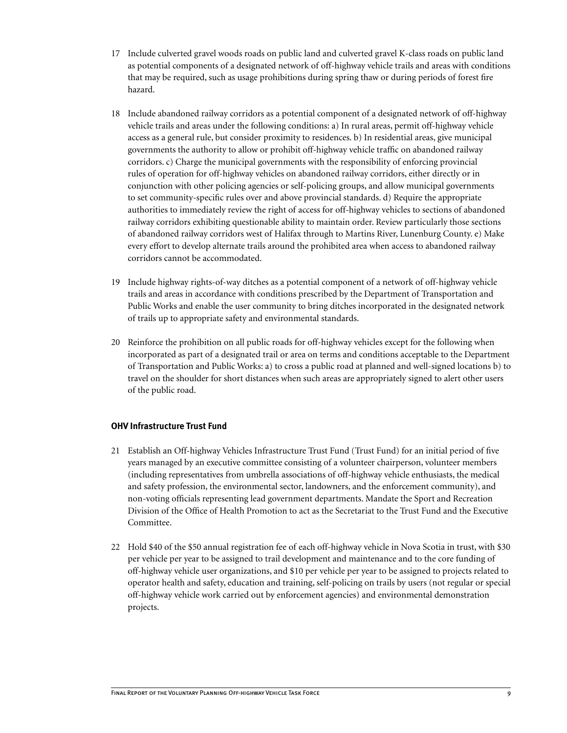- 17 Include culverted gravel woods roads on public land and culverted gravel K-class roads on public land as potential components of a designated network of off-highway vehicle trails and areas with conditions that may be required, such as usage prohibitions during spring thaw or during periods of forest fire hazard.
- 18 Include abandoned railway corridors as a potential component of a designated network of off-highway vehicle trails and areas under the following conditions: a) In rural areas, permit off-highway vehicle access as a general rule, but consider proximity to residences. b) In residential areas, give municipal governments the authority to allow or prohibit off-highway vehicle traffic on abandoned railway corridors. c) Charge the municipal governments with the responsibility of enforcing provincial rules of operation for off-highway vehicles on abandoned railway corridors, either directly or in conjunction with other policing agencies or self-policing groups, and allow municipal governments to set community-specific rules over and above provincial standards. d) Require the appropriate authorities to immediately review the right of access for off-highway vehicles to sections of abandoned railway corridors exhibiting questionable ability to maintain order. Review particularly those sections of abandoned railway corridors west of Halifax through to Martins River, Lunenburg County. e) Make every effort to develop alternate trails around the prohibited area when access to abandoned railway corridors cannot be accommodated.
- 19 Include highway rights-of-way ditches as a potential component of a network of off-highway vehicle trails and areas in accordance with conditions prescribed by the Department of Transportation and Public Works and enable the user community to bring ditches incorporated in the designated network of trails up to appropriate safety and environmental standards.
- 20 Reinforce the prohibition on all public roads for off-highway vehicles except for the following when incorporated as part of a designated trail or area on terms and conditions acceptable to the Department of Transportation and Public Works: a) to cross a public road at planned and well-signed locations b) to travel on the shoulder for short distances when such areas are appropriately signed to alert other users of the public road.

#### **OHV Infrastructure Trust Fund**

- 21 Establish an Off-highway Vehicles Infrastructure Trust Fund (Trust Fund) for an initial period of five years managed by an executive committee consisting of a volunteer chairperson, volunteer members (including representatives from umbrella associations of off-highway vehicle enthusiasts, the medical and safety profession, the environmental sector, landowners, and the enforcement community), and non-voting officials representing lead government departments. Mandate the Sport and Recreation Division of the Office of Health Promotion to act as the Secretariat to the Trust Fund and the Executive Committee.
- 22 Hold \$40 of the \$50 annual registration fee of each off-highway vehicle in Nova Scotia in trust, with \$30 per vehicle per year to be assigned to trail development and maintenance and to the core funding of off-highway vehicle user organizations, and \$10 per vehicle per year to be assigned to projects related to operator health and safety, education and training, self-policing on trails by users (not regular or special off-highway vehicle work carried out by enforcement agencies) and environmental demonstration projects.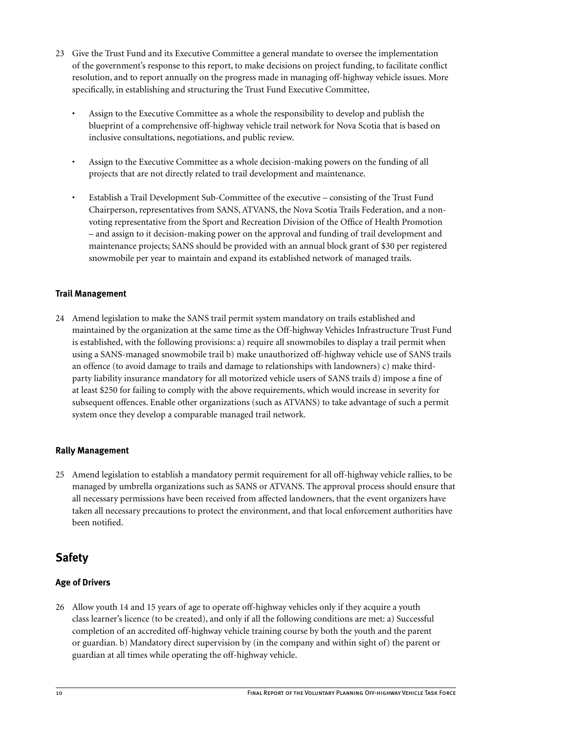- 23 Give the Trust Fund and its Executive Committee a general mandate to oversee the implementation of the government's response to this report, to make decisions on project funding, to facilitate conflict resolution, and to report annually on the progress made in managing off-highway vehicle issues. More specifically, in establishing and structuring the Trust Fund Executive Committee,
	- Assign to the Executive Committee as a whole the responsibility to develop and publish the blueprint of a comprehensive off-highway vehicle trail network for Nova Scotia that is based on inclusive consultations, negotiations, and public review.
	- Assign to the Executive Committee as a whole decision-making powers on the funding of all projects that are not directly related to trail development and maintenance.
	- Establish a Trail Development Sub-Committee of the executive consisting of the Trust Fund Chairperson, representatives from SANS, ATVANS, the Nova Scotia Trails Federation, and a nonvoting representative from the Sport and Recreation Division of the Office of Health Promotion – and assign to it decision-making power on the approval and funding of trail development and maintenance projects; SANS should be provided with an annual block grant of \$30 per registered snowmobile per year to maintain and expand its established network of managed trails.

## **Trail Management**

24 Amend legislation to make the SANS trail permit system mandatory on trails established and maintained by the organization at the same time as the Off-highway Vehicles Infrastructure Trust Fund is established, with the following provisions: a) require all snowmobiles to display a trail permit when using a SANS-managed snowmobile trail b) make unauthorized off-highway vehicle use of SANS trails an offence (to avoid damage to trails and damage to relationships with landowners) c) make thirdparty liability insurance mandatory for all motorized vehicle users of SANS trails d) impose a fine of at least \$250 for failing to comply with the above requirements, which would increase in severity for subsequent offences. Enable other organizations (such as ATVANS) to take advantage of such a permit system once they develop a comparable managed trail network.

#### **Rally Management**

25 Amend legislation to establish a mandatory permit requirement for all off-highway vehicle rallies, to be managed by umbrella organizations such as SANS or ATVANS. The approval process should ensure that all necessary permissions have been received from affected landowners, that the event organizers have taken all necessary precautions to protect the environment, and that local enforcement authorities have been notified.

# **Safety**

## **Age of Drivers**

26 Allow youth 14 and 15 years of age to operate off-highway vehicles only if they acquire a youth class learner's licence (to be created), and only if all the following conditions are met: a) Successful completion of an accredited off-highway vehicle training course by both the youth and the parent or guardian. b) Mandatory direct supervision by (in the company and within sight of) the parent or guardian at all times while operating the off-highway vehicle.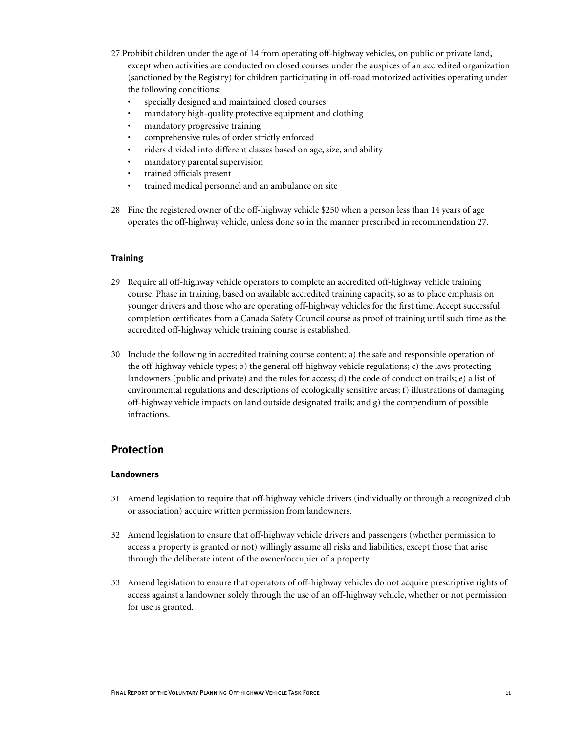- 27 Prohibit children under the age of 14 from operating off-highway vehicles, on public or private land, except when activities are conducted on closed courses under the auspices of an accredited organization (sanctioned by the Registry) for children participating in off-road motorized activities operating under the following conditions:
	- specially designed and maintained closed courses
	- mandatory high-quality protective equipment and clothing
	- mandatory progressive training
	- comprehensive rules of order strictly enforced
	- riders divided into different classes based on age, size, and ability
	- mandatory parental supervision
	- trained officials present
	- trained medical personnel and an ambulance on site
- 28 Fine the registered owner of the off-highway vehicle \$250 when a person less than 14 years of age operates the off-highway vehicle, unless done so in the manner prescribed in recommendation 27.

#### **Training**

- 29 Require all off-highway vehicle operators to complete an accredited off-highway vehicle training course. Phase in training, based on available accredited training capacity, so as to place emphasis on younger drivers and those who are operating off-highway vehicles for the first time. Accept successful completion certificates from a Canada Safety Council course as proof of training until such time as the accredited off-highway vehicle training course is established.
- 30 Include the following in accredited training course content: a) the safe and responsible operation of the off-highway vehicle types; b) the general off-highway vehicle regulations; c) the laws protecting landowners (public and private) and the rules for access; d) the code of conduct on trails; e) a list of environmental regulations and descriptions of ecologically sensitive areas; f) illustrations of damaging off-highway vehicle impacts on land outside designated trails; and g) the compendium of possible infractions.

# **Protection**

#### **Landowners**

- 31 Amend legislation to require that off-highway vehicle drivers (individually or through a recognized club or association) acquire written permission from landowners.
- 32 Amend legislation to ensure that off-highway vehicle drivers and passengers (whether permission to access a property is granted or not) willingly assume all risks and liabilities, except those that arise through the deliberate intent of the owner/occupier of a property.
- 33 Amend legislation to ensure that operators of off-highway vehicles do not acquire prescriptive rights of access against a landowner solely through the use of an off-highway vehicle, whether or not permission for use is granted.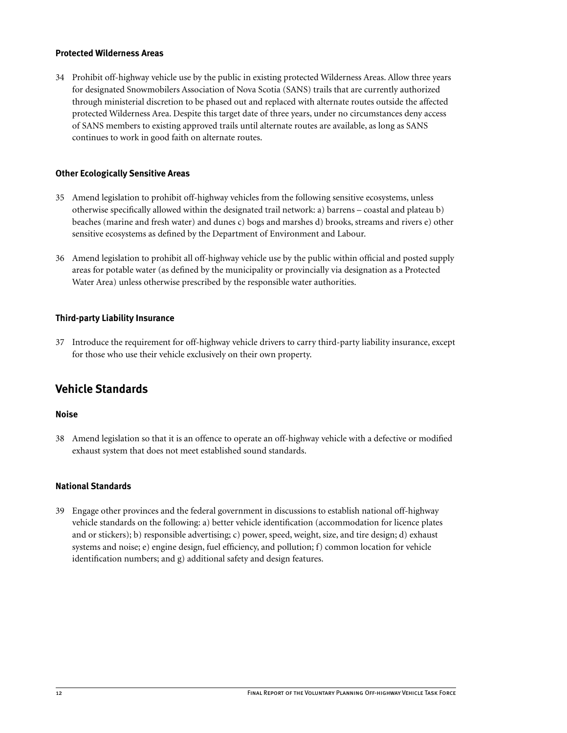### **Protected Wilderness Areas**

34 Prohibit off-highway vehicle use by the public in existing protected Wilderness Areas. Allow three years for designated Snowmobilers Association of Nova Scotia (SANS) trails that are currently authorized through ministerial discretion to be phased out and replaced with alternate routes outside the affected protected Wilderness Area. Despite this target date of three years, under no circumstances deny access of SANS members to existing approved trails until alternate routes are available, as long as SANS continues to work in good faith on alternate routes.

#### **Other Ecologically Sensitive Areas**

- 35 Amend legislation to prohibit off-highway vehicles from the following sensitive ecosystems, unless otherwise specifically allowed within the designated trail network: a) barrens – coastal and plateau b) beaches (marine and fresh water) and dunes c) bogs and marshes d) brooks, streams and rivers e) other sensitive ecosystems as defined by the Department of Environment and Labour.
- 36 Amend legislation to prohibit all off-highway vehicle use by the public within official and posted supply areas for potable water (as defined by the municipality or provincially via designation as a Protected Water Area) unless otherwise prescribed by the responsible water authorities.

#### **Third-party Liability Insurance**

37 Introduce the requirement for off-highway vehicle drivers to carry third-party liability insurance, except for those who use their vehicle exclusively on their own property.

## **Vehicle Standards**

#### **Noise**

38 Amend legislation so that it is an offence to operate an off-highway vehicle with a defective or modified exhaust system that does not meet established sound standards.

#### **National Standards**

39 Engage other provinces and the federal government in discussions to establish national off-highway vehicle standards on the following: a) better vehicle identification (accommodation for licence plates and or stickers); b) responsible advertising; c) power, speed, weight, size, and tire design; d) exhaust systems and noise; e) engine design, fuel efficiency, and pollution; f) common location for vehicle identification numbers; and g) additional safety and design features.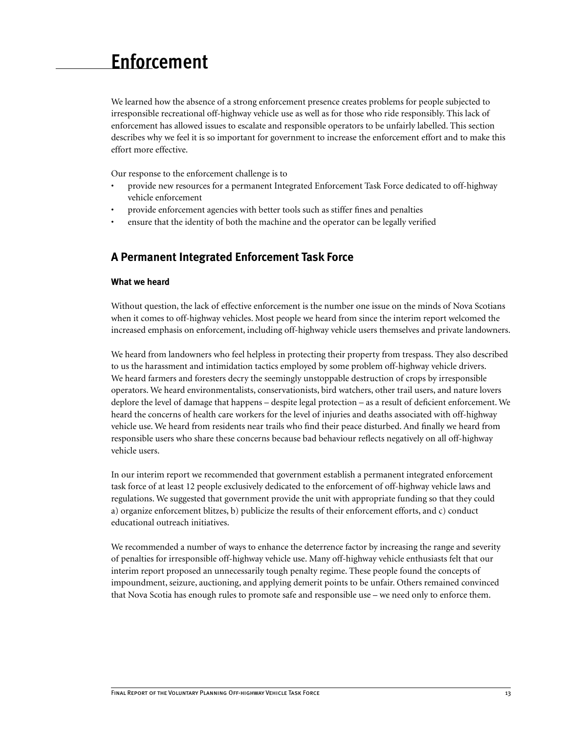# <span id="page-16-0"></span>**Enforcement**

We learned how the absence of a strong enforcement presence creates problems for people subjected to irresponsible recreational off-highway vehicle use as well as for those who ride responsibly. This lack of enforcement has allowed issues to escalate and responsible operators to be unfairly labelled. This section describes why we feel it is so important for government to increase the enforcement effort and to make this effort more effective.

Our response to the enforcement challenge is to

- provide new resources for a permanent Integrated Enforcement Task Force dedicated to off-highway vehicle enforcement
- provide enforcement agencies with better tools such as stiffer fines and penalties
- ensure that the identity of both the machine and the operator can be legally verified

## **A Permanent Integrated Enforcement Task Force**

#### **What we heard**

Without question, the lack of effective enforcement is the number one issue on the minds of Nova Scotians when it comes to off-highway vehicles. Most people we heard from since the interim report welcomed the increased emphasis on enforcement, including off-highway vehicle users themselves and private landowners.

We heard from landowners who feel helpless in protecting their property from trespass. They also described to us the harassment and intimidation tactics employed by some problem off-highway vehicle drivers. We heard farmers and foresters decry the seemingly unstoppable destruction of crops by irresponsible operators. We heard environmentalists, conservationists, bird watchers, other trail users, and nature lovers deplore the level of damage that happens – despite legal protection – as a result of deficient enforcement. We heard the concerns of health care workers for the level of injuries and deaths associated with off-highway vehicle use. We heard from residents near trails who find their peace disturbed. And finally we heard from responsible users who share these concerns because bad behaviour reflects negatively on all off-highway vehicle users.

In our interim report we recommended that government establish a permanent integrated enforcement task force of at least 12 people exclusively dedicated to the enforcement of off-highway vehicle laws and regulations. We suggested that government provide the unit with appropriate funding so that they could a) organize enforcement blitzes, b) publicize the results of their enforcement efforts, and c) conduct educational outreach initiatives.

We recommended a number of ways to enhance the deterrence factor by increasing the range and severity of penalties for irresponsible off-highway vehicle use. Many off-highway vehicle enthusiasts felt that our interim report proposed an unnecessarily tough penalty regime. These people found the concepts of impoundment, seizure, auctioning, and applying demerit points to be unfair. Others remained convinced that Nova Scotia has enough rules to promote safe and responsible use – we need only to enforce them.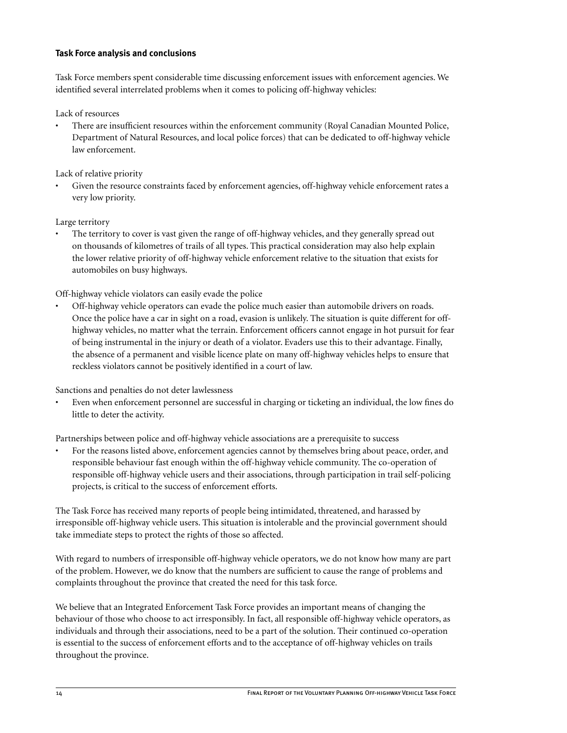### **Task Force analysis and conclusions**

Task Force members spent considerable time discussing enforcement issues with enforcement agencies. We identified several interrelated problems when it comes to policing off-highway vehicles:

Lack of resources

• There are insufficient resources within the enforcement community (Royal Canadian Mounted Police, Department of Natural Resources, and local police forces) that can be dedicated to off-highway vehicle law enforcement.

Lack of relative priority

• Given the resource constraints faced by enforcement agencies, off-highway vehicle enforcement rates a very low priority.

Large territory

• The territory to cover is vast given the range of off-highway vehicles, and they generally spread out on thousands of kilometres of trails of all types. This practical consideration may also help explain the lower relative priority of off-highway vehicle enforcement relative to the situation that exists for automobiles on busy highways.

Off-highway vehicle violators can easily evade the police

• Off-highway vehicle operators can evade the police much easier than automobile drivers on roads. Once the police have a car in sight on a road, evasion is unlikely. The situation is quite different for offhighway vehicles, no matter what the terrain. Enforcement officers cannot engage in hot pursuit for fear of being instrumental in the injury or death of a violator. Evaders use this to their advantage. Finally, the absence of a permanent and visible licence plate on many off-highway vehicles helps to ensure that reckless violators cannot be positively identified in a court of law.

Sanctions and penalties do not deter lawlessness

• Even when enforcement personnel are successful in charging or ticketing an individual, the low fines do little to deter the activity.

Partnerships between police and off-highway vehicle associations are a prerequisite to success

• For the reasons listed above, enforcement agencies cannot by themselves bring about peace, order, and responsible behaviour fast enough within the off-highway vehicle community. The co-operation of responsible off-highway vehicle users and their associations, through participation in trail self-policing projects, is critical to the success of enforcement efforts.

The Task Force has received many reports of people being intimidated, threatened, and harassed by irresponsible off-highway vehicle users. This situation is intolerable and the provincial government should take immediate steps to protect the rights of those so affected.

With regard to numbers of irresponsible off-highway vehicle operators, we do not know how many are part of the problem. However, we do know that the numbers are sufficient to cause the range of problems and complaints throughout the province that created the need for this task force.

We believe that an Integrated Enforcement Task Force provides an important means of changing the behaviour of those who choose to act irresponsibly. In fact, all responsible off-highway vehicle operators, as individuals and through their associations, need to be a part of the solution. Their continued co-operation is essential to the success of enforcement efforts and to the acceptance of off-highway vehicles on trails throughout the province.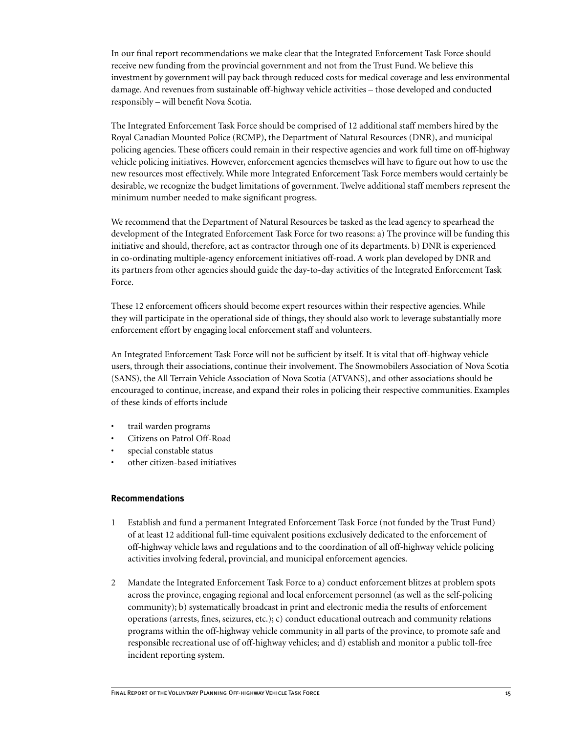In our final report recommendations we make clear that the Integrated Enforcement Task Force should receive new funding from the provincial government and not from the Trust Fund. We believe this investment by government will pay back through reduced costs for medical coverage and less environmental damage. And revenues from sustainable off-highway vehicle activities – those developed and conducted responsibly – will benefit Nova Scotia.

The Integrated Enforcement Task Force should be comprised of 12 additional staff members hired by the Royal Canadian Mounted Police (RCMP), the Department of Natural Resources (DNR), and municipal policing agencies. These officers could remain in their respective agencies and work full time on off-highway vehicle policing initiatives. However, enforcement agencies themselves will have to figure out how to use the new resources most effectively. While more Integrated Enforcement Task Force members would certainly be desirable, we recognize the budget limitations of government. Twelve additional staff members represent the minimum number needed to make significant progress.

We recommend that the Department of Natural Resources be tasked as the lead agency to spearhead the development of the Integrated Enforcement Task Force for two reasons: a) The province will be funding this initiative and should, therefore, act as contractor through one of its departments. b) DNR is experienced in co-ordinating multiple-agency enforcement initiatives off-road. A work plan developed by DNR and its partners from other agencies should guide the day-to-day activities of the Integrated Enforcement Task Force.

These 12 enforcement officers should become expert resources within their respective agencies. While they will participate in the operational side of things, they should also work to leverage substantially more enforcement effort by engaging local enforcement staff and volunteers.

An Integrated Enforcement Task Force will not be sufficient by itself. It is vital that off-highway vehicle users, through their associations, continue their involvement. The Snowmobilers Association of Nova Scotia (SANS), the All Terrain Vehicle Association of Nova Scotia (ATVANS), and other associations should be encouraged to continue, increase, and expand their roles in policing their respective communities. Examples of these kinds of efforts include

- trail warden programs
- Citizens on Patrol Off-Road
- special constable status
- other citizen-based initiatives

#### **Recommendations**

- 1 Establish and fund a permanent Integrated Enforcement Task Force (not funded by the Trust Fund) of at least 12 additional full-time equivalent positions exclusively dedicated to the enforcement of off-highway vehicle laws and regulations and to the coordination of all off-highway vehicle policing activities involving federal, provincial, and municipal enforcement agencies.
- 2 Mandate the Integrated Enforcement Task Force to a) conduct enforcement blitzes at problem spots across the province, engaging regional and local enforcement personnel (as well as the self-policing community); b) systematically broadcast in print and electronic media the results of enforcement operations (arrests, fines, seizures, etc.); c) conduct educational outreach and community relations programs within the off-highway vehicle community in all parts of the province, to promote safe and responsible recreational use of off-highway vehicles; and d) establish and monitor a public toll-free incident reporting system.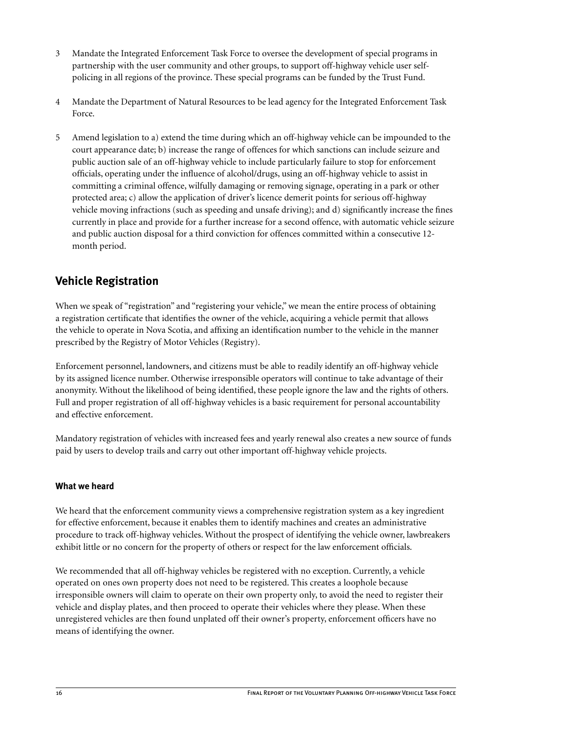- <span id="page-19-0"></span>3 Mandate the Integrated Enforcement Task Force to oversee the development of special programs in partnership with the user community and other groups, to support off-highway vehicle user selfpolicing in all regions of the province. These special programs can be funded by the Trust Fund.
- 4 Mandate the Department of Natural Resources to be lead agency for the Integrated Enforcement Task Force.
- 5 Amend legislation to a) extend the time during which an off-highway vehicle can be impounded to the court appearance date; b) increase the range of offences for which sanctions can include seizure and public auction sale of an off-highway vehicle to include particularly failure to stop for enforcement officials, operating under the influence of alcohol/drugs, using an off-highway vehicle to assist in committing a criminal offence, wilfully damaging or removing signage, operating in a park or other protected area; c) allow the application of driver's licence demerit points for serious off-highway vehicle moving infractions (such as speeding and unsafe driving); and d) significantly increase the fines currently in place and provide for a further increase for a second offence, with automatic vehicle seizure and public auction disposal for a third conviction for offences committed within a consecutive 12 month period.

# **Vehicle Registration**

When we speak of "registration" and "registering your vehicle," we mean the entire process of obtaining a registration certificate that identifies the owner of the vehicle, acquiring a vehicle permit that allows the vehicle to operate in Nova Scotia, and affixing an identification number to the vehicle in the manner prescribed by the Registry of Motor Vehicles (Registry).

Enforcement personnel, landowners, and citizens must be able to readily identify an off-highway vehicle by its assigned licence number. Otherwise irresponsible operators will continue to take advantage of their anonymity. Without the likelihood of being identified, these people ignore the law and the rights of others. Full and proper registration of all off-highway vehicles is a basic requirement for personal accountability and effective enforcement.

Mandatory registration of vehicles with increased fees and yearly renewal also creates a new source of funds paid by users to develop trails and carry out other important off-highway vehicle projects.

## **What we heard**

We heard that the enforcement community views a comprehensive registration system as a key ingredient for effective enforcement, because it enables them to identify machines and creates an administrative procedure to track off-highway vehicles. Without the prospect of identifying the vehicle owner, lawbreakers exhibit little or no concern for the property of others or respect for the law enforcement officials.

We recommended that all off-highway vehicles be registered with no exception. Currently, a vehicle operated on ones own property does not need to be registered. This creates a loophole because irresponsible owners will claim to operate on their own property only, to avoid the need to register their vehicle and display plates, and then proceed to operate their vehicles where they please. When these unregistered vehicles are then found unplated off their owner's property, enforcement officers have no means of identifying the owner.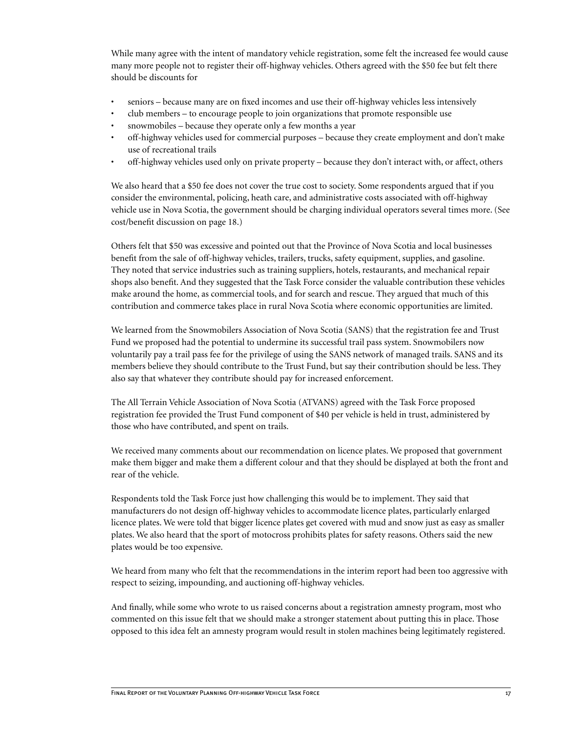While many agree with the intent of mandatory vehicle registration, some felt the increased fee would cause many more people not to register their off-highway vehicles. Others agreed with the \$50 fee but felt there should be discounts for

- seniors because many are on fixed incomes and use their off-highway vehicles less intensively
- club members to encourage people to join organizations that promote responsible use
- snowmobiles because they operate only a few months a year
- off-highway vehicles used for commercial purposes because they create employment and don't make use of recreational trails
- off-highway vehicles used only on private property because they don't interact with, or affect, others

We also heard that a \$50 fee does not cover the true cost to society. Some respondents argued that if you consider the environmental, policing, heath care, and administrative costs associated with off-highway vehicle use in Nova Scotia, the government should be charging individual operators several times more. (See cost/benefit discussion on page 18.)

Others felt that \$50 was excessive and pointed out that the Province of Nova Scotia and local businesses benefit from the sale of off-highway vehicles, trailers, trucks, safety equipment, supplies, and gasoline. They noted that service industries such as training suppliers, hotels, restaurants, and mechanical repair shops also benefit. And they suggested that the Task Force consider the valuable contribution these vehicles make around the home, as commercial tools, and for search and rescue. They argued that much of this contribution and commerce takes place in rural Nova Scotia where economic opportunities are limited.

We learned from the Snowmobilers Association of Nova Scotia (SANS) that the registration fee and Trust Fund we proposed had the potential to undermine its successful trail pass system. Snowmobilers now voluntarily pay a trail pass fee for the privilege of using the SANS network of managed trails. SANS and its members believe they should contribute to the Trust Fund, but say their contribution should be less. They also say that whatever they contribute should pay for increased enforcement.

The All Terrain Vehicle Association of Nova Scotia (ATVANS) agreed with the Task Force proposed registration fee provided the Trust Fund component of \$40 per vehicle is held in trust, administered by those who have contributed, and spent on trails.

We received many comments about our recommendation on licence plates. We proposed that government make them bigger and make them a different colour and that they should be displayed at both the front and rear of the vehicle.

Respondents told the Task Force just how challenging this would be to implement. They said that manufacturers do not design off-highway vehicles to accommodate licence plates, particularly enlarged licence plates. We were told that bigger licence plates get covered with mud and snow just as easy as smaller plates. We also heard that the sport of motocross prohibits plates for safety reasons. Others said the new plates would be too expensive.

We heard from many who felt that the recommendations in the interim report had been too aggressive with respect to seizing, impounding, and auctioning off-highway vehicles.

And finally, while some who wrote to us raised concerns about a registration amnesty program, most who commented on this issue felt that we should make a stronger statement about putting this in place. Those opposed to this idea felt an amnesty program would result in stolen machines being legitimately registered.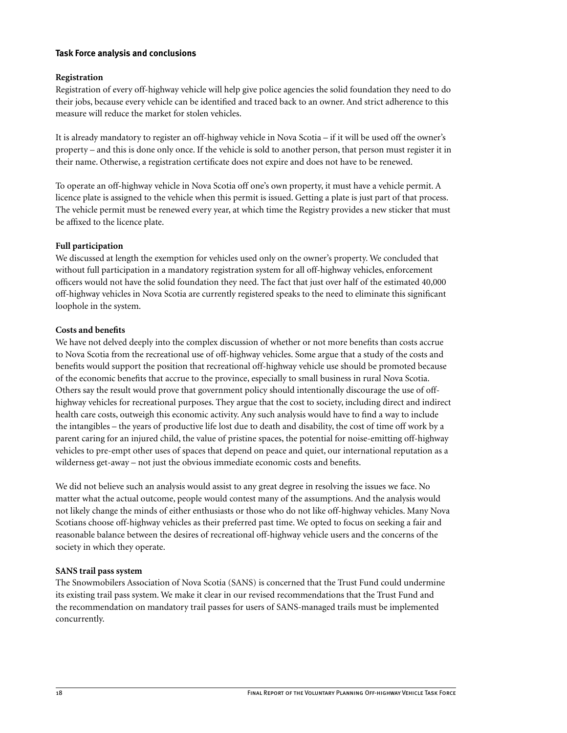#### **Task Force analysis and conclusions**

#### **Registration**

Registration of every off-highway vehicle will help give police agencies the solid foundation they need to do their jobs, because every vehicle can be identified and traced back to an owner. And strict adherence to this measure will reduce the market for stolen vehicles.

It is already mandatory to register an off-highway vehicle in Nova Scotia – if it will be used off the owner's property – and this is done only once. If the vehicle is sold to another person, that person must register it in their name. Otherwise, a registration certificate does not expire and does not have to be renewed.

To operate an off-highway vehicle in Nova Scotia off one's own property, it must have a vehicle permit. A licence plate is assigned to the vehicle when this permit is issued. Getting a plate is just part of that process. The vehicle permit must be renewed every year, at which time the Registry provides a new sticker that must be affixed to the licence plate.

#### **Full participation**

We discussed at length the exemption for vehicles used only on the owner's property. We concluded that without full participation in a mandatory registration system for all off-highway vehicles, enforcement officers would not have the solid foundation they need. The fact that just over half of the estimated 40,000 off-highway vehicles in Nova Scotia are currently registered speaks to the need to eliminate this significant loophole in the system.

#### **Costs and benefits**

We have not delved deeply into the complex discussion of whether or not more benefits than costs accrue to Nova Scotia from the recreational use of off-highway vehicles. Some argue that a study of the costs and benefits would support the position that recreational off-highway vehicle use should be promoted because of the economic benefits that accrue to the province, especially to small business in rural Nova Scotia. Others say the result would prove that government policy should intentionally discourage the use of offhighway vehicles for recreational purposes. They argue that the cost to society, including direct and indirect health care costs, outweigh this economic activity. Any such analysis would have to find a way to include the intangibles – the years of productive life lost due to death and disability, the cost of time off work by a parent caring for an injured child, the value of pristine spaces, the potential for noise-emitting off-highway vehicles to pre-empt other uses of spaces that depend on peace and quiet, our international reputation as a wilderness get-away – not just the obvious immediate economic costs and benefits.

We did not believe such an analysis would assist to any great degree in resolving the issues we face. No matter what the actual outcome, people would contest many of the assumptions. And the analysis would not likely change the minds of either enthusiasts or those who do not like off-highway vehicles. Many Nova Scotians choose off-highway vehicles as their preferred past time. We opted to focus on seeking a fair and reasonable balance between the desires of recreational off-highway vehicle users and the concerns of the society in which they operate.

#### **SANS trail pass system**

The Snowmobilers Association of Nova Scotia (SANS) is concerned that the Trust Fund could undermine its existing trail pass system. We make it clear in our revised recommendations that the Trust Fund and the recommendation on mandatory trail passes for users of SANS-managed trails must be implemented concurrently.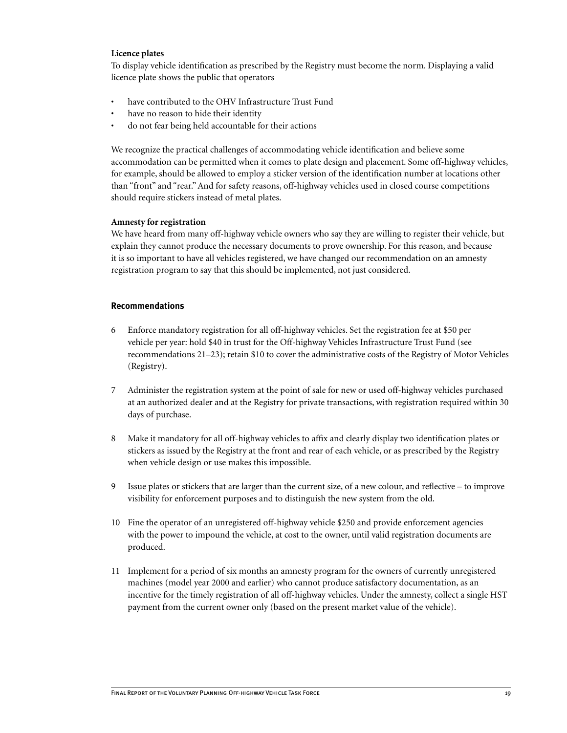#### **Licence plates**

To display vehicle identification as prescribed by the Registry must become the norm. Displaying a valid licence plate shows the public that operators

- have contributed to the OHV Infrastructure Trust Fund
- have no reason to hide their identity
- do not fear being held accountable for their actions

We recognize the practical challenges of accommodating vehicle identification and believe some accommodation can be permitted when it comes to plate design and placement. Some off-highway vehicles, for example, should be allowed to employ a sticker version of the identification number at locations other than "front" and "rear." And for safety reasons, off-highway vehicles used in closed course competitions should require stickers instead of metal plates.

#### **Amnesty for registration**

We have heard from many off-highway vehicle owners who say they are willing to register their vehicle, but explain they cannot produce the necessary documents to prove ownership. For this reason, and because it is so important to have all vehicles registered, we have changed our recommendation on an amnesty registration program to say that this should be implemented, not just considered.

#### **Recommendations**

- 6 Enforce mandatory registration for all off-highway vehicles. Set the registration fee at \$50 per vehicle per year: hold \$40 in trust for the Off-highway Vehicles Infrastructure Trust Fund (see recommendations 21–23); retain \$10 to cover the administrative costs of the Registry of Motor Vehicles (Registry).
- 7 Administer the registration system at the point of sale for new or used off-highway vehicles purchased at an authorized dealer and at the Registry for private transactions, with registration required within 30 days of purchase.
- 8 Make it mandatory for all off-highway vehicles to affix and clearly display two identification plates or stickers as issued by the Registry at the front and rear of each vehicle, or as prescribed by the Registry when vehicle design or use makes this impossible.
- 9 Issue plates or stickers that are larger than the current size, of a new colour, and reflective to improve visibility for enforcement purposes and to distinguish the new system from the old.
- 10 Fine the operator of an unregistered off-highway vehicle \$250 and provide enforcement agencies with the power to impound the vehicle, at cost to the owner, until valid registration documents are produced.
- 11 Implement for a period of six months an amnesty program for the owners of currently unregistered machines (model year 2000 and earlier) who cannot produce satisfactory documentation, as an incentive for the timely registration of all off-highway vehicles. Under the amnesty, collect a single HST payment from the current owner only (based on the present market value of the vehicle).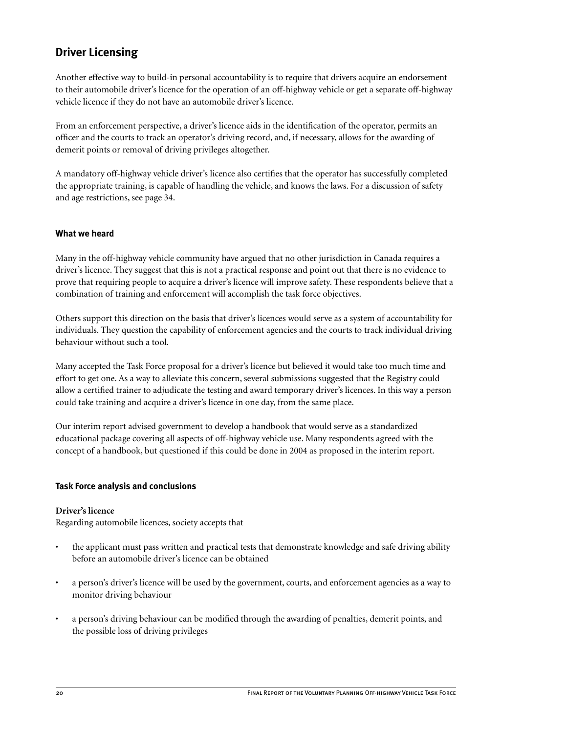# <span id="page-23-0"></span>**Driver Licensing**

Another effective way to build-in personal accountability is to require that drivers acquire an endorsement to their automobile driver's licence for the operation of an off-highway vehicle or get a separate off-highway vehicle licence if they do not have an automobile driver's licence.

From an enforcement perspective, a driver's licence aids in the identification of the operator, permits an officer and the courts to track an operator's driving record, and, if necessary, allows for the awarding of demerit points or removal of driving privileges altogether.

A mandatory off-highway vehicle driver's licence also certifies that the operator has successfully completed the appropriate training, is capable of handling the vehicle, and knows the laws. For a discussion of safety and age restrictions, see page 34.

### **What we heard**

Many in the off-highway vehicle community have argued that no other jurisdiction in Canada requires a driver's licence. They suggest that this is not a practical response and point out that there is no evidence to prove that requiring people to acquire a driver's licence will improve safety. These respondents believe that a combination of training and enforcement will accomplish the task force objectives.

Others support this direction on the basis that driver's licences would serve as a system of accountability for individuals. They question the capability of enforcement agencies and the courts to track individual driving behaviour without such a tool.

Many accepted the Task Force proposal for a driver's licence but believed it would take too much time and effort to get one. As a way to alleviate this concern, several submissions suggested that the Registry could allow a certified trainer to adjudicate the testing and award temporary driver's licences. In this way a person could take training and acquire a driver's licence in one day, from the same place.

Our interim report advised government to develop a handbook that would serve as a standardized educational package covering all aspects of off-highway vehicle use. Many respondents agreed with the concept of a handbook, but questioned if this could be done in 2004 as proposed in the interim report.

#### **Task Force analysis and conclusions**

#### **Driver's licence**

Regarding automobile licences, society accepts that

- the applicant must pass written and practical tests that demonstrate knowledge and safe driving ability before an automobile driver's licence can be obtained
- a person's driver's licence will be used by the government, courts, and enforcement agencies as a way to monitor driving behaviour
- a person's driving behaviour can be modified through the awarding of penalties, demerit points, and the possible loss of driving privileges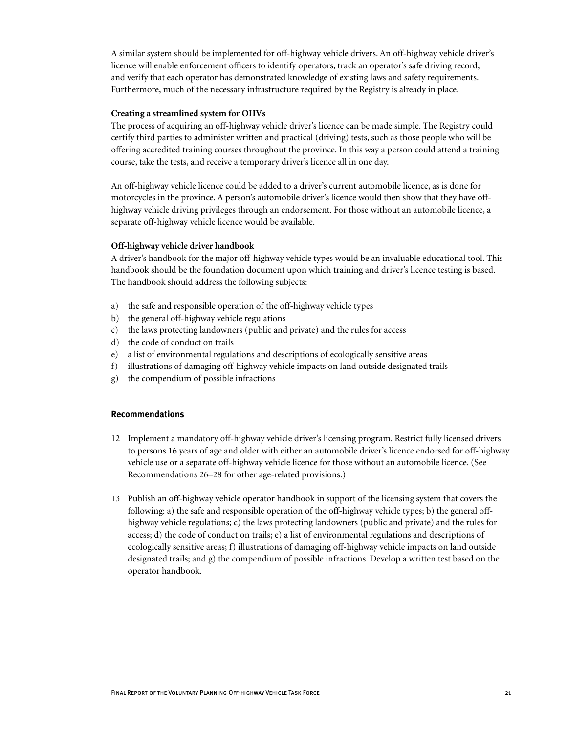A similar system should be implemented for off-highway vehicle drivers. An off-highway vehicle driver's licence will enable enforcement officers to identify operators, track an operator's safe driving record, and verify that each operator has demonstrated knowledge of existing laws and safety requirements. Furthermore, much of the necessary infrastructure required by the Registry is already in place.

#### **Creating a streamlined system for OHVs**

The process of acquiring an off-highway vehicle driver's licence can be made simple. The Registry could certify third parties to administer written and practical (driving) tests, such as those people who will be offering accredited training courses throughout the province. In this way a person could attend a training course, take the tests, and receive a temporary driver's licence all in one day.

An off-highway vehicle licence could be added to a driver's current automobile licence, as is done for motorcycles in the province. A person's automobile driver's licence would then show that they have offhighway vehicle driving privileges through an endorsement. For those without an automobile licence, a separate off-highway vehicle licence would be available.

#### **Off-highway vehicle driver handbook**

A driver's handbook for the major off-highway vehicle types would be an invaluable educational tool. This handbook should be the foundation document upon which training and driver's licence testing is based. The handbook should address the following subjects:

- a) the safe and responsible operation of the off-highway vehicle types
- b) the general off-highway vehicle regulations
- c) the laws protecting landowners (public and private) and the rules for access
- d) the code of conduct on trails
- e) a list of environmental regulations and descriptions of ecologically sensitive areas
- f) illustrations of damaging off-highway vehicle impacts on land outside designated trails
- g) the compendium of possible infractions

#### **Recommendations**

- 12 Implement a mandatory off-highway vehicle driver's licensing program. Restrict fully licensed drivers to persons 16 years of age and older with either an automobile driver's licence endorsed for off-highway vehicle use or a separate off-highway vehicle licence for those without an automobile licence. (See Recommendations 26–28 for other age-related provisions.)
- 13 Publish an off-highway vehicle operator handbook in support of the licensing system that covers the following: a) the safe and responsible operation of the off-highway vehicle types; b) the general offhighway vehicle regulations; c) the laws protecting landowners (public and private) and the rules for access; d) the code of conduct on trails; e) a list of environmental regulations and descriptions of ecologically sensitive areas; f) illustrations of damaging off-highway vehicle impacts on land outside designated trails; and g) the compendium of possible infractions. Develop a written test based on the operator handbook.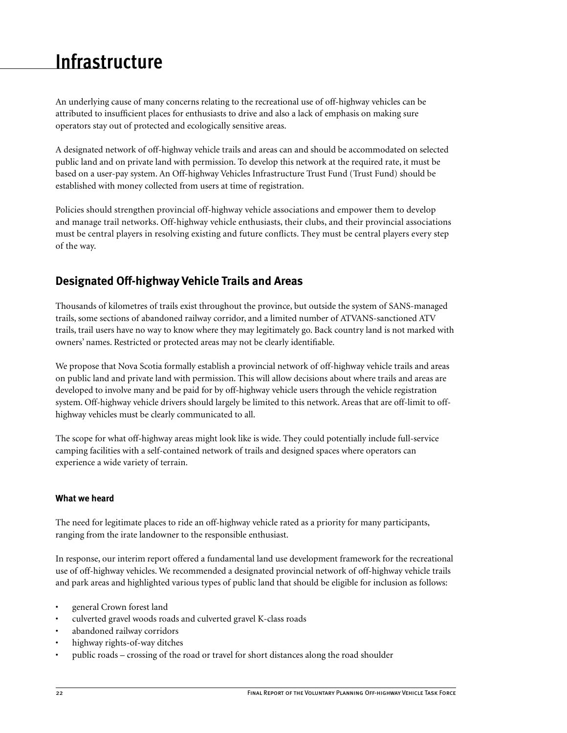# <span id="page-25-0"></span>**Infrastructure**

An underlying cause of many concerns relating to the recreational use of off-highway vehicles can be attributed to insufficient places for enthusiasts to drive and also a lack of emphasis on making sure operators stay out of protected and ecologically sensitive areas.

A designated network of off-highway vehicle trails and areas can and should be accommodated on selected public land and on private land with permission. To develop this network at the required rate, it must be based on a user-pay system. An Off-highway Vehicles Infrastructure Trust Fund (Trust Fund) should be established with money collected from users at time of registration.

Policies should strengthen provincial off-highway vehicle associations and empower them to develop and manage trail networks. Off-highway vehicle enthusiasts, their clubs, and their provincial associations must be central players in resolving existing and future conflicts. They must be central players every step of the way.

# **Designated Off-highway Vehicle Trails and Areas**

Thousands of kilometres of trails exist throughout the province, but outside the system of SANS-managed trails, some sections of abandoned railway corridor, and a limited number of ATVANS-sanctioned ATV trails, trail users have no way to know where they may legitimately go. Back country land is not marked with owners' names. Restricted or protected areas may not be clearly identifiable.

We propose that Nova Scotia formally establish a provincial network of off-highway vehicle trails and areas on public land and private land with permission. This will allow decisions about where trails and areas are developed to involve many and be paid for by off-highway vehicle users through the vehicle registration system. Off-highway vehicle drivers should largely be limited to this network. Areas that are off-limit to offhighway vehicles must be clearly communicated to all.

The scope for what off-highway areas might look like is wide. They could potentially include full-service camping facilities with a self-contained network of trails and designed spaces where operators can experience a wide variety of terrain.

## **What we heard**

The need for legitimate places to ride an off-highway vehicle rated as a priority for many participants, ranging from the irate landowner to the responsible enthusiast.

In response, our interim report offered a fundamental land use development framework for the recreational use of off-highway vehicles. We recommended a designated provincial network of off-highway vehicle trails and park areas and highlighted various types of public land that should be eligible for inclusion as follows:

- general Crown forest land
- culverted gravel woods roads and culverted gravel K-class roads
- abandoned railway corridors
- highway rights-of-way ditches
- public roads crossing of the road or travel for short distances along the road shoulder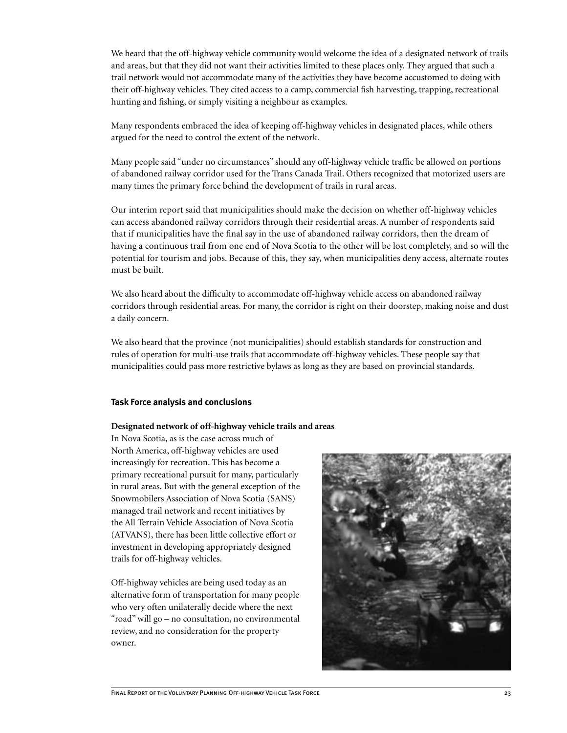We heard that the off-highway vehicle community would welcome the idea of a designated network of trails and areas, but that they did not want their activities limited to these places only. They argued that such a trail network would not accommodate many of the activities they have become accustomed to doing with their off-highway vehicles. They cited access to a camp, commercial fish harvesting, trapping, recreational hunting and fishing, or simply visiting a neighbour as examples.

Many respondents embraced the idea of keeping off-highway vehicles in designated places, while others argued for the need to control the extent of the network.

Many people said "under no circumstances" should any off-highway vehicle traffic be allowed on portions of abandoned railway corridor used for the Trans Canada Trail. Others recognized that motorized users are many times the primary force behind the development of trails in rural areas.

Our interim report said that municipalities should make the decision on whether off-highway vehicles can access abandoned railway corridors through their residential areas. A number of respondents said that if municipalities have the final say in the use of abandoned railway corridors, then the dream of having a continuous trail from one end of Nova Scotia to the other will be lost completely, and so will the potential for tourism and jobs. Because of this, they say, when municipalities deny access, alternate routes must be built.

We also heard about the difficulty to accommodate off-highway vehicle access on abandoned railway corridors through residential areas. For many, the corridor is right on their doorstep, making noise and dust a daily concern.

We also heard that the province (not municipalities) should establish standards for construction and rules of operation for multi-use trails that accommodate off-highway vehicles. These people say that municipalities could pass more restrictive bylaws as long as they are based on provincial standards.

#### **Task Force analysis and conclusions**

#### **Designated network of off-highway vehicle trails and areas**

In Nova Scotia, as is the case across much of North America, off-highway vehicles are used increasingly for recreation. This has become a primary recreational pursuit for many, particularly in rural areas. But with the general exception of the Snowmobilers Association of Nova Scotia (SANS) managed trail network and recent initiatives by the All Terrain Vehicle Association of Nova Scotia (ATVANS), there has been little collective effort or investment in developing appropriately designed trails for off-highway vehicles.

Off-highway vehicles are being used today as an alternative form of transportation for many people who very often unilaterally decide where the next "road" will go – no consultation, no environmental review, and no consideration for the property owner.

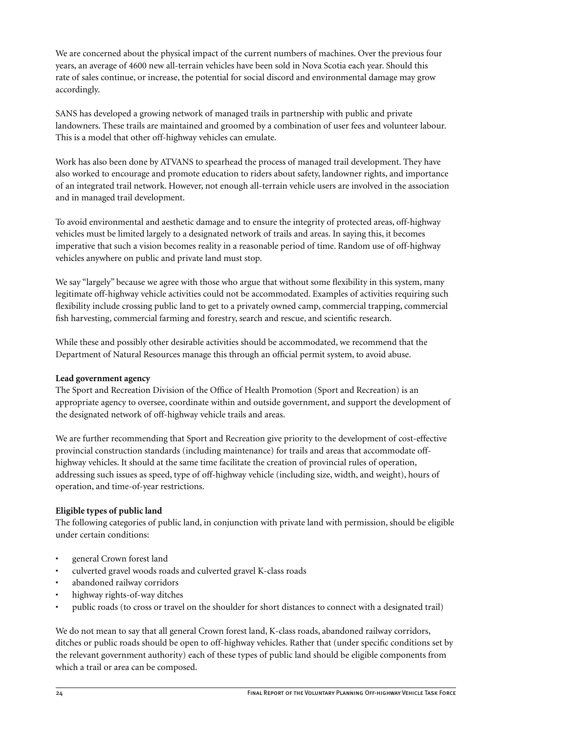We are concerned about the physical impact of the current numbers of machines. Over the previous four years, an average of 4600 new all-terrain vehicles have been sold in Nova Scotia each year. Should this rate of sales continue, or increase, the potential for social discord and environmental damage may grow accordingly.

SANS has developed a growing network of managed trails in partnership with public and private landowners. These trails are maintained and groomed by a combination of user fees and volunteer labour. This is a model that other off-highway vehicles can emulate.

Work has also been done by ATVANS to spearhead the process of managed trail development. They have also worked to encourage and promote education to riders about safety, landowner rights, and importance of an integrated trail network. However, not enough all-terrain vehicle users are involved in the association and in managed trail development.

To avoid environmental and aesthetic damage and to ensure the integrity of protected areas, off-highway vehicles must be limited largely to a designated network of trails and areas. In saying this, it becomes imperative that such a vision becomes reality in a reasonable period of time. Random use of off-highway vehicles anywhere on public and private land must stop.

We say "largely" because we agree with those who argue that without some flexibility in this system, many legitimate off-highway vehicle activities could not be accommodated. Examples of activities requiring such flexibility include crossing public land to get to a privately owned camp, commercial trapping, commercial fish harvesting, commercial farming and forestry, search and rescue, and scientific research.

While these and possibly other desirable activities should be accommodated, we recommend that the Department of Natural Resources manage this through an official permit system, to avoid abuse.

## **Lead government agency**

The Sport and Recreation Division of the Office of Health Promotion (Sport and Recreation) is an appropriate agency to oversee, coordinate within and outside government, and support the development of the designated network of off-highway vehicle trails and areas.

We are further recommending that Sport and Recreation give priority to the development of cost-effective provincial construction standards (including maintenance) for trails and areas that accommodate offhighway vehicles. It should at the same time facilitate the creation of provincial rules of operation, addressing such issues as speed, type of off-highway vehicle (including size, width, and weight), hours of operation, and time-of-year restrictions.

## **Eligible types of public land**

The following categories of public land, in conjunction with private land with permission, should be eligible under certain conditions:

- general Crown forest land
- culverted gravel woods roads and culverted gravel K-class roads
- abandoned railway corridors
- highway rights-of-way ditches
- public roads (to cross or travel on the shoulder for short distances to connect with a designated trail)

We do not mean to say that all general Crown forest land, K-class roads, abandoned railway corridors, ditches or public roads should be open to off-highway vehicles. Rather that (under specific conditions set by the relevant government authority) each of these types of public land should be eligible components from which a trail or area can be composed.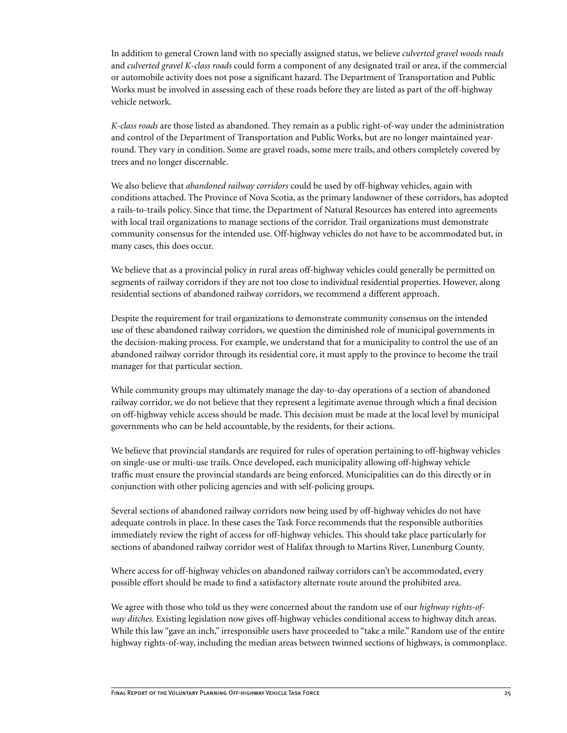In addition to general Crown land with no specially assigned status, we believe *culverted gravel woods roads* and *culverted gravel K-class roads* could form a component of any designated trail or area, if the commercial or automobile activity does not pose a significant hazard. The Department of Transportation and Public Works must be involved in assessing each of these roads before they are listed as part of the off-highway vehicle network.

*K-class roads* are those listed as abandoned. They remain as a public right-of-way under the administration and control of the Department of Transportation and Public Works, but are no longer maintained yearround. They vary in condition. Some are gravel roads, some mere trails, and others completely covered by trees and no longer discernable.

We also believe that *abandoned railway corridors* could be used by off-highway vehicles, again with conditions attached. The Province of Nova Scotia, as the primary landowner of these corridors, has adopted a rails-to-trails policy. Since that time, the Department of Natural Resources has entered into agreements with local trail organizations to manage sections of the corridor. Trail organizations must demonstrate community consensus for the intended use. Off-highway vehicles do not have to be accommodated but, in many cases, this does occur.

We believe that as a provincial policy in rural areas off-highway vehicles could generally be permitted on segments of railway corridors if they are not too close to individual residential properties. However, along residential sections of abandoned railway corridors, we recommend a different approach.

Despite the requirement for trail organizations to demonstrate community consensus on the intended use of these abandoned railway corridors, we question the diminished role of municipal governments in the decision-making process. For example, we understand that for a municipality to control the use of an abandoned railway corridor through its residential core, it must apply to the province to become the trail manager for that particular section.

While community groups may ultimately manage the day-to-day operations of a section of abandoned railway corridor, we do not believe that they represent a legitimate avenue through which a final decision on off-highway vehicle access should be made. This decision must be made at the local level by municipal governments who can be held accountable, by the residents, for their actions.

We believe that provincial standards are required for rules of operation pertaining to off-highway vehicles on single-use or multi-use trails. Once developed, each municipality allowing off-highway vehicle traffic must ensure the provincial standards are being enforced. Municipalities can do this directly or in conjunction with other policing agencies and with self-policing groups.

Several sections of abandoned railway corridors now being used by off-highway vehicles do not have adequate controls in place. In these cases the Task Force recommends that the responsible authorities immediately review the right of access for off-highway vehicles. This should take place particularly for sections of abandoned railway corridor west of Halifax through to Martins River, Lunenburg County.

Where access for off-highway vehicles on abandoned railway corridors can't be accommodated, every possible effort should be made to find a satisfactory alternate route around the prohibited area.

We agree with those who told us they were concerned about the random use of our *highway rights-ofway ditches.* Existing legislation now gives off-highway vehicles conditional access to highway ditch areas. While this law "gave an inch," irresponsible users have proceeded to "take a mile." Random use of the entire highway rights-of-way, including the median areas between twinned sections of highways, is commonplace.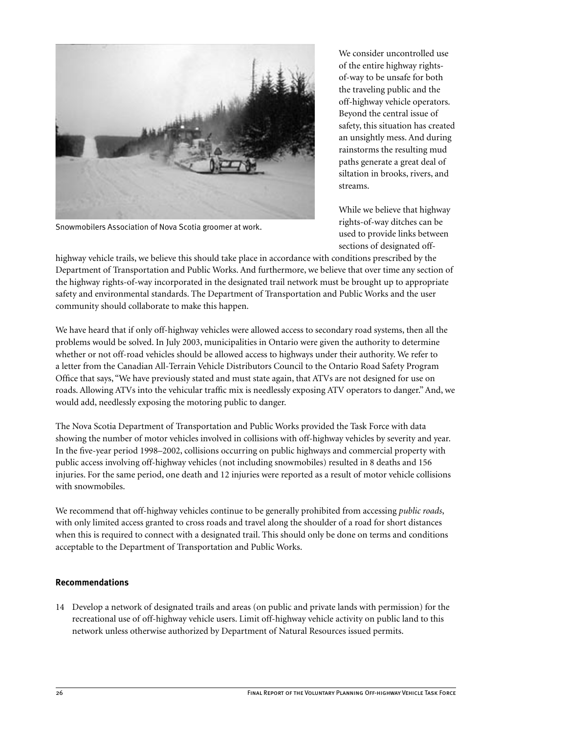

Snowmobilers Association of Nova Scotia groomer at work.

We consider uncontrolled use of the entire highway rightsof-way to be unsafe for both the traveling public and the off-highway vehicle operators. Beyond the central issue of safety, this situation has created an unsightly mess. And during rainstorms the resulting mud paths generate a great deal of siltation in brooks, rivers, and streams.

While we believe that highway rights-of-way ditches can be used to provide links between sections of designated off-

highway vehicle trails, we believe this should take place in accordance with conditions prescribed by the Department of Transportation and Public Works. And furthermore, we believe that over time any section of the highway rights-of-way incorporated in the designated trail network must be brought up to appropriate safety and environmental standards. The Department of Transportation and Public Works and the user community should collaborate to make this happen.

We have heard that if only off-highway vehicles were allowed access to secondary road systems, then all the problems would be solved. In July 2003, municipalities in Ontario were given the authority to determine whether or not off-road vehicles should be allowed access to highways under their authority. We refer to a letter from the Canadian All-Terrain Vehicle Distributors Council to the Ontario Road Safety Program Office that says, "We have previously stated and must state again, that ATVs are not designed for use on roads. Allowing ATVs into the vehicular traffic mix is needlessly exposing ATV operators to danger." And, we would add, needlessly exposing the motoring public to danger.

The Nova Scotia Department of Transportation and Public Works provided the Task Force with data showing the number of motor vehicles involved in collisions with off-highway vehicles by severity and year. In the five-year period 1998–2002, collisions occurring on public highways and commercial property with public access involving off-highway vehicles (not including snowmobiles) resulted in 8 deaths and 156 injuries. For the same period, one death and 12 injuries were reported as a result of motor vehicle collisions with snowmobiles

We recommend that off-highway vehicles continue to be generally prohibited from accessing *public roads*, with only limited access granted to cross roads and travel along the shoulder of a road for short distances when this is required to connect with a designated trail. This should only be done on terms and conditions acceptable to the Department of Transportation and Public Works.

#### **Recommendations**

14 Develop a network of designated trails and areas (on public and private lands with permission) for the recreational use of off-highway vehicle users. Limit off-highway vehicle activity on public land to this network unless otherwise authorized by Department of Natural Resources issued permits.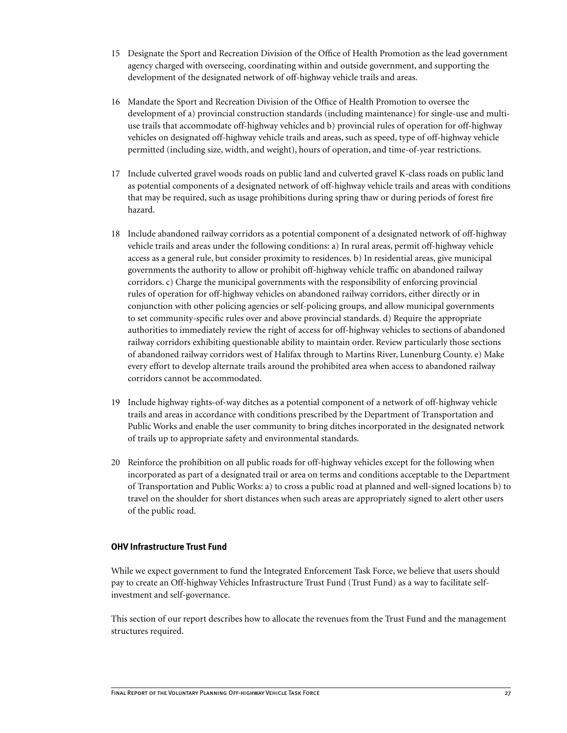- 15 Designate the Sport and Recreation Division of the Office of Health Promotion as the lead government agency charged with overseeing, coordinating within and outside government, and supporting the development of the designated network of off-highway vehicle trails and areas.
- 16 Mandate the Sport and Recreation Division of the Office of Health Promotion to oversee the development of a) provincial construction standards (including maintenance) for single-use and multiuse trails that accommodate off-highway vehicles and b) provincial rules of operation for off-highway vehicles on designated off-highway vehicle trails and areas, such as speed, type of off-highway vehicle permitted (including size, width, and weight), hours of operation, and time-of-year restrictions.
- 17 Include culverted gravel woods roads on public land and culverted gravel K-class roads on public land as potential components of a designated network of off-highway vehicle trails and areas with conditions that may be required, such as usage prohibitions during spring thaw or during periods of forest fire hazard.
- 18 Include abandoned railway corridors as a potential component of a designated network of off-highway vehicle trails and areas under the following conditions: a) In rural areas, permit off-highway vehicle access as a general rule, but consider proximity to residences. b) In residential areas, give municipal governments the authority to allow or prohibit off-highway vehicle traffic on abandoned railway corridors. c) Charge the municipal governments with the responsibility of enforcing provincial rules of operation for off-highway vehicles on abandoned railway corridors, either directly or in conjunction with other policing agencies or self-policing groups, and allow municipal governments to set community-specific rules over and above provincial standards. d) Require the appropriate authorities to immediately review the right of access for off-highway vehicles to sections of abandoned railway corridors exhibiting questionable ability to maintain order. Review particularly those sections of abandoned railway corridors west of Halifax through to Martins River, Lunenburg County. e) Make every effort to develop alternate trails around the prohibited area when access to abandoned railway corridors cannot be accommodated.
- 19 Include highway rights-of-way ditches as a potential component of a network of off-highway vehicle trails and areas in accordance with conditions prescribed by the Department of Transportation and Public Works and enable the user community to bring ditches incorporated in the designated network of trails up to appropriate safety and environmental standards.
- 20 Reinforce the prohibition on all public roads for off-highway vehicles except for the following when incorporated as part of a designated trail or area on terms and conditions acceptable to the Department of Transportation and Public Works: a) to cross a public road at planned and well-signed locations b) to travel on the shoulder for short distances when such areas are appropriately signed to alert other users of the public road.

#### **OHV Infrastructure Trust Fund**

While we expect government to fund the Integrated Enforcement Task Force, we believe that users should pay to create an Off-highway Vehicles Infrastructure Trust Fund (Trust Fund) as a way to facilitate selfinvestment and self-governance.

This section of our report describes how to allocate the revenues from the Trust Fund and the management structures required.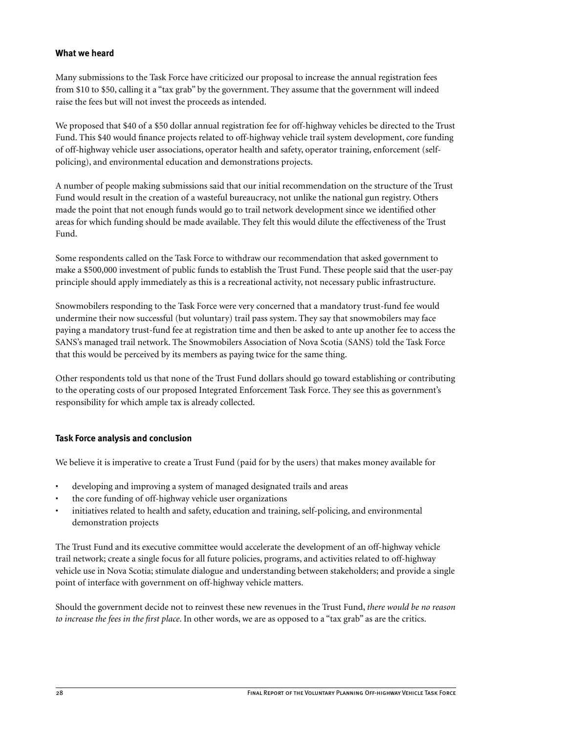### **What we heard**

Many submissions to the Task Force have criticized our proposal to increase the annual registration fees from \$10 to \$50, calling it a "tax grab" by the government. They assume that the government will indeed raise the fees but will not invest the proceeds as intended.

We proposed that \$40 of a \$50 dollar annual registration fee for off-highway vehicles be directed to the Trust Fund. This \$40 would finance projects related to off-highway vehicle trail system development, core funding of off-highway vehicle user associations, operator health and safety, operator training, enforcement (selfpolicing), and environmental education and demonstrations projects.

A number of people making submissions said that our initial recommendation on the structure of the Trust Fund would result in the creation of a wasteful bureaucracy, not unlike the national gun registry. Others made the point that not enough funds would go to trail network development since we identified other areas for which funding should be made available. They felt this would dilute the effectiveness of the Trust Fund.

Some respondents called on the Task Force to withdraw our recommendation that asked government to make a \$500,000 investment of public funds to establish the Trust Fund. These people said that the user-pay principle should apply immediately as this is a recreational activity, not necessary public infrastructure.

Snowmobilers responding to the Task Force were very concerned that a mandatory trust-fund fee would undermine their now successful (but voluntary) trail pass system. They say that snowmobilers may face paying a mandatory trust-fund fee at registration time and then be asked to ante up another fee to access the SANS's managed trail network. The Snowmobilers Association of Nova Scotia (SANS) told the Task Force that this would be perceived by its members as paying twice for the same thing.

Other respondents told us that none of the Trust Fund dollars should go toward establishing or contributing to the operating costs of our proposed Integrated Enforcement Task Force. They see this as government's responsibility for which ample tax is already collected.

#### **Task Force analysis and conclusion**

We believe it is imperative to create a Trust Fund (paid for by the users) that makes money available for

- developing and improving a system of managed designated trails and areas
- the core funding of off-highway vehicle user organizations
- initiatives related to health and safety, education and training, self-policing, and environmental demonstration projects

The Trust Fund and its executive committee would accelerate the development of an off-highway vehicle trail network; create a single focus for all future policies, programs, and activities related to off-highway vehicle use in Nova Scotia; stimulate dialogue and understanding between stakeholders; and provide a single point of interface with government on off-highway vehicle matters.

Should the government decide not to reinvest these new revenues in the Trust Fund, *there would be no reason to increase the fees in the first place*. In other words, we are as opposed to a "tax grab" as are the critics.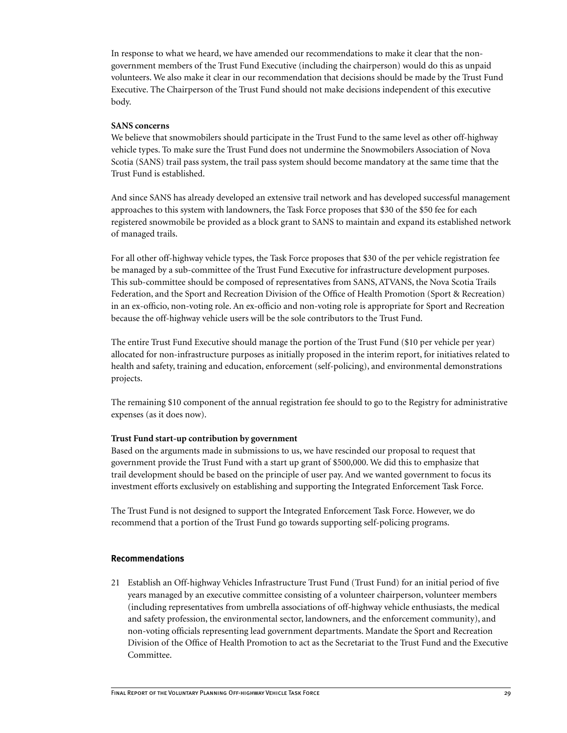In response to what we heard, we have amended our recommendations to make it clear that the nongovernment members of the Trust Fund Executive (including the chairperson) would do this as unpaid volunteers. We also make it clear in our recommendation that decisions should be made by the Trust Fund Executive. The Chairperson of the Trust Fund should not make decisions independent of this executive body.

#### **SANS concerns**

We believe that snowmobilers should participate in the Trust Fund to the same level as other off-highway vehicle types. To make sure the Trust Fund does not undermine the Snowmobilers Association of Nova Scotia (SANS) trail pass system, the trail pass system should become mandatory at the same time that the Trust Fund is established.

And since SANS has already developed an extensive trail network and has developed successful management approaches to this system with landowners, the Task Force proposes that \$30 of the \$50 fee for each registered snowmobile be provided as a block grant to SANS to maintain and expand its established network of managed trails.

For all other off-highway vehicle types, the Task Force proposes that \$30 of the per vehicle registration fee be managed by a sub-committee of the Trust Fund Executive for infrastructure development purposes. This sub-committee should be composed of representatives from SANS, ATVANS, the Nova Scotia Trails Federation, and the Sport and Recreation Division of the Office of Health Promotion (Sport & Recreation) in an ex-officio, non-voting role. An ex-officio and non-voting role is appropriate for Sport and Recreation because the off-highway vehicle users will be the sole contributors to the Trust Fund.

The entire Trust Fund Executive should manage the portion of the Trust Fund (\$10 per vehicle per year) allocated for non-infrastructure purposes as initially proposed in the interim report, for initiatives related to health and safety, training and education, enforcement (self-policing), and environmental demonstrations projects.

The remaining \$10 component of the annual registration fee should to go to the Registry for administrative expenses (as it does now).

#### **Trust Fund start-up contribution by government**

Based on the arguments made in submissions to us, we have rescinded our proposal to request that government provide the Trust Fund with a start up grant of \$500,000. We did this to emphasize that trail development should be based on the principle of user pay. And we wanted government to focus its investment efforts exclusively on establishing and supporting the Integrated Enforcement Task Force.

The Trust Fund is not designed to support the Integrated Enforcement Task Force. However, we do recommend that a portion of the Trust Fund go towards supporting self-policing programs.

#### **Recommendations**

21 Establish an Off-highway Vehicles Infrastructure Trust Fund (Trust Fund) for an initial period of five years managed by an executive committee consisting of a volunteer chairperson, volunteer members (including representatives from umbrella associations of off-highway vehicle enthusiasts, the medical and safety profession, the environmental sector, landowners, and the enforcement community), and non-voting officials representing lead government departments. Mandate the Sport and Recreation Division of the Office of Health Promotion to act as the Secretariat to the Trust Fund and the Executive Committee.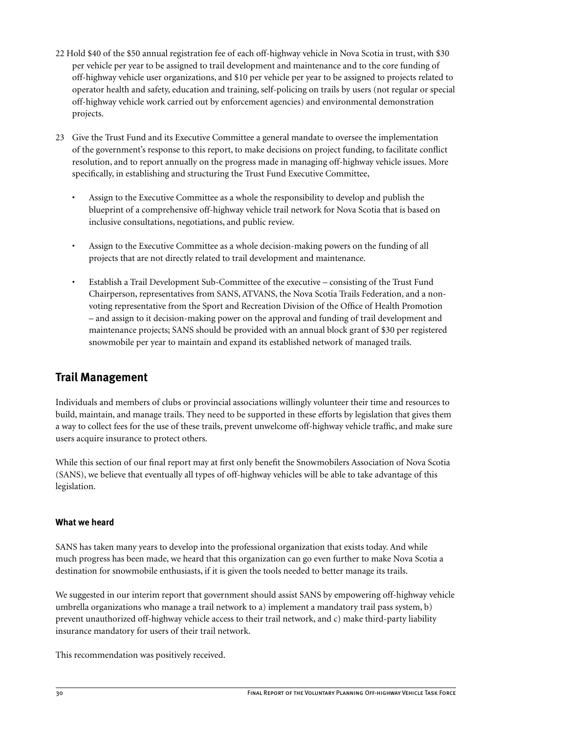- <span id="page-33-0"></span>22 Hold \$40 of the \$50 annual registration fee of each off-highway vehicle in Nova Scotia in trust, with \$30 per vehicle per year to be assigned to trail development and maintenance and to the core funding of off-highway vehicle user organizations, and \$10 per vehicle per year to be assigned to projects related to operator health and safety, education and training, self-policing on trails by users (not regular or special off-highway vehicle work carried out by enforcement agencies) and environmental demonstration projects.
- 23 Give the Trust Fund and its Executive Committee a general mandate to oversee the implementation of the government's response to this report, to make decisions on project funding, to facilitate conflict resolution, and to report annually on the progress made in managing off-highway vehicle issues. More specifically, in establishing and structuring the Trust Fund Executive Committee,
	- Assign to the Executive Committee as a whole the responsibility to develop and publish the blueprint of a comprehensive off-highway vehicle trail network for Nova Scotia that is based on inclusive consultations, negotiations, and public review.
	- Assign to the Executive Committee as a whole decision-making powers on the funding of all projects that are not directly related to trail development and maintenance.
	- Establish a Trail Development Sub-Committee of the executive consisting of the Trust Fund Chairperson, representatives from SANS, ATVANS, the Nova Scotia Trails Federation, and a nonvoting representative from the Sport and Recreation Division of the Office of Health Promotion – and assign to it decision-making power on the approval and funding of trail development and maintenance projects; SANS should be provided with an annual block grant of \$30 per registered snowmobile per year to maintain and expand its established network of managed trails.

# **Trail Management**

Individuals and members of clubs or provincial associations willingly volunteer their time and resources to build, maintain, and manage trails. They need to be supported in these efforts by legislation that gives them a way to collect fees for the use of these trails, prevent unwelcome off-highway vehicle traffic, and make sure users acquire insurance to protect others.

While this section of our final report may at first only benefit the Snowmobilers Association of Nova Scotia (SANS), we believe that eventually all types of off-highway vehicles will be able to take advantage of this legislation.

## **What we heard**

SANS has taken many years to develop into the professional organization that exists today. And while much progress has been made, we heard that this organization can go even further to make Nova Scotia a destination for snowmobile enthusiasts, if it is given the tools needed to better manage its trails.

We suggested in our interim report that government should assist SANS by empowering off-highway vehicle umbrella organizations who manage a trail network to a) implement a mandatory trail pass system, b) prevent unauthorized off-highway vehicle access to their trail network, and c) make third-party liability insurance mandatory for users of their trail network.

This recommendation was positively received.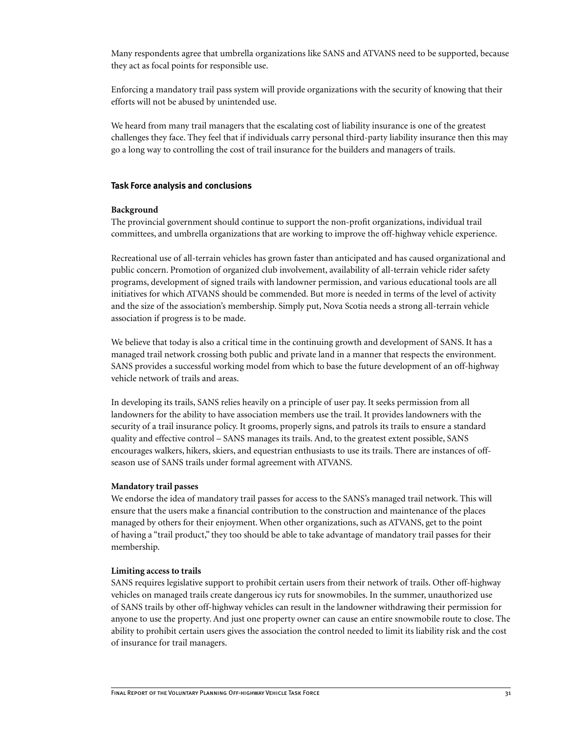Many respondents agree that umbrella organizations like SANS and ATVANS need to be supported, because they act as focal points for responsible use.

Enforcing a mandatory trail pass system will provide organizations with the security of knowing that their efforts will not be abused by unintended use.

We heard from many trail managers that the escalating cost of liability insurance is one of the greatest challenges they face. They feel that if individuals carry personal third-party liability insurance then this may go a long way to controlling the cost of trail insurance for the builders and managers of trails.

#### **Task Force analysis and conclusions**

#### **Background**

The provincial government should continue to support the non-profit organizations, individual trail committees, and umbrella organizations that are working to improve the off-highway vehicle experience.

Recreational use of all-terrain vehicles has grown faster than anticipated and has caused organizational and public concern. Promotion of organized club involvement, availability of all-terrain vehicle rider safety programs, development of signed trails with landowner permission, and various educational tools are all initiatives for which ATVANS should be commended. But more is needed in terms of the level of activity and the size of the association's membership. Simply put, Nova Scotia needs a strong all-terrain vehicle association if progress is to be made.

We believe that today is also a critical time in the continuing growth and development of SANS. It has a managed trail network crossing both public and private land in a manner that respects the environment. SANS provides a successful working model from which to base the future development of an off-highway vehicle network of trails and areas.

In developing its trails, SANS relies heavily on a principle of user pay. It seeks permission from all landowners for the ability to have association members use the trail. It provides landowners with the security of a trail insurance policy. It grooms, properly signs, and patrols its trails to ensure a standard quality and effective control – SANS manages its trails. And, to the greatest extent possible, SANS encourages walkers, hikers, skiers, and equestrian enthusiasts to use its trails. There are instances of offseason use of SANS trails under formal agreement with ATVANS.

#### **Mandatory trail passes**

We endorse the idea of mandatory trail passes for access to the SANS's managed trail network. This will ensure that the users make a financial contribution to the construction and maintenance of the places managed by others for their enjoyment. When other organizations, such as ATVANS, get to the point of having a "trail product," they too should be able to take advantage of mandatory trail passes for their membership.

#### **Limiting access to trails**

SANS requires legislative support to prohibit certain users from their network of trails. Other off-highway vehicles on managed trails create dangerous icy ruts for snowmobiles. In the summer, unauthorized use of SANS trails by other off-highway vehicles can result in the landowner withdrawing their permission for anyone to use the property. And just one property owner can cause an entire snowmobile route to close. The ability to prohibit certain users gives the association the control needed to limit its liability risk and the cost of insurance for trail managers.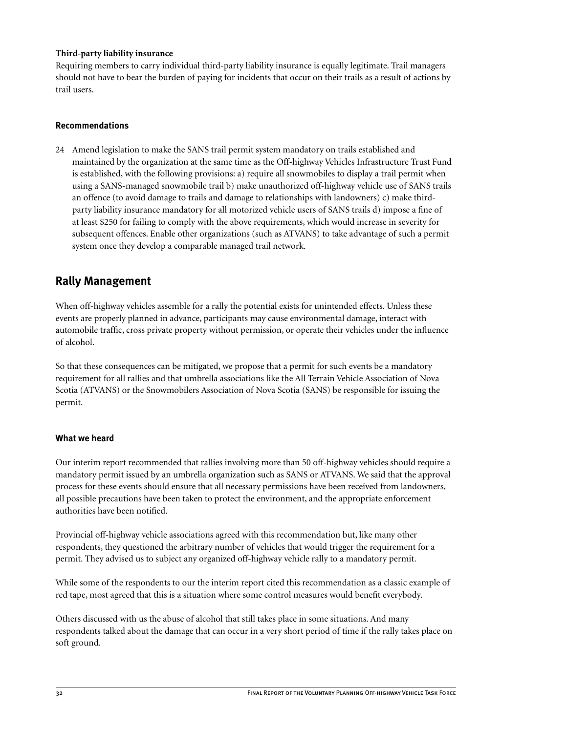### <span id="page-35-0"></span>**Third-party liability insurance**

Requiring members to carry individual third-party liability insurance is equally legitimate. Trail managers should not have to bear the burden of paying for incidents that occur on their trails as a result of actions by trail users.

#### **Recommendations**

24 Amend legislation to make the SANS trail permit system mandatory on trails established and maintained by the organization at the same time as the Off-highway Vehicles Infrastructure Trust Fund is established, with the following provisions: a) require all snowmobiles to display a trail permit when using a SANS-managed snowmobile trail b) make unauthorized off-highway vehicle use of SANS trails an offence (to avoid damage to trails and damage to relationships with landowners) c) make thirdparty liability insurance mandatory for all motorized vehicle users of SANS trails d) impose a fine of at least \$250 for failing to comply with the above requirements, which would increase in severity for subsequent offences. Enable other organizations (such as ATVANS) to take advantage of such a permit system once they develop a comparable managed trail network.

# **Rally Management**

When off-highway vehicles assemble for a rally the potential exists for unintended effects. Unless these events are properly planned in advance, participants may cause environmental damage, interact with automobile traffic, cross private property without permission, or operate their vehicles under the influence of alcohol.

So that these consequences can be mitigated, we propose that a permit for such events be a mandatory requirement for all rallies and that umbrella associations like the All Terrain Vehicle Association of Nova Scotia (ATVANS) or the Snowmobilers Association of Nova Scotia (SANS) be responsible for issuing the permit.

## **What we heard**

Our interim report recommended that rallies involving more than 50 off-highway vehicles should require a mandatory permit issued by an umbrella organization such as SANS or ATVANS. We said that the approval process for these events should ensure that all necessary permissions have been received from landowners, all possible precautions have been taken to protect the environment, and the appropriate enforcement authorities have been notified.

Provincial off-highway vehicle associations agreed with this recommendation but, like many other respondents, they questioned the arbitrary number of vehicles that would trigger the requirement for a permit. They advised us to subject any organized off-highway vehicle rally to a mandatory permit.

While some of the respondents to our the interim report cited this recommendation as a classic example of red tape, most agreed that this is a situation where some control measures would benefit everybody.

Others discussed with us the abuse of alcohol that still takes place in some situations. And many respondents talked about the damage that can occur in a very short period of time if the rally takes place on soft ground.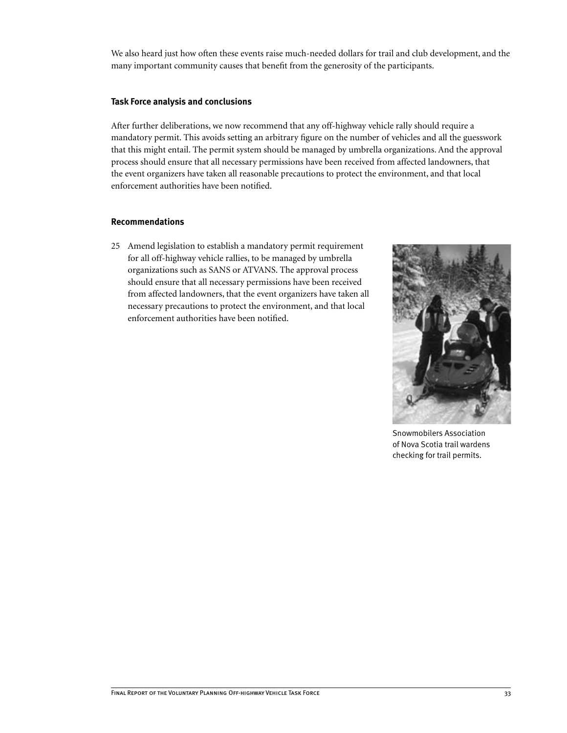We also heard just how often these events raise much-needed dollars for trail and club development, and the many important community causes that benefit from the generosity of the participants.

#### **Task Force analysis and conclusions**

After further deliberations, we now recommend that any off-highway vehicle rally should require a mandatory permit. This avoids setting an arbitrary figure on the number of vehicles and all the guesswork that this might entail. The permit system should be managed by umbrella organizations. And the approval process should ensure that all necessary permissions have been received from affected landowners, that the event organizers have taken all reasonable precautions to protect the environment, and that local enforcement authorities have been notified.

#### **Recommendations**

25 Amend legislation to establish a mandatory permit requirement for all off-highway vehicle rallies, to be managed by umbrella organizations such as SANS or ATVANS. The approval process should ensure that all necessary permissions have been received from affected landowners, that the event organizers have taken all necessary precautions to protect the environment, and that local enforcement authorities have been notified.



Snowmobilers Association of Nova Scotia trail wardens checking for trail permits.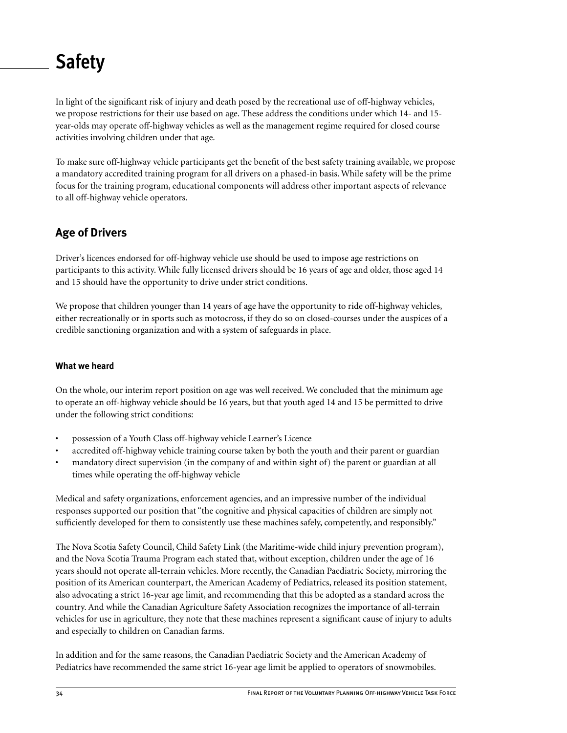# **Safety**

In light of the significant risk of injury and death posed by the recreational use of off-highway vehicles, we propose restrictions for their use based on age. These address the conditions under which 14- and 15 year-olds may operate off-highway vehicles as well as the management regime required for closed course activities involving children under that age.

To make sure off-highway vehicle participants get the benefit of the best safety training available, we propose a mandatory accredited training program for all drivers on a phased-in basis. While safety will be the prime focus for the training program, educational components will address other important aspects of relevance to all off-highway vehicle operators.

# **Age of Drivers**

Driver's licences endorsed for off-highway vehicle use should be used to impose age restrictions on participants to this activity. While fully licensed drivers should be 16 years of age and older, those aged 14 and 15 should have the opportunity to drive under strict conditions.

We propose that children younger than 14 years of age have the opportunity to ride off-highway vehicles, either recreationally or in sports such as motocross, if they do so on closed-courses under the auspices of a credible sanctioning organization and with a system of safeguards in place.

# **What we heard**

On the whole, our interim report position on age was well received. We concluded that the minimum age to operate an off-highway vehicle should be 16 years, but that youth aged 14 and 15 be permitted to drive under the following strict conditions:

- possession of a Youth Class off-highway vehicle Learner's Licence
- accredited off-highway vehicle training course taken by both the youth and their parent or guardian
- mandatory direct supervision (in the company of and within sight of) the parent or guardian at all times while operating the off-highway vehicle

Medical and safety organizations, enforcement agencies, and an impressive number of the individual responses supported our position that "the cognitive and physical capacities of children are simply not sufficiently developed for them to consistently use these machines safely, competently, and responsibly."

The Nova Scotia Safety Council, Child Safety Link (the Maritime-wide child injury prevention program), and the Nova Scotia Trauma Program each stated that, without exception, children under the age of 16 years should not operate all-terrain vehicles. More recently, the Canadian Paediatric Society, mirroring the position of its American counterpart, the American Academy of Pediatrics, released its position statement, also advocating a strict 16-year age limit, and recommending that this be adopted as a standard across the country. And while the Canadian Agriculture Safety Association recognizes the importance of all-terrain vehicles for use in agriculture, they note that these machines represent a significant cause of injury to adults and especially to children on Canadian farms.

In addition and for the same reasons, the Canadian Paediatric Society and the American Academy of Pediatrics have recommended the same strict 16-year age limit be applied to operators of snowmobiles.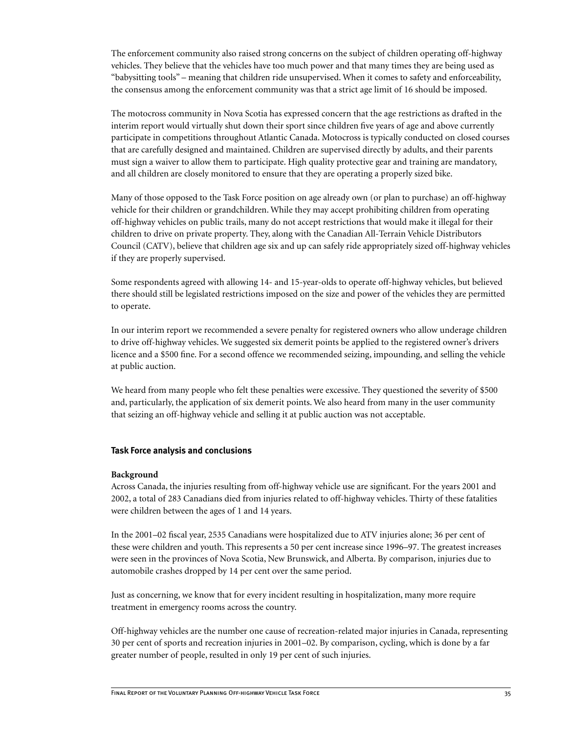The enforcement community also raised strong concerns on the subject of children operating off-highway vehicles. They believe that the vehicles have too much power and that many times they are being used as "babysitting tools" – meaning that children ride unsupervised. When it comes to safety and enforceability, the consensus among the enforcement community was that a strict age limit of 16 should be imposed.

The motocross community in Nova Scotia has expressed concern that the age restrictions as drafted in the interim report would virtually shut down their sport since children five years of age and above currently participate in competitions throughout Atlantic Canada. Motocross is typically conducted on closed courses that are carefully designed and maintained. Children are supervised directly by adults, and their parents must sign a waiver to allow them to participate. High quality protective gear and training are mandatory, and all children are closely monitored to ensure that they are operating a properly sized bike.

Many of those opposed to the Task Force position on age already own (or plan to purchase) an off-highway vehicle for their children or grandchildren. While they may accept prohibiting children from operating off-highway vehicles on public trails, many do not accept restrictions that would make it illegal for their children to drive on private property. They, along with the Canadian All-Terrain Vehicle Distributors Council (CATV), believe that children age six and up can safely ride appropriately sized off-highway vehicles if they are properly supervised.

Some respondents agreed with allowing 14- and 15-year-olds to operate off-highway vehicles, but believed there should still be legislated restrictions imposed on the size and power of the vehicles they are permitted to operate.

In our interim report we recommended a severe penalty for registered owners who allow underage children to drive off-highway vehicles. We suggested six demerit points be applied to the registered owner's drivers licence and a \$500 fine. For a second offence we recommended seizing, impounding, and selling the vehicle at public auction.

We heard from many people who felt these penalties were excessive. They questioned the severity of \$500 and, particularly, the application of six demerit points. We also heard from many in the user community that seizing an off-highway vehicle and selling it at public auction was not acceptable.

#### **Task Force analysis and conclusions**

#### **Background**

Across Canada, the injuries resulting from off-highway vehicle use are significant. For the years 2001 and 2002, a total of 283 Canadians died from injuries related to off-highway vehicles. Thirty of these fatalities were children between the ages of 1 and 14 years.

In the 2001–02 fiscal year, 2535 Canadians were hospitalized due to ATV injuries alone; 36 per cent of these were children and youth. This represents a 50 per cent increase since 1996–97. The greatest increases were seen in the provinces of Nova Scotia, New Brunswick, and Alberta. By comparison, injuries due to automobile crashes dropped by 14 per cent over the same period.

Just as concerning, we know that for every incident resulting in hospitalization, many more require treatment in emergency rooms across the country.

Off-highway vehicles are the number one cause of recreation-related major injuries in Canada, representing 30 per cent of sports and recreation injuries in 2001–02. By comparison, cycling, which is done by a far greater number of people, resulted in only 19 per cent of such injuries.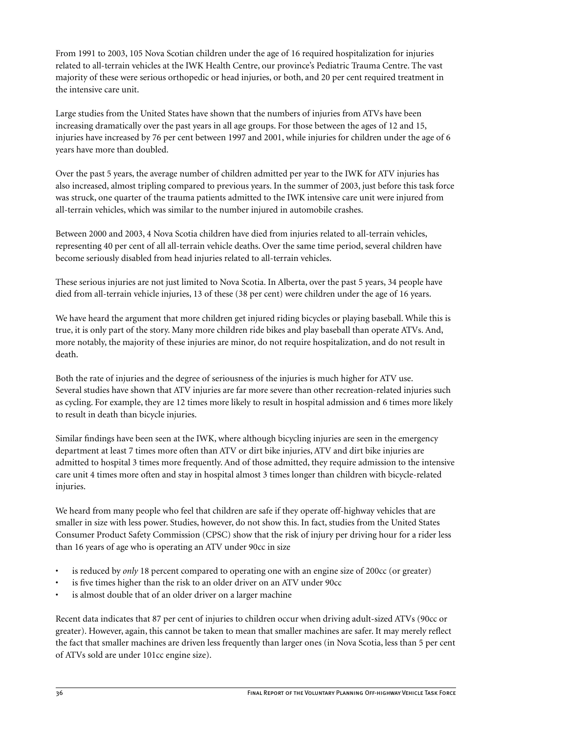From 1991 to 2003, 105 Nova Scotian children under the age of 16 required hospitalization for injuries related to all-terrain vehicles at the IWK Health Centre, our province's Pediatric Trauma Centre. The vast majority of these were serious orthopedic or head injuries, or both, and 20 per cent required treatment in the intensive care unit.

Large studies from the United States have shown that the numbers of injuries from ATVs have been increasing dramatically over the past years in all age groups. For those between the ages of 12 and 15, injuries have increased by 76 per cent between 1997 and 2001, while injuries for children under the age of 6 years have more than doubled.

Over the past 5 years, the average number of children admitted per year to the IWK for ATV injuries has also increased, almost tripling compared to previous years. In the summer of 2003, just before this task force was struck, one quarter of the trauma patients admitted to the IWK intensive care unit were injured from all-terrain vehicles, which was similar to the number injured in automobile crashes.

Between 2000 and 2003, 4 Nova Scotia children have died from injuries related to all-terrain vehicles, representing 40 per cent of all all-terrain vehicle deaths. Over the same time period, several children have become seriously disabled from head injuries related to all-terrain vehicles.

These serious injuries are not just limited to Nova Scotia. In Alberta, over the past 5 years, 34 people have died from all-terrain vehicle injuries, 13 of these (38 per cent) were children under the age of 16 years.

We have heard the argument that more children get injured riding bicycles or playing baseball. While this is true, it is only part of the story. Many more children ride bikes and play baseball than operate ATVs. And, more notably, the majority of these injuries are minor, do not require hospitalization, and do not result in death.

Both the rate of injuries and the degree of seriousness of the injuries is much higher for ATV use. Several studies have shown that ATV injuries are far more severe than other recreation-related injuries such as cycling. For example, they are 12 times more likely to result in hospital admission and 6 times more likely to result in death than bicycle injuries.

Similar findings have been seen at the IWK, where although bicycling injuries are seen in the emergency department at least 7 times more often than ATV or dirt bike injuries, ATV and dirt bike injuries are admitted to hospital 3 times more frequently. And of those admitted, they require admission to the intensive care unit 4 times more often and stay in hospital almost 3 times longer than children with bicycle-related injuries.

We heard from many people who feel that children are safe if they operate off-highway vehicles that are smaller in size with less power. Studies, however, do not show this. In fact, studies from the United States Consumer Product Safety Commission (CPSC) show that the risk of injury per driving hour for a rider less than 16 years of age who is operating an ATV under 90cc in size

- is reduced by *only* 18 percent compared to operating one with an engine size of 200cc (or greater)
- is five times higher than the risk to an older driver on an ATV under 90cc
- is almost double that of an older driver on a larger machine

Recent data indicates that 87 per cent of injuries to children occur when driving adult-sized ATVs (90cc or greater). However, again, this cannot be taken to mean that smaller machines are safer. It may merely reflect the fact that smaller machines are driven less frequently than larger ones (in Nova Scotia, less than 5 per cent of ATVs sold are under 101cc engine size).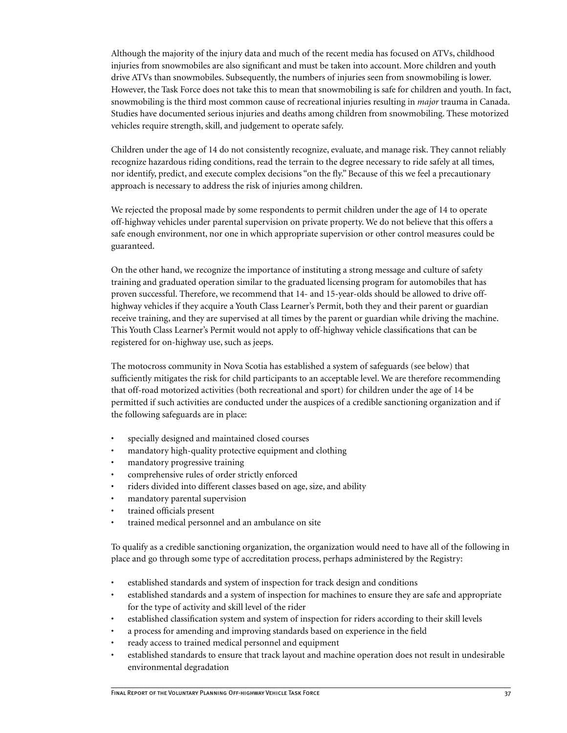Although the majority of the injury data and much of the recent media has focused on ATVs, childhood injuries from snowmobiles are also significant and must be taken into account. More children and youth drive ATVs than snowmobiles. Subsequently, the numbers of injuries seen from snowmobiling is lower. However, the Task Force does not take this to mean that snowmobiling is safe for children and youth. In fact, snowmobiling is the third most common cause of recreational injuries resulting in *major* trauma in Canada. Studies have documented serious injuries and deaths among children from snowmobiling. These motorized vehicles require strength, skill, and judgement to operate safely.

Children under the age of 14 do not consistently recognize, evaluate, and manage risk. They cannot reliably recognize hazardous riding conditions, read the terrain to the degree necessary to ride safely at all times, nor identify, predict, and execute complex decisions "on the fly." Because of this we feel a precautionary approach is necessary to address the risk of injuries among children.

We rejected the proposal made by some respondents to permit children under the age of 14 to operate off-highway vehicles under parental supervision on private property. We do not believe that this offers a safe enough environment, nor one in which appropriate supervision or other control measures could be guaranteed.

On the other hand, we recognize the importance of instituting a strong message and culture of safety training and graduated operation similar to the graduated licensing program for automobiles that has proven successful. Therefore, we recommend that 14- and 15-year-olds should be allowed to drive offhighway vehicles if they acquire a Youth Class Learner's Permit, both they and their parent or guardian receive training, and they are supervised at all times by the parent or guardian while driving the machine. This Youth Class Learner's Permit would not apply to off-highway vehicle classifications that can be registered for on-highway use, such as jeeps.

The motocross community in Nova Scotia has established a system of safeguards (see below) that sufficiently mitigates the risk for child participants to an acceptable level. We are therefore recommending that off-road motorized activities (both recreational and sport) for children under the age of 14 be permitted if such activities are conducted under the auspices of a credible sanctioning organization and if the following safeguards are in place:

- specially designed and maintained closed courses
- mandatory high-quality protective equipment and clothing
- mandatory progressive training
- comprehensive rules of order strictly enforced
- riders divided into different classes based on age, size, and ability
- mandatory parental supervision
- trained officials present
- trained medical personnel and an ambulance on site

To qualify as a credible sanctioning organization, the organization would need to have all of the following in place and go through some type of accreditation process, perhaps administered by the Registry:

- established standards and system of inspection for track design and conditions
- established standards and a system of inspection for machines to ensure they are safe and appropriate for the type of activity and skill level of the rider
- established classification system and system of inspection for riders according to their skill levels
- a process for amending and improving standards based on experience in the field
- ready access to trained medical personnel and equipment
- established standards to ensure that track layout and machine operation does not result in undesirable environmental degradation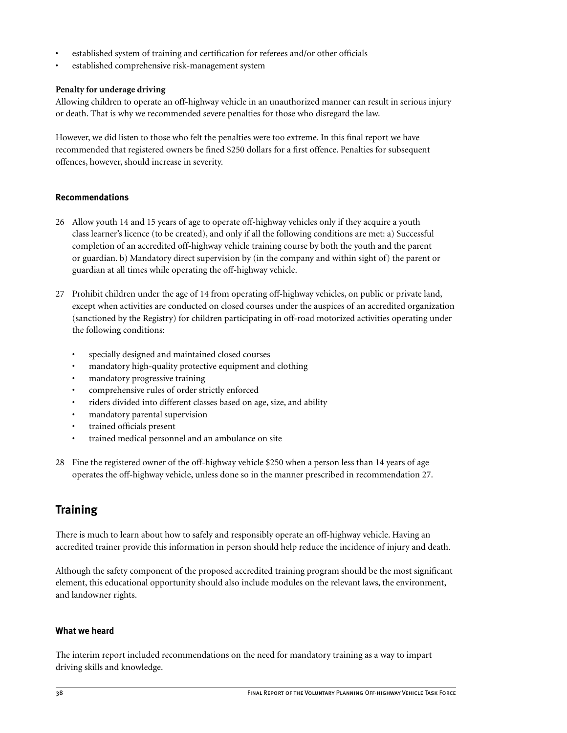- established system of training and certification for referees and/or other officials
- established comprehensive risk-management system

# **Penalty for underage driving**

Allowing children to operate an off-highway vehicle in an unauthorized manner can result in serious injury or death. That is why we recommended severe penalties for those who disregard the law.

However, we did listen to those who felt the penalties were too extreme. In this final report we have recommended that registered owners be fined \$250 dollars for a first offence. Penalties for subsequent offences, however, should increase in severity.

# **Recommendations**

- 26 Allow youth 14 and 15 years of age to operate off-highway vehicles only if they acquire a youth class learner's licence (to be created), and only if all the following conditions are met: a) Successful completion of an accredited off-highway vehicle training course by both the youth and the parent or guardian. b) Mandatory direct supervision by (in the company and within sight of) the parent or guardian at all times while operating the off-highway vehicle.
- 27 Prohibit children under the age of 14 from operating off-highway vehicles, on public or private land, except when activities are conducted on closed courses under the auspices of an accredited organization (sanctioned by the Registry) for children participating in off-road motorized activities operating under the following conditions:
	- specially designed and maintained closed courses
	- mandatory high-quality protective equipment and clothing
	- mandatory progressive training
	- comprehensive rules of order strictly enforced
	- riders divided into different classes based on age, size, and ability
	- mandatory parental supervision
	- trained officials present
	- trained medical personnel and an ambulance on site
- 28 Fine the registered owner of the off-highway vehicle \$250 when a person less than 14 years of age operates the off-highway vehicle, unless done so in the manner prescribed in recommendation 27.

# **Training**

There is much to learn about how to safely and responsibly operate an off-highway vehicle. Having an accredited trainer provide this information in person should help reduce the incidence of injury and death.

Although the safety component of the proposed accredited training program should be the most significant element, this educational opportunity should also include modules on the relevant laws, the environment, and landowner rights.

# **What we heard**

The interim report included recommendations on the need for mandatory training as a way to impart driving skills and knowledge.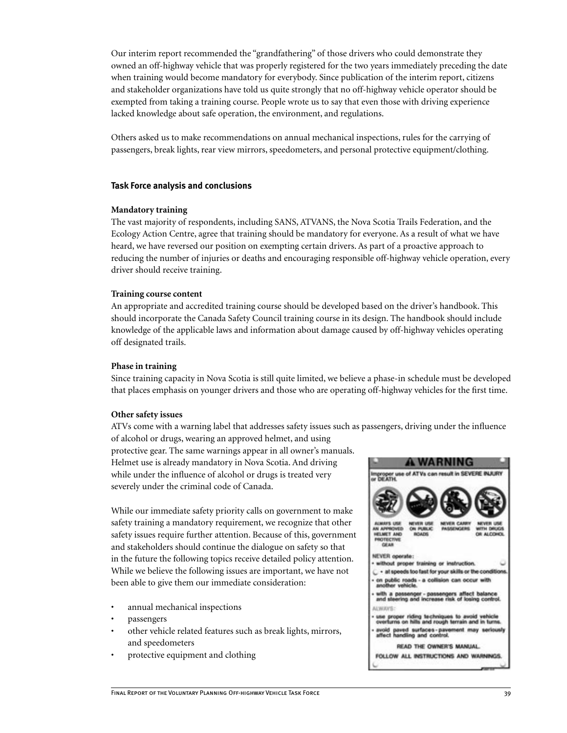Our interim report recommended the "grandfathering" of those drivers who could demonstrate they owned an off-highway vehicle that was properly registered for the two years immediately preceding the date when training would become mandatory for everybody. Since publication of the interim report, citizens and stakeholder organizations have told us quite strongly that no off-highway vehicle operator should be exempted from taking a training course. People wrote us to say that even those with driving experience lacked knowledge about safe operation, the environment, and regulations.

Others asked us to make recommendations on annual mechanical inspections, rules for the carrying of passengers, break lights, rear view mirrors, speedometers, and personal protective equipment/clothing.

#### **Task Force analysis and conclusions**

#### **Mandatory training**

The vast majority of respondents, including SANS, ATVANS, the Nova Scotia Trails Federation, and the Ecology Action Centre, agree that training should be mandatory for everyone. As a result of what we have heard, we have reversed our position on exempting certain drivers. As part of a proactive approach to reducing the number of injuries or deaths and encouraging responsible off-highway vehicle operation, every driver should receive training.

#### **Training course content**

An appropriate and accredited training course should be developed based on the driver's handbook. This should incorporate the Canada Safety Council training course in its design. The handbook should include knowledge of the applicable laws and information about damage caused by off-highway vehicles operating off designated trails.

#### **Phase in training**

Since training capacity in Nova Scotia is still quite limited, we believe a phase-in schedule must be developed that places emphasis on younger drivers and those who are operating off-highway vehicles for the first time.

#### **Other safety issues**

ATVs come with a warning label that addresses safety issues such as passengers, driving under the influence of alcohol or drugs, wearing an approved helmet, and using

protective gear. The same warnings appear in all owner's manuals. Helmet use is already mandatory in Nova Scotia. And driving while under the influence of alcohol or drugs is treated very severely under the criminal code of Canada.

While our immediate safety priority calls on government to make safety training a mandatory requirement, we recognize that other safety issues require further attention. Because of this, government and stakeholders should continue the dialogue on safety so that in the future the following topics receive detailed policy attention. While we believe the following issues are important, we have not been able to give them our immediate consideration:

- annual mechanical inspections
- passengers
- other vehicle related features such as break lights, mirrors, and speedometers
- protective equipment and clothing

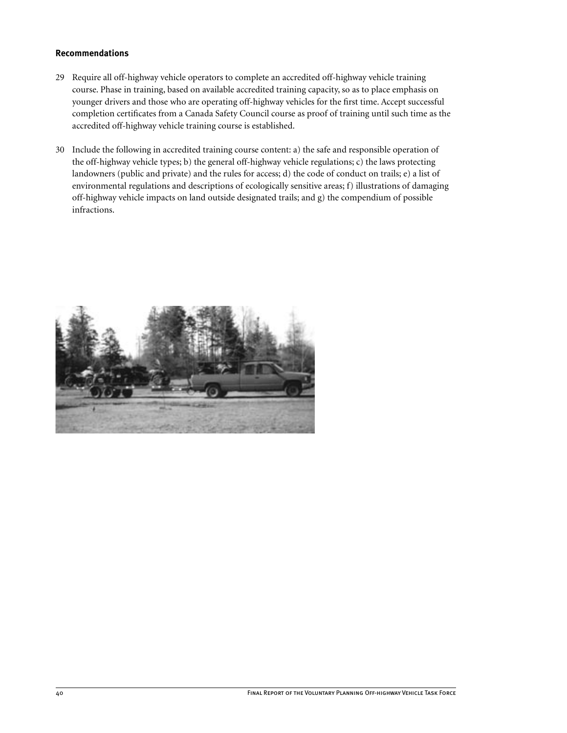# **Recommendations**

- 29 Require all off-highway vehicle operators to complete an accredited off-highway vehicle training course. Phase in training, based on available accredited training capacity, so as to place emphasis on younger drivers and those who are operating off-highway vehicles for the first time. Accept successful completion certificates from a Canada Safety Council course as proof of training until such time as the accredited off-highway vehicle training course is established.
- 30 Include the following in accredited training course content: a) the safe and responsible operation of the off-highway vehicle types; b) the general off-highway vehicle regulations; c) the laws protecting landowners (public and private) and the rules for access; d) the code of conduct on trails; e) a list of environmental regulations and descriptions of ecologically sensitive areas; f) illustrations of damaging off-highway vehicle impacts on land outside designated trails; and g) the compendium of possible infractions.

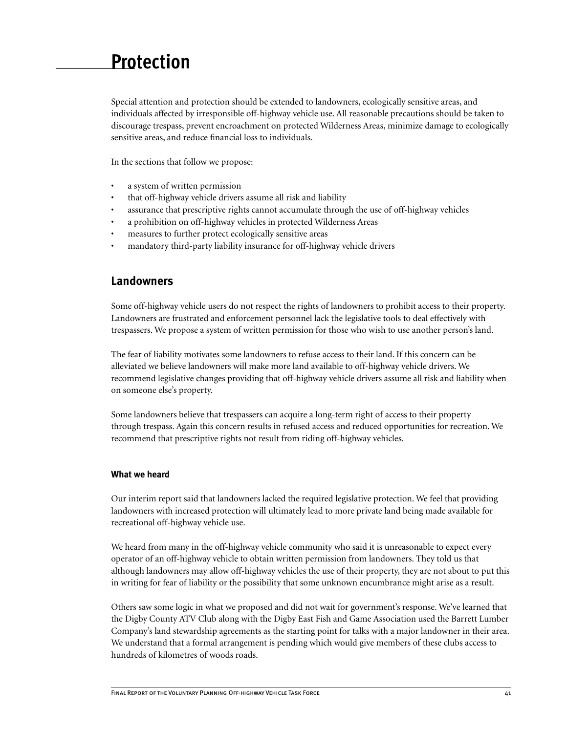# **Protection**

Special attention and protection should be extended to landowners, ecologically sensitive areas, and individuals affected by irresponsible off-highway vehicle use. All reasonable precautions should be taken to discourage trespass, prevent encroachment on protected Wilderness Areas, minimize damage to ecologically sensitive areas, and reduce financial loss to individuals.

In the sections that follow we propose:

- a system of written permission
- that off-highway vehicle drivers assume all risk and liability
- assurance that prescriptive rights cannot accumulate through the use of off-highway vehicles
- a prohibition on off-highway vehicles in protected Wilderness Areas
- measures to further protect ecologically sensitive areas
- mandatory third-party liability insurance for off-highway vehicle drivers

# **Landowners**

Some off-highway vehicle users do not respect the rights of landowners to prohibit access to their property. Landowners are frustrated and enforcement personnel lack the legislative tools to deal effectively with trespassers. We propose a system of written permission for those who wish to use another person's land.

The fear of liability motivates some landowners to refuse access to their land. If this concern can be alleviated we believe landowners will make more land available to off-highway vehicle drivers. We recommend legislative changes providing that off-highway vehicle drivers assume all risk and liability when on someone else's property.

Some landowners believe that trespassers can acquire a long-term right of access to their property through trespass. Again this concern results in refused access and reduced opportunities for recreation. We recommend that prescriptive rights not result from riding off-highway vehicles.

#### **What we heard**

Our interim report said that landowners lacked the required legislative protection. We feel that providing landowners with increased protection will ultimately lead to more private land being made available for recreational off-highway vehicle use.

We heard from many in the off-highway vehicle community who said it is unreasonable to expect every operator of an off-highway vehicle to obtain written permission from landowners. They told us that although landowners may allow off-highway vehicles the use of their property, they are not about to put this in writing for fear of liability or the possibility that some unknown encumbrance might arise as a result.

Others saw some logic in what we proposed and did not wait for government's response. We've learned that the Digby County ATV Club along with the Digby East Fish and Game Association used the Barrett Lumber Company's land stewardship agreements as the starting point for talks with a major landowner in their area. We understand that a formal arrangement is pending which would give members of these clubs access to hundreds of kilometres of woods roads.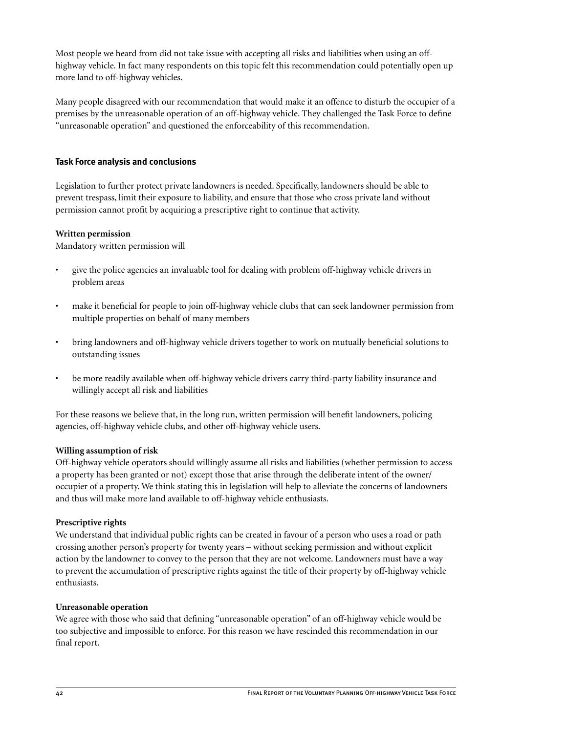Most people we heard from did not take issue with accepting all risks and liabilities when using an offhighway vehicle. In fact many respondents on this topic felt this recommendation could potentially open up more land to off-highway vehicles.

Many people disagreed with our recommendation that would make it an offence to disturb the occupier of a premises by the unreasonable operation of an off-highway vehicle. They challenged the Task Force to define "unreasonable operation" and questioned the enforceability of this recommendation.

# **Task Force analysis and conclusions**

Legislation to further protect private landowners is needed. Specifically, landowners should be able to prevent trespass, limit their exposure to liability, and ensure that those who cross private land without permission cannot profit by acquiring a prescriptive right to continue that activity.

# **Written permission**

Mandatory written permission will

- give the police agencies an invaluable tool for dealing with problem off-highway vehicle drivers in problem areas
- make it beneficial for people to join off-highway vehicle clubs that can seek landowner permission from multiple properties on behalf of many members
- bring landowners and off-highway vehicle drivers together to work on mutually beneficial solutions to outstanding issues
- be more readily available when off-highway vehicle drivers carry third-party liability insurance and willingly accept all risk and liabilities

For these reasons we believe that, in the long run, written permission will benefit landowners, policing agencies, off-highway vehicle clubs, and other off-highway vehicle users.

# **Willing assumption of risk**

Off-highway vehicle operators should willingly assume all risks and liabilities (whether permission to access a property has been granted or not) except those that arise through the deliberate intent of the owner/ occupier of a property. We think stating this in legislation will help to alleviate the concerns of landowners and thus will make more land available to off-highway vehicle enthusiasts.

# **Prescriptive rights**

We understand that individual public rights can be created in favour of a person who uses a road or path crossing another person's property for twenty years – without seeking permission and without explicit action by the landowner to convey to the person that they are not welcome. Landowners must have a way to prevent the accumulation of prescriptive rights against the title of their property by off-highway vehicle enthusiasts.

# **Unreasonable operation**

We agree with those who said that defining "unreasonable operation" of an off-highway vehicle would be too subjective and impossible to enforce. For this reason we have rescinded this recommendation in our final report.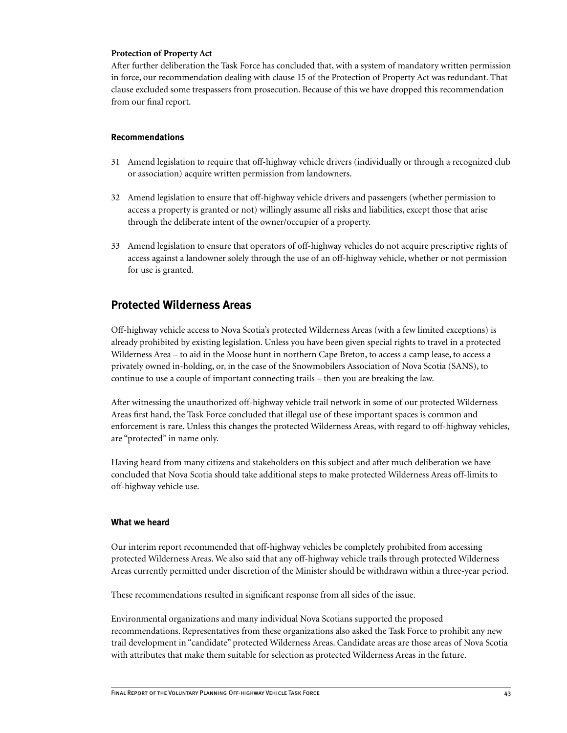#### **Protection of Property Act**

After further deliberation the Task Force has concluded that, with a system of mandatory written permission in force, our recommendation dealing with clause 15 of the Protection of Property Act was redundant. That clause excluded some trespassers from prosecution. Because of this we have dropped this recommendation from our final report.

#### **Recommendations**

- 31 Amend legislation to require that off-highway vehicle drivers (individually or through a recognized club or association) acquire written permission from landowners.
- 32 Amend legislation to ensure that off-highway vehicle drivers and passengers (whether permission to access a property is granted or not) willingly assume all risks and liabilities, except those that arise through the deliberate intent of the owner/occupier of a property.
- 33 Amend legislation to ensure that operators of off-highway vehicles do not acquire prescriptive rights of access against a landowner solely through the use of an off-highway vehicle, whether or not permission for use is granted.

# **Protected Wilderness Areas**

Off-highway vehicle access to Nova Scotia's protected Wilderness Areas (with a few limited exceptions) is already prohibited by existing legislation. Unless you have been given special rights to travel in a protected Wilderness Area – to aid in the Moose hunt in northern Cape Breton, to access a camp lease, to access a privately owned in-holding, or, in the case of the Snowmobilers Association of Nova Scotia (SANS), to continue to use a couple of important connecting trails – then you are breaking the law.

After witnessing the unauthorized off-highway vehicle trail network in some of our protected Wilderness Areas first hand, the Task Force concluded that illegal use of these important spaces is common and enforcement is rare. Unless this changes the protected Wilderness Areas, with regard to off-highway vehicles, are "protected" in name only.

Having heard from many citizens and stakeholders on this subject and after much deliberation we have concluded that Nova Scotia should take additional steps to make protected Wilderness Areas off-limits to off-highway vehicle use.

#### **What we heard**

Our interim report recommended that off-highway vehicles be completely prohibited from accessing protected Wilderness Areas. We also said that any off-highway vehicle trails through protected Wilderness Areas currently permitted under discretion of the Minister should be withdrawn within a three-year period.

These recommendations resulted in significant response from all sides of the issue.

Environmental organizations and many individual Nova Scotians supported the proposed recommendations. Representatives from these organizations also asked the Task Force to prohibit any new trail development in "candidate" protected Wilderness Areas. Candidate areas are those areas of Nova Scotia with attributes that make them suitable for selection as protected Wilderness Areas in the future.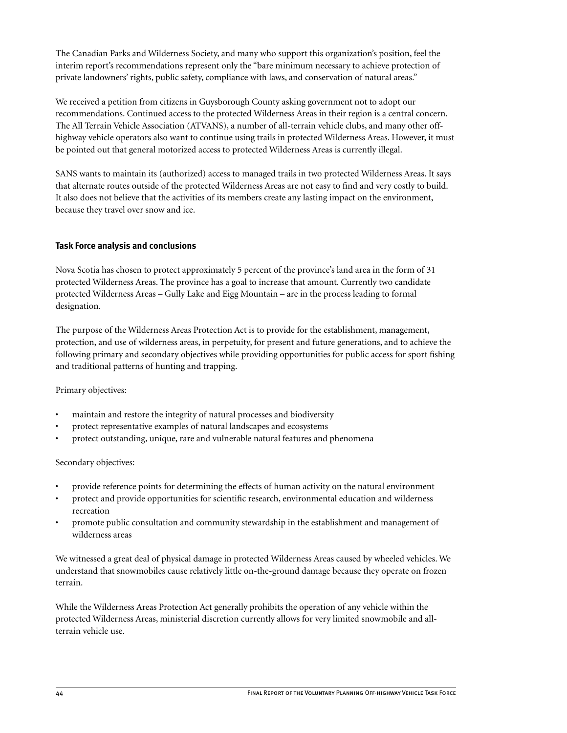The Canadian Parks and Wilderness Society, and many who support this organization's position, feel the interim report's recommendations represent only the "bare minimum necessary to achieve protection of private landowners' rights, public safety, compliance with laws, and conservation of natural areas."

We received a petition from citizens in Guysborough County asking government not to adopt our recommendations. Continued access to the protected Wilderness Areas in their region is a central concern. The All Terrain Vehicle Association (ATVANS), a number of all-terrain vehicle clubs, and many other offhighway vehicle operators also want to continue using trails in protected Wilderness Areas. However, it must be pointed out that general motorized access to protected Wilderness Areas is currently illegal.

SANS wants to maintain its (authorized) access to managed trails in two protected Wilderness Areas. It says that alternate routes outside of the protected Wilderness Areas are not easy to find and very costly to build. It also does not believe that the activities of its members create any lasting impact on the environment, because they travel over snow and ice.

# **Task Force analysis and conclusions**

Nova Scotia has chosen to protect approximately 5 percent of the province's land area in the form of 31 protected Wilderness Areas. The province has a goal to increase that amount. Currently two candidate protected Wilderness Areas – Gully Lake and Eigg Mountain – are in the process leading to formal designation.

The purpose of the Wilderness Areas Protection Act is to provide for the establishment, management, protection, and use of wilderness areas, in perpetuity, for present and future generations, and to achieve the following primary and secondary objectives while providing opportunities for public access for sport fishing and traditional patterns of hunting and trapping.

# Primary objectives:

- maintain and restore the integrity of natural processes and biodiversity
- protect representative examples of natural landscapes and ecosystems
- protect outstanding, unique, rare and vulnerable natural features and phenomena

# Secondary objectives:

- provide reference points for determining the effects of human activity on the natural environment
- protect and provide opportunities for scientific research, environmental education and wilderness recreation
- promote public consultation and community stewardship in the establishment and management of wilderness areas

We witnessed a great deal of physical damage in protected Wilderness Areas caused by wheeled vehicles. We understand that snowmobiles cause relatively little on-the-ground damage because they operate on frozen terrain.

While the Wilderness Areas Protection Act generally prohibits the operation of any vehicle within the protected Wilderness Areas, ministerial discretion currently allows for very limited snowmobile and allterrain vehicle use.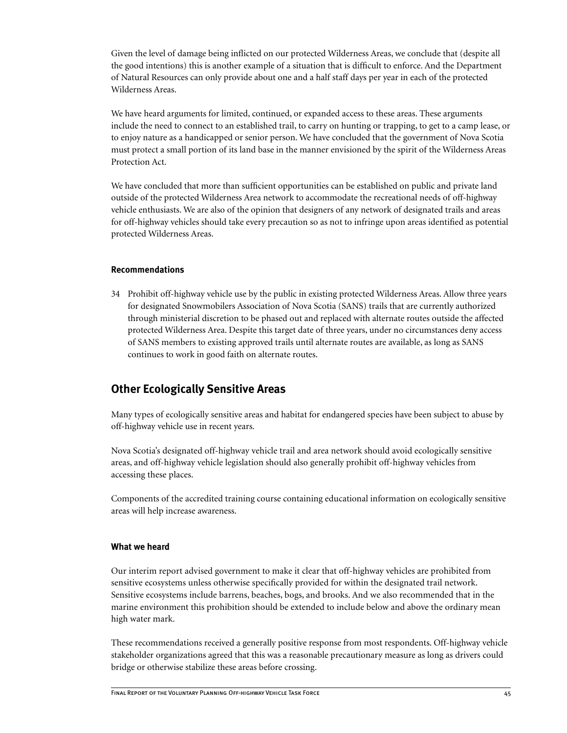Given the level of damage being inflicted on our protected Wilderness Areas, we conclude that (despite all the good intentions) this is another example of a situation that is difficult to enforce. And the Department of Natural Resources can only provide about one and a half staff days per year in each of the protected Wilderness Areas.

We have heard arguments for limited, continued, or expanded access to these areas. These arguments include the need to connect to an established trail, to carry on hunting or trapping, to get to a camp lease, or to enjoy nature as a handicapped or senior person. We have concluded that the government of Nova Scotia must protect a small portion of its land base in the manner envisioned by the spirit of the Wilderness Areas Protection Act.

We have concluded that more than sufficient opportunities can be established on public and private land outside of the protected Wilderness Area network to accommodate the recreational needs of off-highway vehicle enthusiasts. We are also of the opinion that designers of any network of designated trails and areas for off-highway vehicles should take every precaution so as not to infringe upon areas identified as potential protected Wilderness Areas.

# **Recommendations**

34 Prohibit off-highway vehicle use by the public in existing protected Wilderness Areas. Allow three years for designated Snowmobilers Association of Nova Scotia (SANS) trails that are currently authorized through ministerial discretion to be phased out and replaced with alternate routes outside the affected protected Wilderness Area. Despite this target date of three years, under no circumstances deny access of SANS members to existing approved trails until alternate routes are available, as long as SANS continues to work in good faith on alternate routes.

# **Other Ecologically Sensitive Areas**

Many types of ecologically sensitive areas and habitat for endangered species have been subject to abuse by off-highway vehicle use in recent years.

Nova Scotia's designated off-highway vehicle trail and area network should avoid ecologically sensitive areas, and off-highway vehicle legislation should also generally prohibit off-highway vehicles from accessing these places.

Components of the accredited training course containing educational information on ecologically sensitive areas will help increase awareness.

# **What we heard**

Our interim report advised government to make it clear that off-highway vehicles are prohibited from sensitive ecosystems unless otherwise specifically provided for within the designated trail network. Sensitive ecosystems include barrens, beaches, bogs, and brooks. And we also recommended that in the marine environment this prohibition should be extended to include below and above the ordinary mean high water mark.

These recommendations received a generally positive response from most respondents. Off-highway vehicle stakeholder organizations agreed that this was a reasonable precautionary measure as long as drivers could bridge or otherwise stabilize these areas before crossing.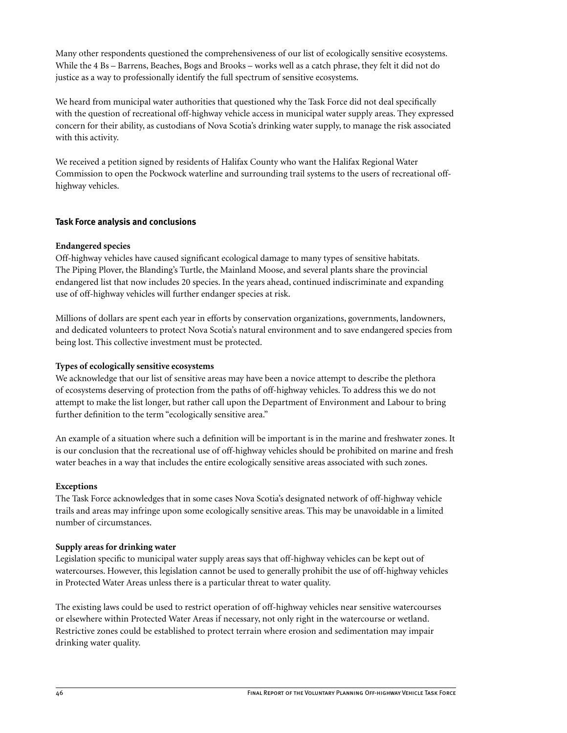Many other respondents questioned the comprehensiveness of our list of ecologically sensitive ecosystems. While the 4 Bs – Barrens, Beaches, Bogs and Brooks – works well as a catch phrase, they felt it did not do justice as a way to professionally identify the full spectrum of sensitive ecosystems.

We heard from municipal water authorities that questioned why the Task Force did not deal specifically with the question of recreational off-highway vehicle access in municipal water supply areas. They expressed concern for their ability, as custodians of Nova Scotia's drinking water supply, to manage the risk associated with this activity.

We received a petition signed by residents of Halifax County who want the Halifax Regional Water Commission to open the Pockwock waterline and surrounding trail systems to the users of recreational offhighway vehicles.

# **Task Force analysis and conclusions**

# **Endangered species**

Off-highway vehicles have caused significant ecological damage to many types of sensitive habitats. The Piping Plover, the Blanding's Turtle, the Mainland Moose, and several plants share the provincial endangered list that now includes 20 species. In the years ahead, continued indiscriminate and expanding use of off-highway vehicles will further endanger species at risk.

Millions of dollars are spent each year in efforts by conservation organizations, governments, landowners, and dedicated volunteers to protect Nova Scotia's natural environment and to save endangered species from being lost. This collective investment must be protected.

#### **Types of ecologically sensitive ecosystems**

We acknowledge that our list of sensitive areas may have been a novice attempt to describe the plethora of ecosystems deserving of protection from the paths of off-highway vehicles. To address this we do not attempt to make the list longer, but rather call upon the Department of Environment and Labour to bring further definition to the term "ecologically sensitive area."

An example of a situation where such a definition will be important is in the marine and freshwater zones. It is our conclusion that the recreational use of off-highway vehicles should be prohibited on marine and fresh water beaches in a way that includes the entire ecologically sensitive areas associated with such zones.

# **Exceptions**

The Task Force acknowledges that in some cases Nova Scotia's designated network of off-highway vehicle trails and areas may infringe upon some ecologically sensitive areas. This may be unavoidable in a limited number of circumstances.

# **Supply areas for drinking water**

Legislation specific to municipal water supply areas says that off-highway vehicles can be kept out of watercourses. However, this legislation cannot be used to generally prohibit the use of off-highway vehicles in Protected Water Areas unless there is a particular threat to water quality.

The existing laws could be used to restrict operation of off-highway vehicles near sensitive watercourses or elsewhere within Protected Water Areas if necessary, not only right in the watercourse or wetland. Restrictive zones could be established to protect terrain where erosion and sedimentation may impair drinking water quality.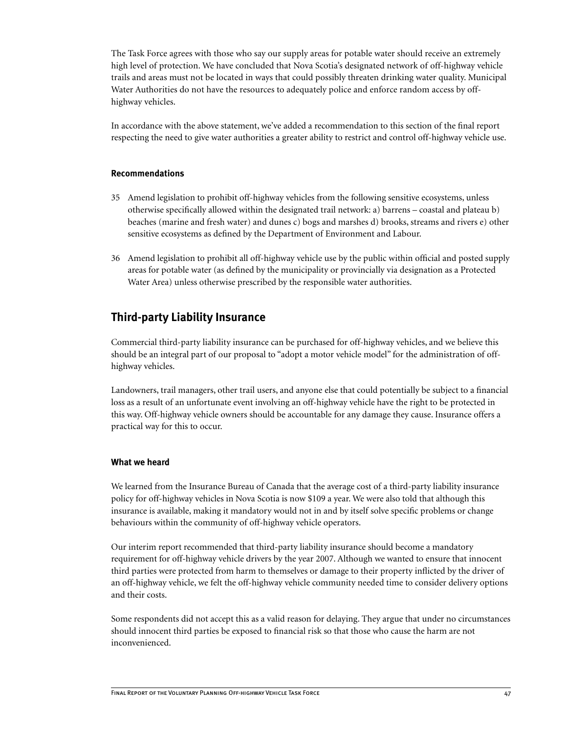The Task Force agrees with those who say our supply areas for potable water should receive an extremely high level of protection. We have concluded that Nova Scotia's designated network of off-highway vehicle trails and areas must not be located in ways that could possibly threaten drinking water quality. Municipal Water Authorities do not have the resources to adequately police and enforce random access by offhighway vehicles.

In accordance with the above statement, we've added a recommendation to this section of the final report respecting the need to give water authorities a greater ability to restrict and control off-highway vehicle use.

# **Recommendations**

- 35 Amend legislation to prohibit off-highway vehicles from the following sensitive ecosystems, unless otherwise specifically allowed within the designated trail network: a) barrens – coastal and plateau b) beaches (marine and fresh water) and dunes c) bogs and marshes d) brooks, streams and rivers e) other sensitive ecosystems as defined by the Department of Environment and Labour.
- 36 Amend legislation to prohibit all off-highway vehicle use by the public within official and posted supply areas for potable water (as defined by the municipality or provincially via designation as a Protected Water Area) unless otherwise prescribed by the responsible water authorities.

# **Third-party Liability Insurance**

Commercial third-party liability insurance can be purchased for off-highway vehicles, and we believe this should be an integral part of our proposal to "adopt a motor vehicle model" for the administration of offhighway vehicles.

Landowners, trail managers, other trail users, and anyone else that could potentially be subject to a financial loss as a result of an unfortunate event involving an off-highway vehicle have the right to be protected in this way. Off-highway vehicle owners should be accountable for any damage they cause. Insurance offers a practical way for this to occur.

# **What we heard**

We learned from the Insurance Bureau of Canada that the average cost of a third-party liability insurance policy for off-highway vehicles in Nova Scotia is now \$109 a year. We were also told that although this insurance is available, making it mandatory would not in and by itself solve specific problems or change behaviours within the community of off-highway vehicle operators.

Our interim report recommended that third-party liability insurance should become a mandatory requirement for off-highway vehicle drivers by the year 2007. Although we wanted to ensure that innocent third parties were protected from harm to themselves or damage to their property inflicted by the driver of an off-highway vehicle, we felt the off-highway vehicle community needed time to consider delivery options and their costs.

Some respondents did not accept this as a valid reason for delaying. They argue that under no circumstances should innocent third parties be exposed to financial risk so that those who cause the harm are not inconvenienced.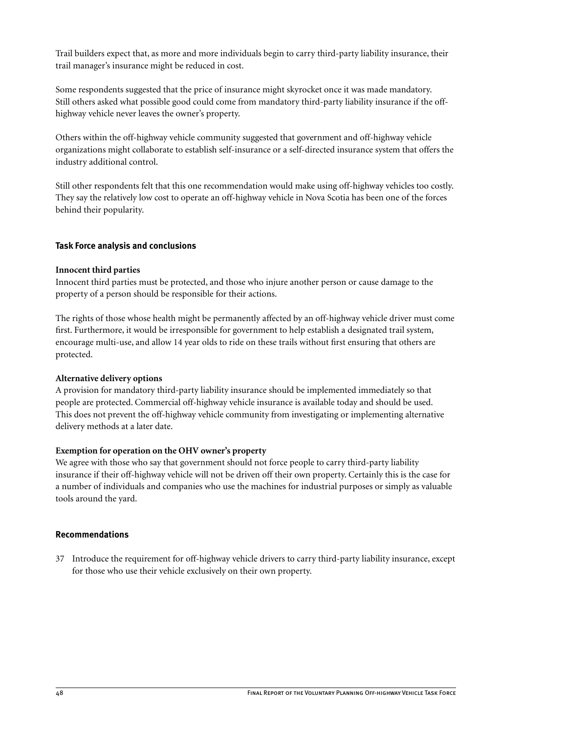Trail builders expect that, as more and more individuals begin to carry third-party liability insurance, their trail manager's insurance might be reduced in cost.

Some respondents suggested that the price of insurance might skyrocket once it was made mandatory. Still others asked what possible good could come from mandatory third-party liability insurance if the offhighway vehicle never leaves the owner's property.

Others within the off-highway vehicle community suggested that government and off-highway vehicle organizations might collaborate to establish self-insurance or a self-directed insurance system that offers the industry additional control.

Still other respondents felt that this one recommendation would make using off-highway vehicles too costly. They say the relatively low cost to operate an off-highway vehicle in Nova Scotia has been one of the forces behind their popularity.

# **Task Force analysis and conclusions**

# **Innocent third parties**

Innocent third parties must be protected, and those who injure another person or cause damage to the property of a person should be responsible for their actions.

The rights of those whose health might be permanently affected by an off-highway vehicle driver must come first. Furthermore, it would be irresponsible for government to help establish a designated trail system, encourage multi-use, and allow 14 year olds to ride on these trails without first ensuring that others are protected.

# **Alternative delivery options**

A provision for mandatory third-party liability insurance should be implemented immediately so that people are protected. Commercial off-highway vehicle insurance is available today and should be used. This does not prevent the off-highway vehicle community from investigating or implementing alternative delivery methods at a later date.

# **Exemption for operation on the OHV owner's property**

We agree with those who say that government should not force people to carry third-party liability insurance if their off-highway vehicle will not be driven off their own property. Certainly this is the case for a number of individuals and companies who use the machines for industrial purposes or simply as valuable tools around the yard.

# **Recommendations**

37 Introduce the requirement for off-highway vehicle drivers to carry third-party liability insurance, except for those who use their vehicle exclusively on their own property.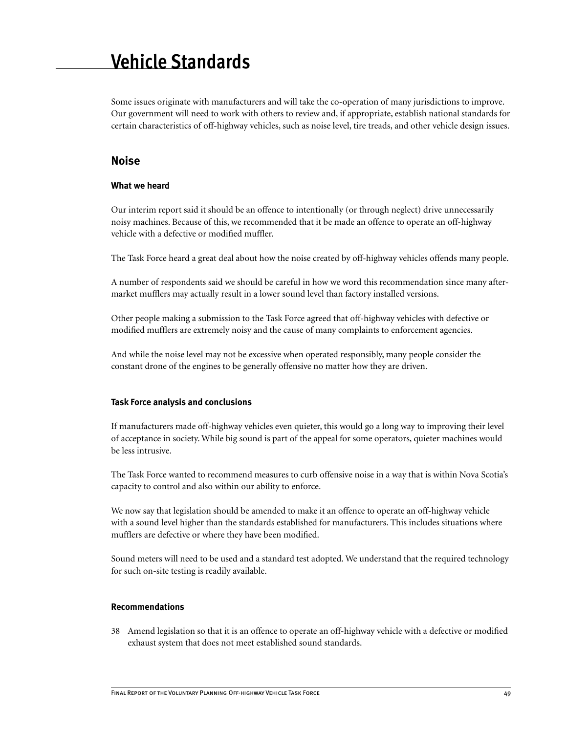# **Vehicle Standards**

Some issues originate with manufacturers and will take the co-operation of many jurisdictions to improve. Our government will need to work with others to review and, if appropriate, establish national standards for certain characteristics of off-highway vehicles, such as noise level, tire treads, and other vehicle design issues.

# **Noise**

#### **What we heard**

Our interim report said it should be an offence to intentionally (or through neglect) drive unnecessarily noisy machines. Because of this, we recommended that it be made an offence to operate an off-highway vehicle with a defective or modified muffler.

The Task Force heard a great deal about how the noise created by off-highway vehicles offends many people.

A number of respondents said we should be careful in how we word this recommendation since many aftermarket mufflers may actually result in a lower sound level than factory installed versions.

Other people making a submission to the Task Force agreed that off-highway vehicles with defective or modified mufflers are extremely noisy and the cause of many complaints to enforcement agencies.

And while the noise level may not be excessive when operated responsibly, many people consider the constant drone of the engines to be generally offensive no matter how they are driven.

# **Task Force analysis and conclusions**

If manufacturers made off-highway vehicles even quieter, this would go a long way to improving their level of acceptance in society. While big sound is part of the appeal for some operators, quieter machines would be less intrusive.

The Task Force wanted to recommend measures to curb offensive noise in a way that is within Nova Scotia's capacity to control and also within our ability to enforce.

We now say that legislation should be amended to make it an offence to operate an off-highway vehicle with a sound level higher than the standards established for manufacturers. This includes situations where mufflers are defective or where they have been modified.

Sound meters will need to be used and a standard test adopted. We understand that the required technology for such on-site testing is readily available.

#### **Recommendations**

38 Amend legislation so that it is an offence to operate an off-highway vehicle with a defective or modified exhaust system that does not meet established sound standards.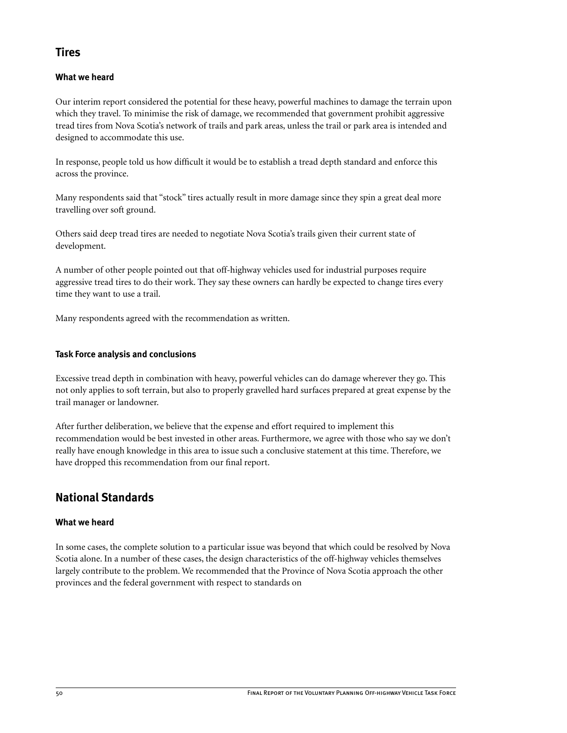# **Tires**

# **What we heard**

Our interim report considered the potential for these heavy, powerful machines to damage the terrain upon which they travel. To minimise the risk of damage, we recommended that government prohibit aggressive tread tires from Nova Scotia's network of trails and park areas, unless the trail or park area is intended and designed to accommodate this use.

In response, people told us how difficult it would be to establish a tread depth standard and enforce this across the province.

Many respondents said that "stock" tires actually result in more damage since they spin a great deal more travelling over soft ground.

Others said deep tread tires are needed to negotiate Nova Scotia's trails given their current state of development.

A number of other people pointed out that off-highway vehicles used for industrial purposes require aggressive tread tires to do their work. They say these owners can hardly be expected to change tires every time they want to use a trail.

Many respondents agreed with the recommendation as written.

# **Task Force analysis and conclusions**

Excessive tread depth in combination with heavy, powerful vehicles can do damage wherever they go. This not only applies to soft terrain, but also to properly gravelled hard surfaces prepared at great expense by the trail manager or landowner.

After further deliberation, we believe that the expense and effort required to implement this recommendation would be best invested in other areas. Furthermore, we agree with those who say we don't really have enough knowledge in this area to issue such a conclusive statement at this time. Therefore, we have dropped this recommendation from our final report.

# **National Standards**

# **What we heard**

In some cases, the complete solution to a particular issue was beyond that which could be resolved by Nova Scotia alone. In a number of these cases, the design characteristics of the off-highway vehicles themselves largely contribute to the problem. We recommended that the Province of Nova Scotia approach the other provinces and the federal government with respect to standards on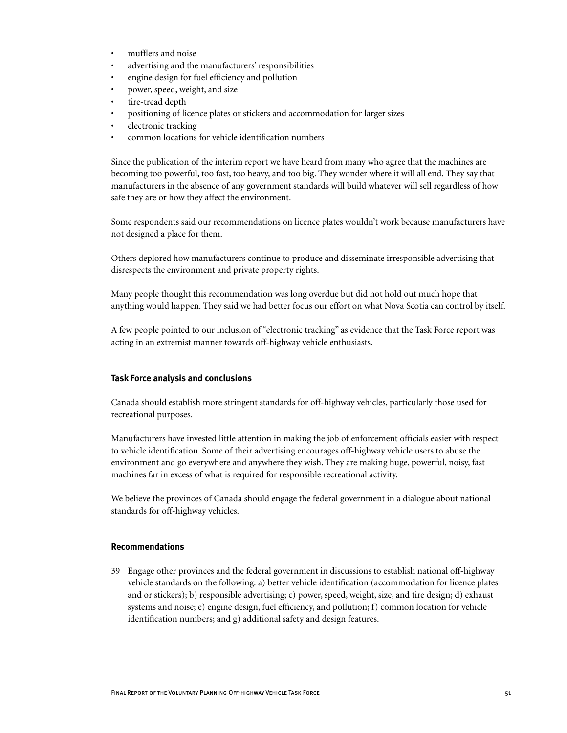- mufflers and noise
- advertising and the manufacturers' responsibilities
- engine design for fuel efficiency and pollution
- power, speed, weight, and size
- tire-tread depth
- positioning of licence plates or stickers and accommodation for larger sizes
- electronic tracking
- common locations for vehicle identification numbers

Since the publication of the interim report we have heard from many who agree that the machines are becoming too powerful, too fast, too heavy, and too big. They wonder where it will all end. They say that manufacturers in the absence of any government standards will build whatever will sell regardless of how safe they are or how they affect the environment.

Some respondents said our recommendations on licence plates wouldn't work because manufacturers have not designed a place for them.

Others deplored how manufacturers continue to produce and disseminate irresponsible advertising that disrespects the environment and private property rights.

Many people thought this recommendation was long overdue but did not hold out much hope that anything would happen. They said we had better focus our effort on what Nova Scotia can control by itself.

A few people pointed to our inclusion of "electronic tracking" as evidence that the Task Force report was acting in an extremist manner towards off-highway vehicle enthusiasts.

#### **Task Force analysis and conclusions**

Canada should establish more stringent standards for off-highway vehicles, particularly those used for recreational purposes.

Manufacturers have invested little attention in making the job of enforcement officials easier with respect to vehicle identification. Some of their advertising encourages off-highway vehicle users to abuse the environment and go everywhere and anywhere they wish. They are making huge, powerful, noisy, fast machines far in excess of what is required for responsible recreational activity.

We believe the provinces of Canada should engage the federal government in a dialogue about national standards for off-highway vehicles.

#### **Recommendations**

39 Engage other provinces and the federal government in discussions to establish national off-highway vehicle standards on the following: a) better vehicle identification (accommodation for licence plates and or stickers); b) responsible advertising; c) power, speed, weight, size, and tire design; d) exhaust systems and noise; e) engine design, fuel efficiency, and pollution; f) common location for vehicle identification numbers; and g) additional safety and design features.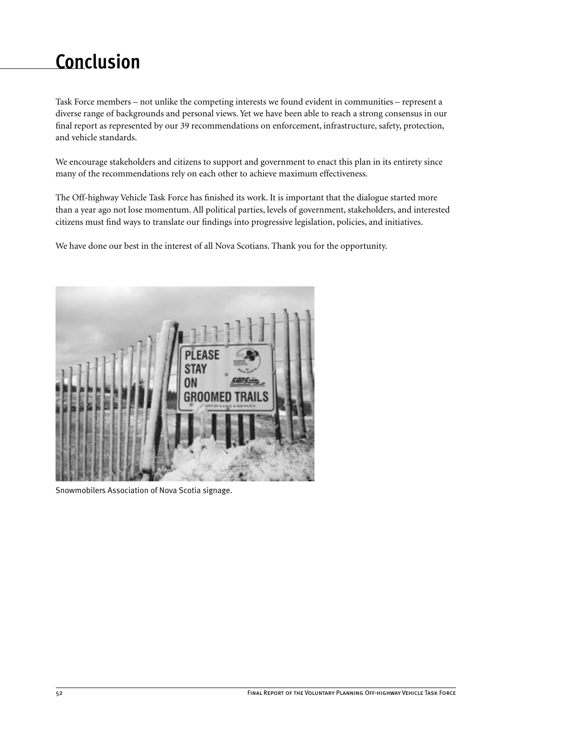# **Conclusion**

Task Force members – not unlike the competing interests we found evident in communities – represent a diverse range of backgrounds and personal views. Yet we have been able to reach a strong consensus in our final report as represented by our 39 recommendations on enforcement, infrastructure, safety, protection, and vehicle standards.

We encourage stakeholders and citizens to support and government to enact this plan in its entirety since many of the recommendations rely on each other to achieve maximum effectiveness.

The Off-highway Vehicle Task Force has finished its work. It is important that the dialogue started more than a year ago not lose momentum. All political parties, levels of government, stakeholders, and interested citizens must find ways to translate our findings into progressive legislation, policies, and initiatives.

We have done our best in the interest of all Nova Scotians. Thank you for the opportunity.



Snowmobilers Association of Nova Scotia signage.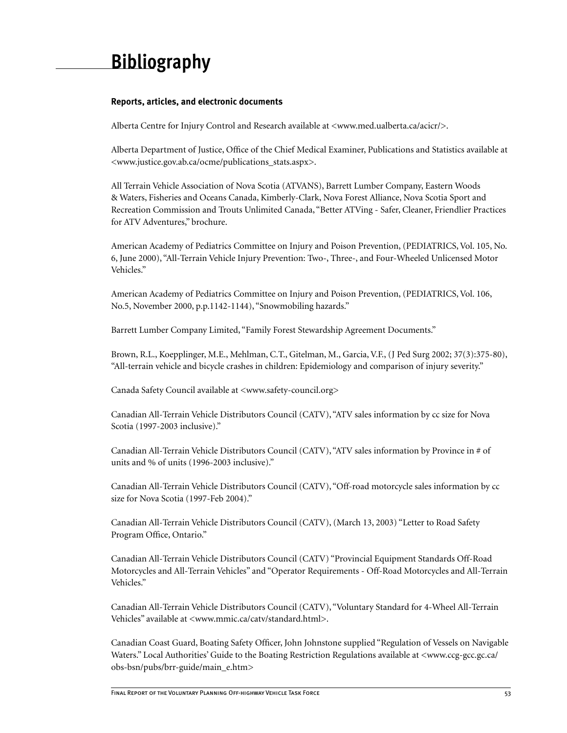# **Bibliography**

# **Reports, articles, and electronic documents**

Alberta Centre for Injury Control and Research available at <www.med.ualberta.ca/acicr/>.

Alberta Department of Justice, Office of the Chief Medical Examiner, Publications and Statistics available at <www.justice.gov.ab.ca/ocme/publications\_stats.aspx>.

All Terrain Vehicle Association of Nova Scotia (ATVANS), Barrett Lumber Company, Eastern Woods & Waters, Fisheries and Oceans Canada, Kimberly-Clark, Nova Forest Alliance, Nova Scotia Sport and Recreation Commission and Trouts Unlimited Canada, "Better ATVing - Safer, Cleaner, Friendlier Practices for ATV Adventures," brochure.

American Academy of Pediatrics Committee on Injury and Poison Prevention, (PEDIATRICS, Vol. 105, No. 6, June 2000), "All-Terrain Vehicle Injury Prevention: Two-, Three-, and Four-Wheeled Unlicensed Motor Vehicles."

American Academy of Pediatrics Committee on Injury and Poison Prevention, (PEDIATRICS, Vol. 106, No.5, November 2000, p.p.1142-1144), "Snowmobiling hazards."

Barrett Lumber Company Limited, "Family Forest Stewardship Agreement Documents."

Brown, R.L., Koepplinger, M.E., Mehlman, C.T., Gitelman, M., Garcia, V.F., (J Ped Surg 2002; 37(3):375-80), "All-terrain vehicle and bicycle crashes in children: Epidemiology and comparison of injury severity."

Canada Safety Council available at <www.safety-council.org>

Canadian All-Terrain Vehicle Distributors Council (CATV), "ATV sales information by cc size for Nova Scotia (1997-2003 inclusive)."

Canadian All-Terrain Vehicle Distributors Council (CATV), "ATV sales information by Province in # of units and % of units (1996-2003 inclusive)."

Canadian All-Terrain Vehicle Distributors Council (CATV), "Off-road motorcycle sales information by cc size for Nova Scotia (1997-Feb 2004)."

Canadian All-Terrain Vehicle Distributors Council (CATV), (March 13, 2003) "Letter to Road Safety Program Office, Ontario."

Canadian All-Terrain Vehicle Distributors Council (CATV) "Provincial Equipment Standards Off-Road Motorcycles and All-Terrain Vehicles" and "Operator Requirements - Off-Road Motorcycles and All-Terrain Vehicles."

Canadian All-Terrain Vehicle Distributors Council (CATV), "Voluntary Standard for 4-Wheel All-Terrain Vehicles" available at <www.mmic.ca/catv/standard.html>.

Canadian Coast Guard, Boating Safety Officer, John Johnstone supplied "Regulation of Vessels on Navigable Waters." Local Authorities' Guide to the Boating Restriction Regulations available at <www.ccg-gcc.gc.ca/ obs-bsn/pubs/brr-guide/main\_e.htm>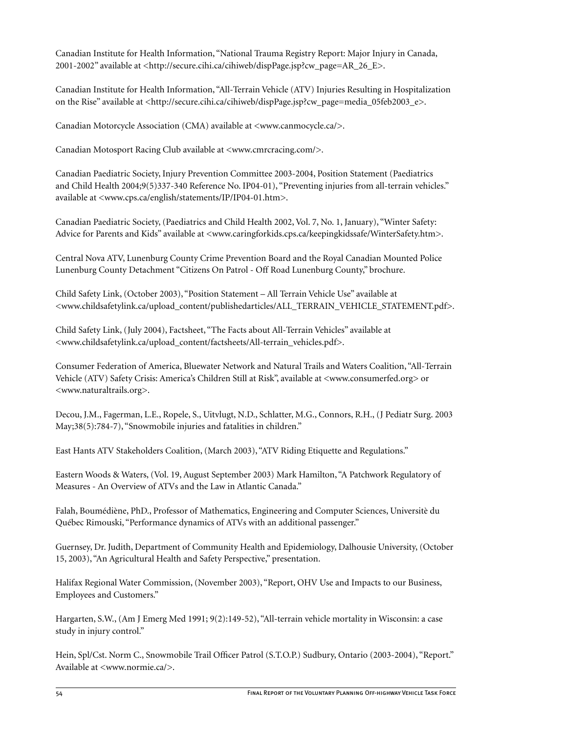Canadian Institute for Health Information, "National Trauma Registry Report: Major Injury in Canada, 2001-2002" available at <http://secure.cihi.ca/cihiweb/dispPage.jsp?cw\_page=AR\_26\_E>.

Canadian Institute for Health Information, "All-Terrain Vehicle (ATV) Injuries Resulting in Hospitalization on the Rise" available at <http://secure.cihi.ca/cihiweb/dispPage.jsp?cw\_page=media\_05feb2003\_e>.

Canadian Motorcycle Association (CMA) available at <www.canmocycle.ca/>.

Canadian Motosport Racing Club available at  $\langle$ www.cmrcracing.com/>.

Canadian Paediatric Society, Injury Prevention Committee 2003-2004, Position Statement (Paediatrics and Child Health 2004;9(5)337-340 Reference No. IP04-01), "Preventing injuries from all-terrain vehicles." available at <www.cps.ca/english/statements/IP/IP04-01.htm>.

Canadian Paediatric Society, (Paediatrics and Child Health 2002, Vol. 7, No. 1, January), "Winter Safety: Advice for Parents and Kids" available at <www.caringforkids.cps.ca/keepingkidssafe/WinterSafety.htm>.

Central Nova ATV, Lunenburg County Crime Prevention Board and the Royal Canadian Mounted Police Lunenburg County Detachment "Citizens On Patrol - Off Road Lunenburg County," brochure.

Child Safety Link, (October 2003), "Position Statement – All Terrain Vehicle Use" available at <www.childsafetylink.ca/upload\_content/publishedarticles/ALL\_TERRAIN\_VEHICLE\_STATEMENT.pdf>.

Child Safety Link, (July 2004), Factsheet, "The Facts about All-Terrain Vehicles" available at <www.childsafetylink.ca/upload\_content/factsheets/All-terrain\_vehicles.pdf>.

Consumer Federation of America, Bluewater Network and Natural Trails and Waters Coalition, "All-Terrain Vehicle (ATV) Safety Crisis: America's Children Still at Risk", available at <www.consumerfed.org> or <www.naturaltrails.org>.

Decou, J.M., Fagerman, L.E., Ropele, S., Uitvlugt, N.D., Schlatter, M.G., Connors, R.H., (J Pediatr Surg. 2003 May;38(5):784-7), "Snowmobile injuries and fatalities in children."

East Hants ATV Stakeholders Coalition, (March 2003), "ATV Riding Etiquette and Regulations."

Eastern Woods & Waters, (Vol. 19, August September 2003) Mark Hamilton, "A Patchwork Regulatory of Measures - An Overview of ATVs and the Law in Atlantic Canada."

Falah, Boumédiène, PhD., Professor of Mathematics, Engineering and Computer Sciences, Universitè du Québec Rimouski, "Performance dynamics of ATVs with an additional passenger."

Guernsey, Dr. Judith, Department of Community Health and Epidemiology, Dalhousie University, (October 15, 2003), "An Agricultural Health and Safety Perspective," presentation.

Halifax Regional Water Commission, (November 2003), "Report, OHV Use and Impacts to our Business, Employees and Customers."

Hargarten, S.W., (Am J Emerg Med 1991; 9(2):149-52), "All-terrain vehicle mortality in Wisconsin: a case study in injury control."

Hein, Spl/Cst. Norm C., Snowmobile Trail Officer Patrol (S.T.O.P.) Sudbury, Ontario (2003-2004), "Report." Available at <www.normie.ca/>.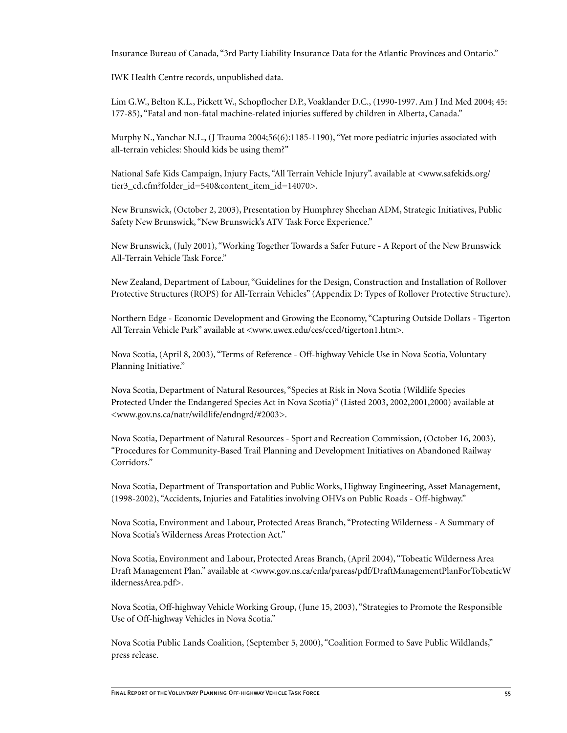Insurance Bureau of Canada, "3rd Party Liability Insurance Data for the Atlantic Provinces and Ontario."

IWK Health Centre records, unpublished data.

Lim G.W., Belton K.L., Pickett W., Schopflocher D.P., Voaklander D.C., (1990-1997. Am J Ind Med 2004; 45: 177-85), "Fatal and non-fatal machine-related injuries suffered by children in Alberta, Canada."

Murphy N., Yanchar N.L., (J Trauma 2004;56(6):1185-1190), "Yet more pediatric injuries associated with all-terrain vehicles: Should kids be using them?"

National Safe Kids Campaign, Injury Facts, "All Terrain Vehicle Injury". available at <www.safekids.org/ tier3 cd.cfm?folder id=540&content item id=14070>.

New Brunswick, (October 2, 2003), Presentation by Humphrey Sheehan ADM, Strategic Initiatives, Public Safety New Brunswick, "New Brunswick's ATV Task Force Experience."

New Brunswick, (July 2001), "Working Together Towards a Safer Future - A Report of the New Brunswick All-Terrain Vehicle Task Force."

New Zealand, Department of Labour, "Guidelines for the Design, Construction and Installation of Rollover Protective Structures (ROPS) for All-Terrain Vehicles" (Appendix D: Types of Rollover Protective Structure).

Northern Edge - Economic Development and Growing the Economy, "Capturing Outside Dollars - Tigerton All Terrain Vehicle Park" available at <www.uwex.edu/ces/cced/tigerton1.htm>.

Nova Scotia, (April 8, 2003), "Terms of Reference - Off-highway Vehicle Use in Nova Scotia, Voluntary Planning Initiative."

Nova Scotia, Department of Natural Resources, "Species at Risk in Nova Scotia (Wildlife Species Protected Under the Endangered Species Act in Nova Scotia)" (Listed 2003, 2002,2001,2000) available at <www.gov.ns.ca/natr/wildlife/endngrd/#2003>.

Nova Scotia, Department of Natural Resources - Sport and Recreation Commission, (October 16, 2003), "Procedures for Community-Based Trail Planning and Development Initiatives on Abandoned Railway Corridors."

Nova Scotia, Department of Transportation and Public Works, Highway Engineering, Asset Management, (1998-2002), "Accidents, Injuries and Fatalities involving OHVs on Public Roads - Off-highway."

Nova Scotia, Environment and Labour, Protected Areas Branch, "Protecting Wilderness - A Summary of Nova Scotia's Wilderness Areas Protection Act."

Nova Scotia, Environment and Labour, Protected Areas Branch, (April 2004), "Tobeatic Wilderness Area Draft Management Plan." available at <www.gov.ns.ca/enla/pareas/pdf/DraftManagementPlanForTobeaticW ildernessArea.pdf>.

Nova Scotia, Off-highway Vehicle Working Group, (June 15, 2003), "Strategies to Promote the Responsible Use of Off-highway Vehicles in Nova Scotia."

Nova Scotia Public Lands Coalition, (September 5, 2000), "Coalition Formed to Save Public Wildlands," press release.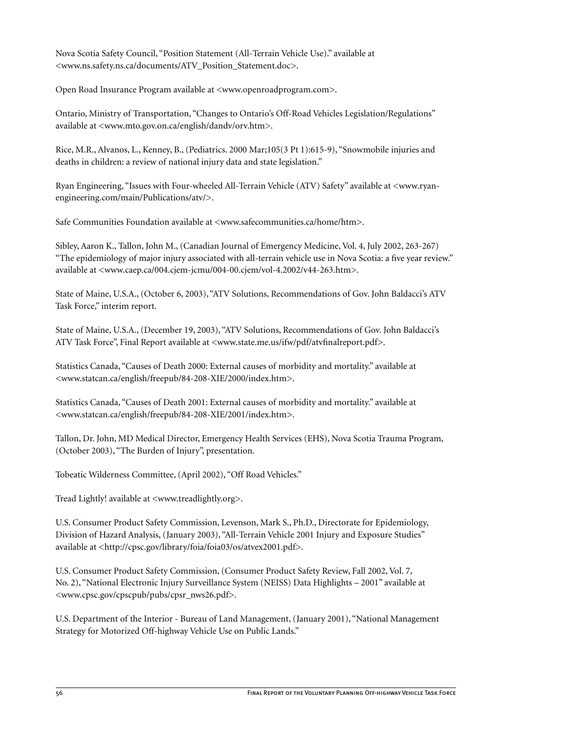Nova Scotia Safety Council, "Position Statement (All-Terrain Vehicle Use)." available at <www.ns.safety.ns.ca/documents/ATV\_Position\_Statement.doc>.

Open Road Insurance Program available at <www.openroadprogram.com>.

Ontario, Ministry of Transportation, "Changes to Ontario's Off-Road Vehicles Legislation/Regulations" available at <www.mto.gov.on.ca/english/dandv/orv.htm>.

Rice, M.R., Alvanos, L., Kenney, B., (Pediatrics. 2000 Mar;105(3 Pt 1):615-9), "Snowmobile injuries and deaths in children: a review of national injury data and state legislation."

Ryan Engineering, "Issues with Four-wheeled All-Terrain Vehicle (ATV) Safety" available at <www.ryanengineering.com/main/Publications/atv/>.

Safe Communities Foundation available at <www.safecommunities.ca/home/htm>.

Sibley, Aaron K., Tallon, John M., (Canadian Journal of Emergency Medicine, Vol. 4, July 2002, 263-267) "The epidemiology of major injury associated with all-terrain vehicle use in Nova Scotia: a five year review." available at <www.caep.ca/004.cjem-jcmu/004-00.cjem/vol-4.2002/v44-263.htm>.

State of Maine, U.S.A., (October 6, 2003), "ATV Solutions, Recommendations of Gov. John Baldacci's ATV Task Force," interim report.

State of Maine, U.S.A., (December 19, 2003), "ATV Solutions, Recommendations of Gov. John Baldacci's ATV Task Force", Final Report available at <www.state.me.us/ifw/pdf/atvfinalreport.pdf>.

Statistics Canada, "Causes of Death 2000: External causes of morbidity and mortality." available at <www.statcan.ca/english/freepub/84-208-XIE/2000/index.htm>.

Statistics Canada, "Causes of Death 2001: External causes of morbidity and mortality." available at <www.statcan.ca/english/freepub/84-208-XIE/2001/index.htm>.

Tallon, Dr. John, MD Medical Director, Emergency Health Services (EHS), Nova Scotia Trauma Program, (October 2003), "The Burden of Injury", presentation.

Tobeatic Wilderness Committee, (April 2002), "Off Road Vehicles."

Tread Lightly! available at <www.treadlightly.org>.

U.S. Consumer Product Safety Commission, Levenson, Mark S., Ph.D., Directorate for Epidemiology, Division of Hazard Analysis, (January 2003), "All-Terrain Vehicle 2001 Injury and Exposure Studies" available at <http://cpsc.gov/library/foia/foia03/os/atvex2001.pdf>.

U.S. Consumer Product Safety Commission, (Consumer Product Safety Review, Fall 2002, Vol. 7, No. 2), "National Electronic Injury Surveillance System (NEISS) Data Highlights – 2001" available at <www.cpsc.gov/cpscpub/pubs/cpsr\_nws26.pdf>.

U.S. Department of the Interior - Bureau of Land Management, (January 2001), "National Management Strategy for Motorized Off-highway Vehicle Use on Public Lands."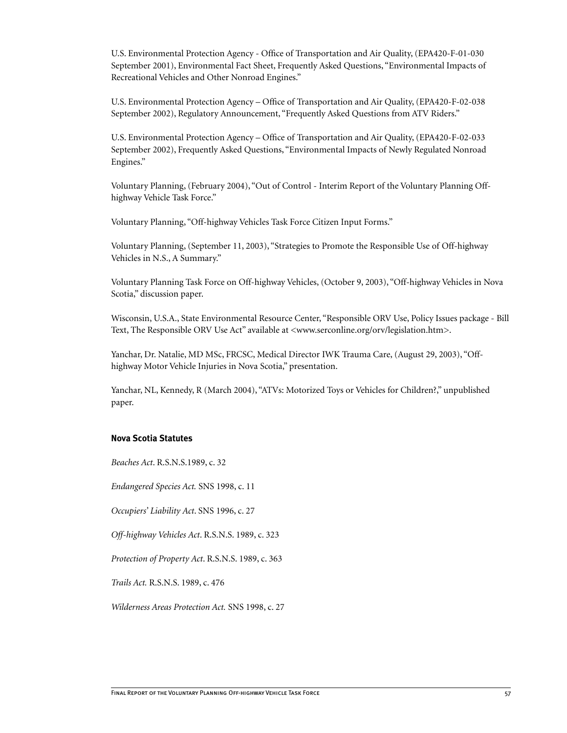U.S. Environmental Protection Agency - Office of Transportation and Air Quality, (EPA420-F-01-030 September 2001), Environmental Fact Sheet, Frequently Asked Questions, "Environmental Impacts of Recreational Vehicles and Other Nonroad Engines."

U.S. Environmental Protection Agency – Office of Transportation and Air Quality, (EPA420-F-02-038 September 2002), Regulatory Announcement, "Frequently Asked Questions from ATV Riders."

U.S. Environmental Protection Agency – Office of Transportation and Air Quality, (EPA420-F-02-033 September 2002), Frequently Asked Questions, "Environmental Impacts of Newly Regulated Nonroad Engines."

Voluntary Planning, (February 2004), "Out of Control - Interim Report of the Voluntary Planning Offhighway Vehicle Task Force."

Voluntary Planning, "Off-highway Vehicles Task Force Citizen Input Forms."

Voluntary Planning, (September 11, 2003), "Strategies to Promote the Responsible Use of Off-highway Vehicles in N.S., A Summary."

Voluntary Planning Task Force on Off-highway Vehicles, (October 9, 2003), "Off-highway Vehicles in Nova Scotia," discussion paper.

Wisconsin, U.S.A., State Environmental Resource Center, "Responsible ORV Use, Policy Issues package - Bill Text, The Responsible ORV Use Act" available at <www.serconline.org/orv/legislation.htm>.

Yanchar, Dr. Natalie, MD MSc, FRCSC, Medical Director IWK Trauma Care, (August 29, 2003), "Offhighway Motor Vehicle Injuries in Nova Scotia," presentation.

Yanchar, NL, Kennedy, R (March 2004), "ATVs: Motorized Toys or Vehicles for Children?," unpublished paper.

#### **Nova Scotia Statutes**

*Beaches Act*. R.S.N.S.1989, c. 32

*Endangered Species Act.* SNS 1998, c. 11

*Occupiers' Liability Act*. SNS 1996, c. 27

*Off-highway Vehicles Act*. R.S.N.S. 1989, c. 323

*Protection of Property Act*. R.S.N.S. 1989, c. 363

*Trails Act.* R.S.N.S. 1989, c. 476

*Wilderness Areas Protection Act.* SNS 1998, c. 27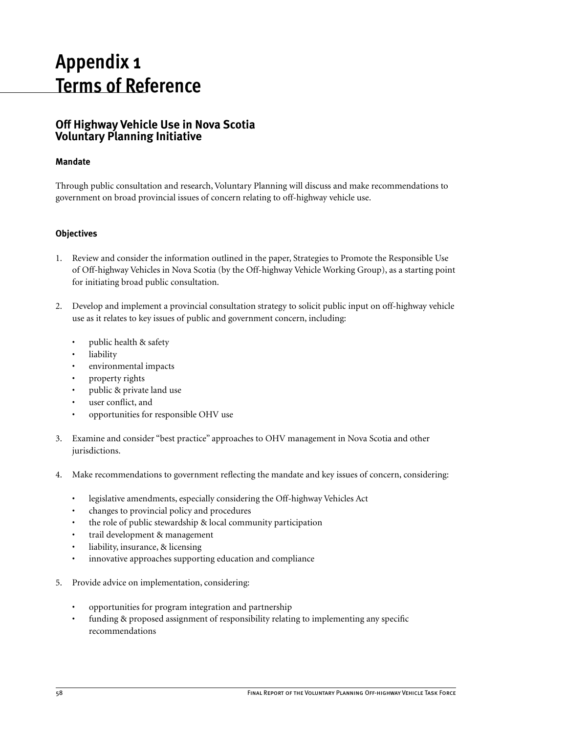# **Appendix 1 Terms of Reference**

# **Off Highway Vehicle Use in Nova Scotia Voluntary Planning Initiative**

# **Mandate**

Through public consultation and research, Voluntary Planning will discuss and make recommendations to government on broad provincial issues of concern relating to off-highway vehicle use.

# **Objectives**

- 1. Review and consider the information outlined in the paper, Strategies to Promote the Responsible Use of Off-highway Vehicles in Nova Scotia (by the Off-highway Vehicle Working Group), as a starting point for initiating broad public consultation.
- 2. Develop and implement a provincial consultation strategy to solicit public input on off-highway vehicle use as it relates to key issues of public and government concern, including:
	- public health & safety
	- liability
	- environmental impacts
	- property rights
	- public & private land use
	- user conflict, and
	- opportunities for responsible OHV use
- 3. Examine and consider "best practice" approaches to OHV management in Nova Scotia and other jurisdictions.
- 4. Make recommendations to government reflecting the mandate and key issues of concern, considering:
	- legislative amendments, especially considering the Off-highway Vehicles Act
	- changes to provincial policy and procedures
	- the role of public stewardship & local community participation
	- trail development & management
	- liability, insurance, & licensing
	- innovative approaches supporting education and compliance
- 5. Provide advice on implementation, considering:
	- opportunities for program integration and partnership
	- funding & proposed assignment of responsibility relating to implementing any specific recommendations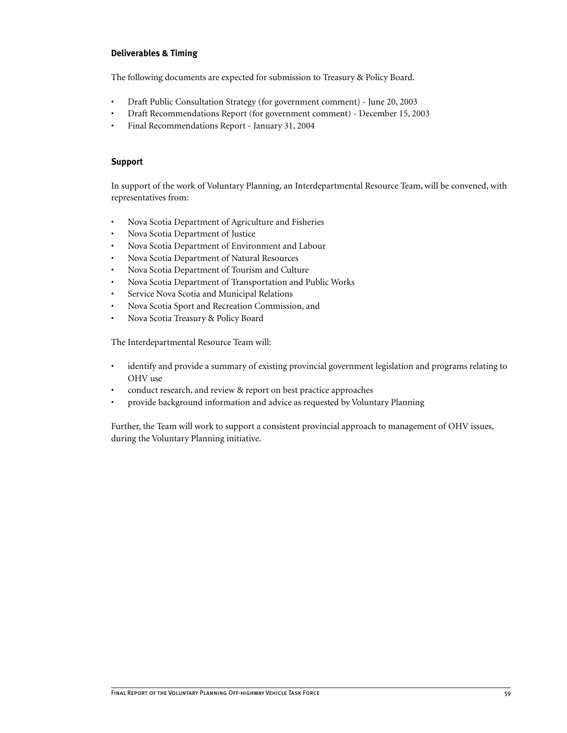# **Deliverables & Timing**

The following documents are expected for submission to Treasury & Policy Board.

- Draft Public Consultation Strategy (for government comment) June 20, 2003
- Draft Recommendations Report (for government comment) December 15, 2003
- Final Recommendations Report January 31, 2004

# **Support**

In support of the work of Voluntary Planning, an Interdepartmental Resource Team, will be convened, with representatives from:

- Nova Scotia Department of Agriculture and Fisheries
- Nova Scotia Department of Justice
- Nova Scotia Department of Environment and Labour
- Nova Scotia Department of Natural Resources
- Nova Scotia Department of Tourism and Culture
- Nova Scotia Department of Transportation and Public Works
- Service Nova Scotia and Municipal Relations
- Nova Scotia Sport and Recreation Commission, and
- Nova Scotia Treasury & Policy Board

The Interdepartmental Resource Team will:

- identify and provide a summary of existing provincial government legislation and programs relating to OHV use
- conduct research, and review & report on best practice approaches
- provide background information and advice as requested by Voluntary Planning

Further, the Team will work to support a consistent provincial approach to management of OHV issues, during the Voluntary Planning initiative.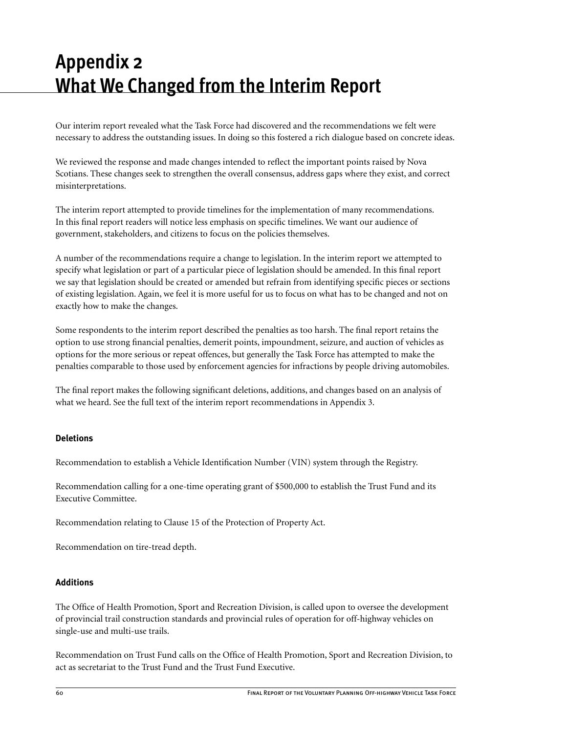# **Appendix 2 What We Changed from the Interim Report**

Our interim report revealed what the Task Force had discovered and the recommendations we felt were necessary to address the outstanding issues. In doing so this fostered a rich dialogue based on concrete ideas.

We reviewed the response and made changes intended to reflect the important points raised by Nova Scotians. These changes seek to strengthen the overall consensus, address gaps where they exist, and correct misinterpretations.

The interim report attempted to provide timelines for the implementation of many recommendations. In this final report readers will notice less emphasis on specific timelines. We want our audience of government, stakeholders, and citizens to focus on the policies themselves.

A number of the recommendations require a change to legislation. In the interim report we attempted to specify what legislation or part of a particular piece of legislation should be amended. In this final report we say that legislation should be created or amended but refrain from identifying specific pieces or sections of existing legislation. Again, we feel it is more useful for us to focus on what has to be changed and not on exactly how to make the changes.

Some respondents to the interim report described the penalties as too harsh. The final report retains the option to use strong financial penalties, demerit points, impoundment, seizure, and auction of vehicles as options for the more serious or repeat offences, but generally the Task Force has attempted to make the penalties comparable to those used by enforcement agencies for infractions by people driving automobiles.

The final report makes the following significant deletions, additions, and changes based on an analysis of what we heard. See the full text of the interim report recommendations in Appendix 3.

# **Deletions**

Recommendation to establish a Vehicle Identification Number (VIN) system through the Registry.

Recommendation calling for a one-time operating grant of \$500,000 to establish the Trust Fund and its Executive Committee.

Recommendation relating to Clause 15 of the Protection of Property Act.

Recommendation on tire-tread depth.

# **Additions**

The Office of Health Promotion, Sport and Recreation Division, is called upon to oversee the development of provincial trail construction standards and provincial rules of operation for off-highway vehicles on single-use and multi-use trails.

Recommendation on Trust Fund calls on the Office of Health Promotion, Sport and Recreation Division, to act as secretariat to the Trust Fund and the Trust Fund Executive.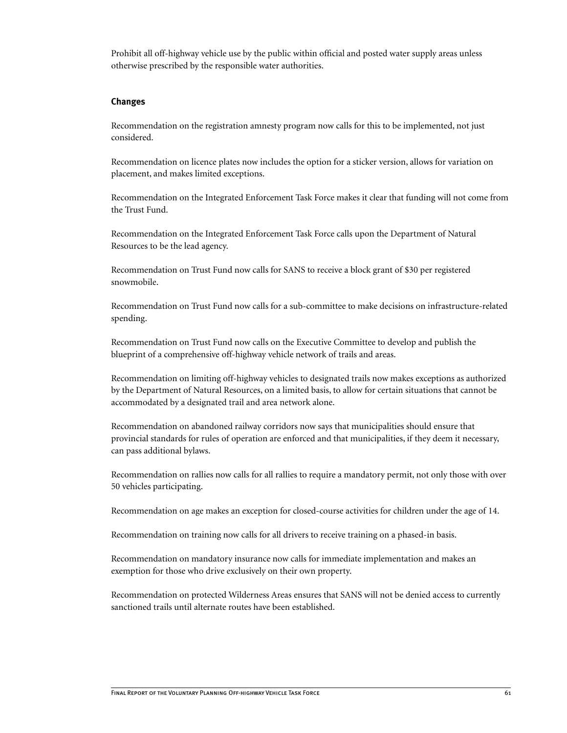Prohibit all off-highway vehicle use by the public within official and posted water supply areas unless otherwise prescribed by the responsible water authorities.

#### **Changes**

Recommendation on the registration amnesty program now calls for this to be implemented, not just considered.

Recommendation on licence plates now includes the option for a sticker version, allows for variation on placement, and makes limited exceptions.

Recommendation on the Integrated Enforcement Task Force makes it clear that funding will not come from the Trust Fund.

Recommendation on the Integrated Enforcement Task Force calls upon the Department of Natural Resources to be the lead agency.

Recommendation on Trust Fund now calls for SANS to receive a block grant of \$30 per registered snowmobile.

Recommendation on Trust Fund now calls for a sub-committee to make decisions on infrastructure-related spending.

Recommendation on Trust Fund now calls on the Executive Committee to develop and publish the blueprint of a comprehensive off-highway vehicle network of trails and areas.

Recommendation on limiting off-highway vehicles to designated trails now makes exceptions as authorized by the Department of Natural Resources, on a limited basis, to allow for certain situations that cannot be accommodated by a designated trail and area network alone.

Recommendation on abandoned railway corridors now says that municipalities should ensure that provincial standards for rules of operation are enforced and that municipalities, if they deem it necessary, can pass additional bylaws.

Recommendation on rallies now calls for all rallies to require a mandatory permit, not only those with over 50 vehicles participating.

Recommendation on age makes an exception for closed-course activities for children under the age of 14.

Recommendation on training now calls for all drivers to receive training on a phased-in basis.

Recommendation on mandatory insurance now calls for immediate implementation and makes an exemption for those who drive exclusively on their own property.

Recommendation on protected Wilderness Areas ensures that SANS will not be denied access to currently sanctioned trails until alternate routes have been established.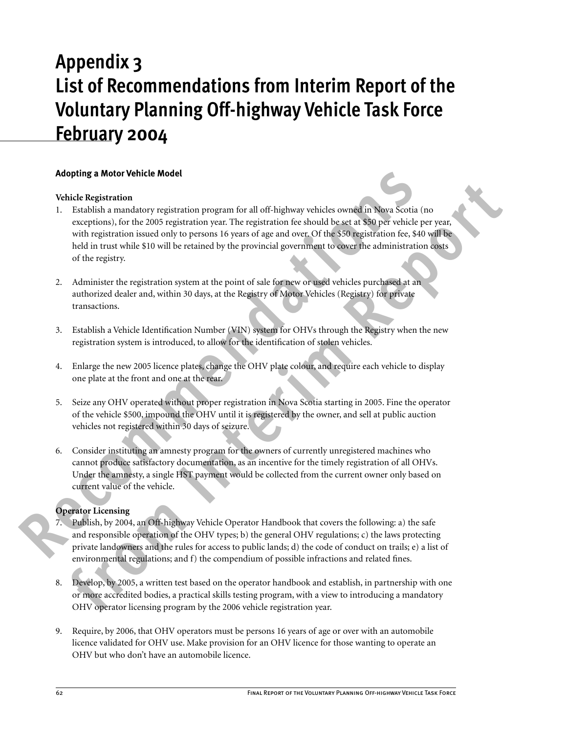# **Appendix 3 List of Recommendations from Interim Report of the Voluntary Planning Off-highway Vehicle Task Force February 2004**

# **Adopting a Motor Vehicle Model**

# **Vehicle Registration**

- **Adopting a Motor Vehicle Model**<br>
Vehicle **Record Total** Chemicano program for all off-highway vehicles covered in Nova Scotia (m<br>
2. Facebook a mandatory registration years at the registration fee should be set at \$30 per **frich Replaration** mundatory registration program for all off-highway vehicles owned in Nova Scotia (no<br>exceptions), for the 2005 registration year. The registration fee should be set at \$30 per vehicle per year, with reg 1. Establish a mandatory registration program for all off-highway vehicles owned in Nova Scotia (no exceptions), for the 2005 registration year. The registration fee should be set at \$50 per vehicle per year, with registration issued only to persons 16 years of age and over. Of the \$50 registration fee, \$40 will be held in trust while \$10 will be retained by the provincial government to cover the administration costs of the registry.
	- 2. Administer the registration system at the point of sale for new or used vehicles purchased at an authorized dealer and, within 30 days, at the Registry of Motor Vehicles (Registry) for private transactions.
	- 3. Establish a Vehicle Identification Number (VIN) system for OHVs through the Registry when the new registration system is introduced, to allow for the identification of stolen vehicles.
	- 4. Enlarge the new 2005 licence plates, change the OHV plate colour, and require each vehicle to display one plate at the front and one at the rear.
	- 5. Seize any OHV operated without proper registration in Nova Scotia starting in 2005. Fine the operator of the vehicle \$500, impound the OHV until it is registered by the owner, and sell at public auction vehicles not registered within 30 days of seizure.
	- 6. Consider instituting an amnesty program for the owners of currently unregistered machines who cannot produce satisfactory documentation, as an incentive for the timely registration of all OHVs. Under the amnesty, a single HST payment would be collected from the current owner only based on current value of the vehicle.

# **Operator Licensing**

- Publish, by 2004, an Off-highway Vehicle Operator Handbook that covers the following: a) the safe and responsible operation of the OHV types; b) the general OHV regulations; c) the laws protecting private landowners and the rules for access to public lands; d) the code of conduct on trails; e) a list of environmental regulations; and f) the compendium of possible infractions and related fines.
- 8. Develop, by 2005, a written test based on the operator handbook and establish, in partnership with one or more accredited bodies, a practical skills testing program, with a view to introducing a mandatory OHV operator licensing program by the 2006 vehicle registration year.
- 9. Require, by 2006, that OHV operators must be persons 16 years of age or over with an automobile licence validated for OHV use. Make provision for an OHV licence for those wanting to operate an OHV but who don't have an automobile licence.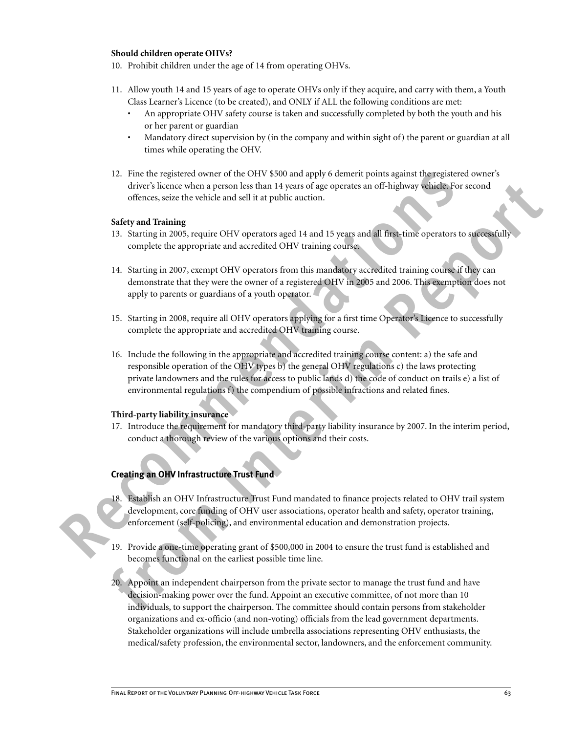#### **Should children operate OHVs?**

- 10. Prohibit children under the age of 14 from operating OHVs.
- 11. Allow youth 14 and 15 years of age to operate OHVs only if they acquire, and carry with them, a Youth Class Learner's Licence (to be created), and ONLY if ALL the following conditions are met:
	- An appropriate OHV safety course is taken and successfully completed by both the youth and his or her parent or guardian
	- Mandatory direct supervision by (in the company and within sight of) the parent or guardian at all times while operating the OHV.
- 12. Fine the registered owner of the OHV \$500 and apply 6 demerit points against the registered owner's driver's licence when a person less than 14 years of age operates an off-highway vehicle. For second offences, seize the vehicle and sell it at public auction.

#### **Safety and Training**

- 13. Starting in 2005, require OHV operators aged 14 and 15 years and all first-time operators to successfully complete the appropriate and accredited OHV training course.
- 14. Starting in 2007, exempt OHV operators from this mandatory accredited training course if they can demonstrate that they were the owner of a registered OHV in 2005 and 2006. This exemption does not apply to parents or guardians of a youth operator.
- 15. Starting in 2008, require all OHV operators applying for a first time Operator's Licence to successfully complete the appropriate and accredited OHV training course.
- 12. Final the registered owner of the OHV S500 and apply 6 demetri points against the<br>registered contents device states that H years of age operates an off-highway vehicle.<br>For effectnes, science the vehicle and sell it at driver is lienter when a person less than 14 years of age operates an off-highway vehicles of second<br>different linear when the property in the property of the state of the state of the state of the state of the state of th 16. Include the following in the appropriate and accredited training course content: a) the safe and responsible operation of the OHV types b) the general OHV regulations c) the laws protecting private landowners and the rules for access to public lands d) the code of conduct on trails e) a list of environmental regulations f) the compendium of possible infractions and related fines.

#### **Third-party liability insurance**

17. Introduce the requirement for mandatory third-party liability insurance by 2007. In the interim period, conduct a thorough review of the various options and their costs.

# **Creating an OHV Infrastructure Trust Fund**

- 18. Establish an OHV Infrastructure Trust Fund mandated to finance projects related to OHV trail system development, core funding of OHV user associations, operator health and safety, operator training, enforcement (self-policing), and environmental education and demonstration projects.
- 19. Provide a one-time operating grant of \$500,000 in 2004 to ensure the trust fund is established and becomes functional on the earliest possible time line.
- 20. Appoint an independent chairperson from the private sector to manage the trust fund and have decision-making power over the fund. Appoint an executive committee, of not more than 10 individuals, to support the chairperson. The committee should contain persons from stakeholder organizations and ex-officio (and non-voting) officials from the lead government departments. Stakeholder organizations will include umbrella associations representing OHV enthusiasts, the medical/safety profession, the environmental sector, landowners, and the enforcement community.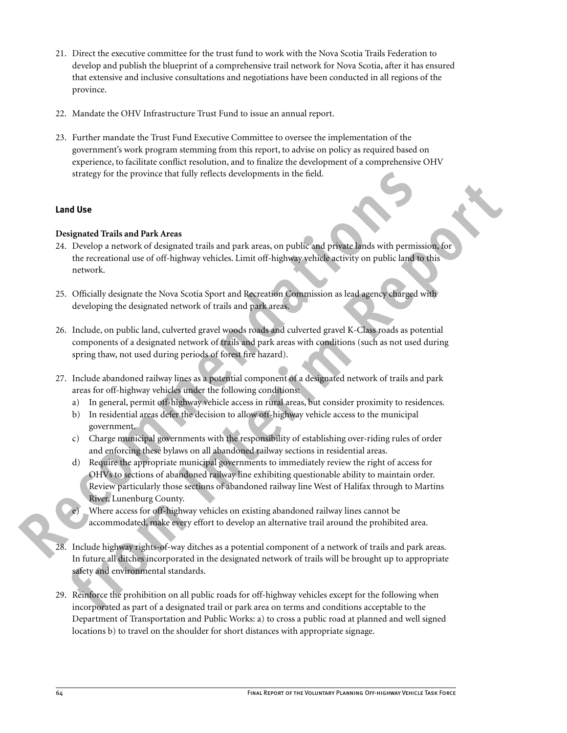- 21. Direct the executive committee for the trust fund to work with the Nova Scotia Trails Federation to develop and publish the blueprint of a comprehensive trail network for Nova Scotia, after it has ensured that extensive and inclusive consultations and negotiations have been conducted in all regions of the province.
- 22. Mandate the OHV Infrastructure Trust Fund to issue an annual report.
- 23. Further mandate the Trust Fund Executive Committee to oversee the implementation of the government's work program stemming from this report, to advise on policy as required based on experience, to facilitate conflict resolution, and to finalize the development of a comprehensive OHV strategy for the province that fully reflects developments in the field.

# **Land Use**

# **Designated Trails and Park Areas**

- 24. Develop a network of designated trails and park areas, on public and private lands with permission, for the recreational use of off-highway vehicles. Limit off-highway vehicle activity on public land to this network.
- 25. Officially designate the Nova Scotia Sport and Recreation Commission as lead agency charged with developing the designated network of trails and park areas.
- 26. Include, on public land, culverted gravel woods roads and culverted gravel K-Class roads as potential components of a designated network of trails and park areas with conditions (such as not used during spring thaw, not used during periods of forest fire hazard).
- 27. Include abandoned railway lines as a potential component of a designated network of trails and park areas for off-highway vehicles under the following conditions:
	- a) In general, permit off-highway vehicle access in rural areas, but consider proximity to residences.
	- b) In residential areas defer the decision to allow off-highway vehicle access to the municipal government.
	- c) Charge municipal governments with the responsibility of establishing over-riding rules of order and enforcing these bylaws on all abandoned railway sections in residential areas.
- strategy for the province that fully reflects developments in the field.<br> **Record Traits and Park Areas**<br>
24. Develop a network of designated traits and park areas, on public and private lands with permission<br>
25. Chically **follow**<br> **follow**<br> **followide the state of the state of the state and park areas, on public and protate lands with permission<br>
the recreational use of off-highway vehicles. Limit off-highway vehicles activity on public la** d) Require the appropriate municipal governments to immediately review the right of access for OHVs to sections of abandoned railway line exhibiting questionable ability to maintain order. Review particularly those sections of abandoned railway line West of Halifax through to Martins River, Lunenburg County.
	- e) Where access for off-highway vehicles on existing abandoned railway lines cannot be accommodated, make every effort to develop an alternative trail around the prohibited area.
	- 28. Include highway rights-of-way ditches as a potential component of a network of trails and park areas. In future all ditches incorporated in the designated network of trails will be brought up to appropriate safety and environmental standards.
	- 29. Reinforce the prohibition on all public roads for off-highway vehicles except for the following when incorporated as part of a designated trail or park area on terms and conditions acceptable to the Department of Transportation and Public Works: a) to cross a public road at planned and well signed locations b) to travel on the shoulder for short distances with appropriate signage.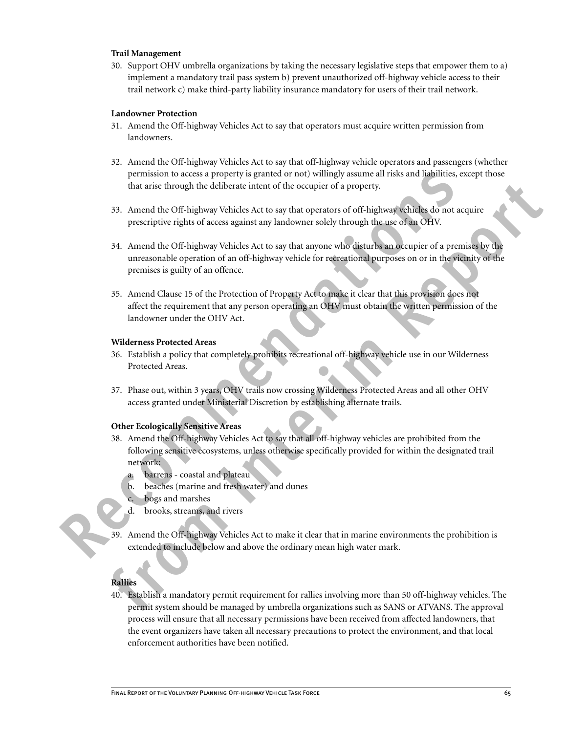#### **Trail Management**

30. Support OHV umbrella organizations by taking the necessary legislative steps that empower them to a) implement a mandatory trail pass system b) prevent unauthorized off-highway vehicle access to their trail network c) make third-party liability insurance mandatory for users of their trail network.

#### **Landowner Protection**

- 31. Amend the Off-highway Vehicles Act to say that operators must acquire written permission from landowners.
- 32. Amend the Off-highway Vehicles Act to say that off-highway vehicle operators and passengers (whether permission to access a property is granted or not) willingly assume all risks and liabilities, except those that arise through the deliberate intent of the occupier of a property.
- 33. Amend the Off-highway Vehicles Act to say that operators of off-highway vehicles do not acquire prescriptive rights of access against any landowner solely through the use of an OHV.
- that urise through the deliberate intent of the occupier of a property.<br>
33. Amend the OF-highway Vehicles Act to say that operators of of-highway vehicles do not acquire<br>
prescriptive rights of accosts against any handown 34. Amend the Off-highway Vehicles Act to say that anyone who disturbs an occupier of a premises by the unreasonable operation of an off-highway vehicle for recreational purposes on or in the vicinity of the premises is guilty of an offence.
- The mission to access a property is granted on rot) willingly assume all risks and liabilities, except<br>that arise through the deliberate intent of the occupier of a property.<br>
33. Amend the Off-highway Vehicles Act to say 35. Amend Clause 15 of the Protection of Property Act to make it clear that this provision does not affect the requirement that any person operating an OHV must obtain the written permission of the landowner under the OHV Act.

#### **Wilderness Protected Areas**

- 36. Establish a policy that completely prohibits recreational off-highway vehicle use in our Wilderness Protected Areas.
- 37. Phase out, within 3 years, OHV trails now crossing Wilderness Protected Areas and all other OHV access granted under Ministerial Discretion by establishing alternate trails.

# **Other Ecologically Sensitive Areas**

- 38. Amend the Off-highway Vehicles Act to say that all off-highway vehicles are prohibited from the following sensitive ecosystems, unless otherwise specifically provided for within the designated trail network:
	- a. barrens coastal and plateau
	- b. beaches (marine and fresh water) and dunes
	- c. bogs and marshes
	- d. brooks, streams, and rivers
- 39. Amend the Off-highway Vehicles Act to make it clear that in marine environments the prohibition is extended to include below and above the ordinary mean high water mark.

# **Rallies**

40. Establish a mandatory permit requirement for rallies involving more than 50 off-highway vehicles. The permit system should be managed by umbrella organizations such as SANS or ATVANS. The approval process will ensure that all necessary permissions have been received from affected landowners, that the event organizers have taken all necessary precautions to protect the environment, and that local enforcement authorities have been notified.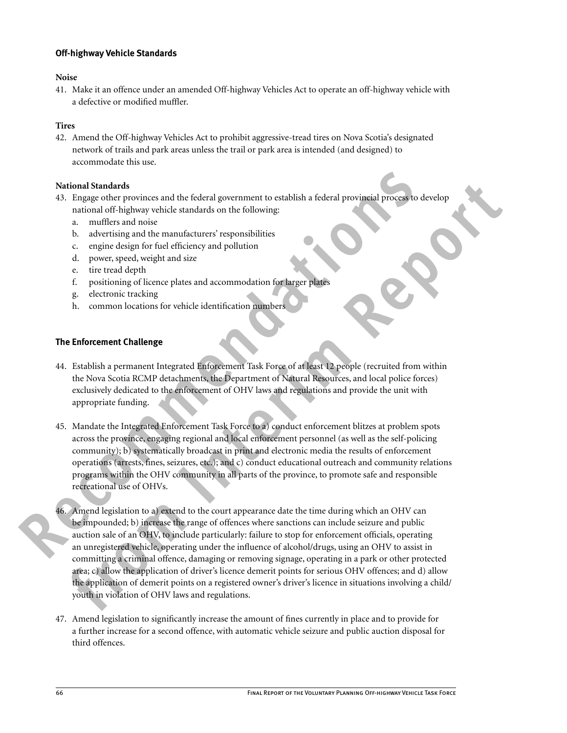# **Off-highway Vehicle Standards**

# **Noise**

41. Make it an offence under an amended Off-highway Vehicles Act to operate an off-highway vehicle with a defective or modified muffler.

# **Tires**

42. Amend the Off-highway Vehicles Act to prohibit aggressive-tread tires on Nova Scotia's designated network of trails and park areas unless the trail or park area is intended (and designed) to accommodate this use.

# **National Standards**

- 43. Engage other provinces and the federal government to establish a federal provincial process to develop national off-highway vehicle standards on the following:
	- a. mufflers and noise
	- b. advertising and the manufacturers' responsibilities
	- c. engine design for fuel efficiency and pollution
	- d. power, speed, weight and size
	- e. tire tread depth
	- f. positioning of licence plates and accommodation for larger plates
	- g. electronic tracking
	- h. common locations for vehicle identification numbers

# **The Enforcement Challenge**

- 44. Establish a permanent Integrated Enforcement Task Force of at least 12 people (recruited from within the Nova Scotia RCMP detachments, the Department of Natural Resources, and local police forces) exclusively dedicated to the enforcement of OHV laws and regulations and provide the unit with appropriate funding.
- **National Standards**<br>
4.3. Imagge other provinces and the federal government to establish a federal provincial process to de<br>
1. Intiflets and noise<br>
1. Intiflets and noise<br>
1. Intiflets and noise<br>
1. Intiflets and noise<br> 45. Mandate the Integrated Enforcement Task Force to a) conduct enforcement blitzes at problem spots across the province, engaging regional and local enforcement personnel (as well as the self-policing community); b) systematically broadcast in print and electronic media the results of enforcement operations (arrests, fines, seizures, etc.); and c) conduct educational outreach and community relations programs within the OHV community in all parts of the province, to promote safe and responsible recreational use of OHVs.
	- **tional Strainers** and the federal government to establish a federal provincial Process to develop<br> **From Exception and Fishionary which standards on the following:**<br> **A** advertising and the manufactures respectively<br> **A** 46. Amend legislation to a) extend to the court appearance date the time during which an OHV can be impounded; b) increase the range of offences where sanctions can include seizure and public auction sale of an OHV, to include particularly: failure to stop for enforcement officials, operating an unregistered vehicle, operating under the influence of alcohol/drugs, using an OHV to assist in committing a criminal offence, damaging or removing signage, operating in a park or other protected area; c) allow the application of driver's licence demerit points for serious OHV offences; and d) allow the application of demerit points on a registered owner's driver's licence in situations involving a child/ youth in violation of OHV laws and regulations.
	- 47. Amend legislation to significantly increase the amount of fines currently in place and to provide for a further increase for a second offence, with automatic vehicle seizure and public auction disposal for third offences.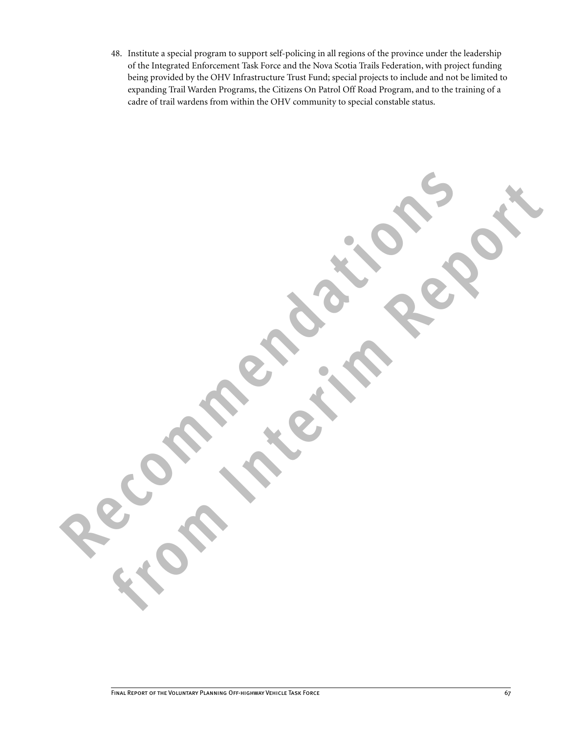48. Institute a special program to support self-policing in all regions of the province under the leadership of the Integrated Enforcement Task Force and the Nova Scotia Trails Federation, with project funding being provided by the OHV Infrastructure Trust Fund; special projects to include and not be limited to expanding Trail Warden Programs, the Citizens On Patrol Off Road Program, and to the training of a cadre of trail wardens from within the OHV community to special constable status.

Recommendations of

**from Interimental Strait**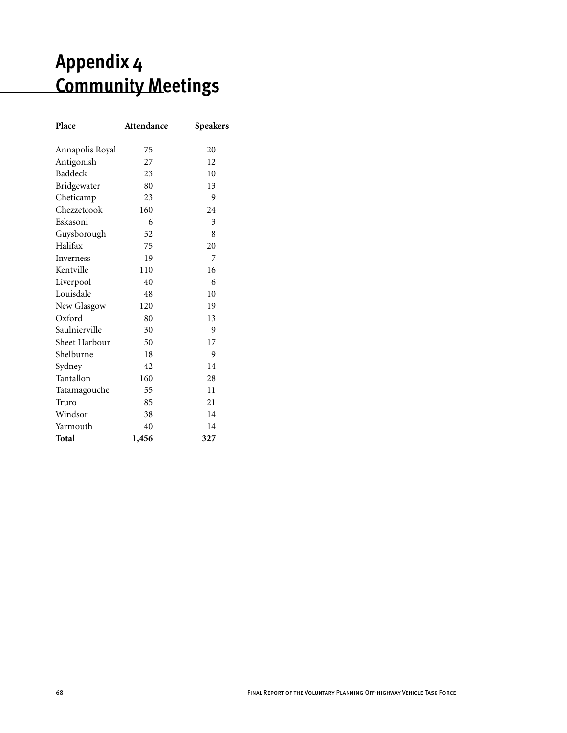# **Appendix 4 Community Meetings**

| Place           | Attendance | <b>Speakers</b> |
|-----------------|------------|-----------------|
| Annapolis Royal | 75         | 20              |
| Antigonish      | 27         | 12              |
| Baddeck         | 23         | 10              |
| Bridgewater     | 80         | 13              |
| Cheticamp       | 23         | 9               |
| Chezzetcook     | 160        | 24              |
| Eskasoni        | 6          | 3               |
| Guysborough     | 52         | 8               |
| Halifax         | 75         | 20              |
| Inverness       | 19         | 7               |
| Kentville       | 110        | 16              |
| Liverpool       | 40         | 6               |
| Louisdale       | 48         | 10              |
| New Glasgow     | 120        | 19              |
| Oxford          | 80         | 13              |
| Saulnierville   | 30         | 9               |
| Sheet Harbour   | 50         | 17              |
| Shelburne       | 18         | 9               |
| Sydney          | 42         | 14              |
| Tantallon       | 160        | 28              |
| Tatamagouche    | 55         | 11              |
| Truro           | 85         | 21              |
| Windsor         | 38         | 14              |
| Yarmouth        | 40         | 14              |
| Total           | 1,456      | 327             |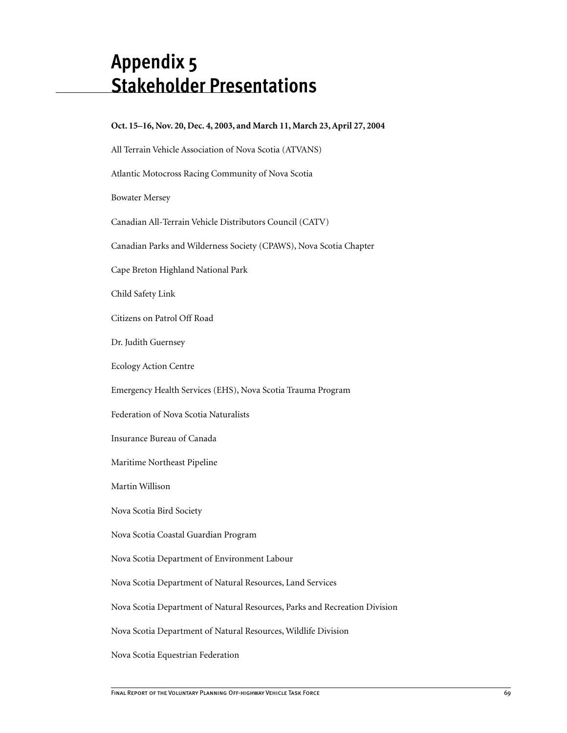## **Appendix 5 Stakeholder Presentations**

| Oct. 15-16, Nov. 20, Dec. 4, 2003, and March 11, March 23, April 27, 2004  |
|----------------------------------------------------------------------------|
| All Terrain Vehicle Association of Nova Scotia (ATVANS)                    |
| Atlantic Motocross Racing Community of Nova Scotia                         |
| <b>Bowater Mersey</b>                                                      |
| Canadian All-Terrain Vehicle Distributors Council (CATV)                   |
| Canadian Parks and Wilderness Society (CPAWS), Nova Scotia Chapter         |
| Cape Breton Highland National Park                                         |
| Child Safety Link                                                          |
| Citizens on Patrol Off Road                                                |
| Dr. Judith Guernsey                                                        |
| <b>Ecology Action Centre</b>                                               |
| Emergency Health Services (EHS), Nova Scotia Trauma Program                |
| Federation of Nova Scotia Naturalists                                      |
| Insurance Bureau of Canada                                                 |
| Maritime Northeast Pipeline                                                |
| Martin Willison                                                            |
| Nova Scotia Bird Society                                                   |
| Nova Scotia Coastal Guardian Program                                       |
| Nova Scotia Department of Environment Labour                               |
| Nova Scotia Department of Natural Resources, Land Services                 |
| Nova Scotia Department of Natural Resources, Parks and Recreation Division |
| Nova Scotia Department of Natural Resources, Wildlife Division             |
|                                                                            |

Nova Scotia Equestrian Federation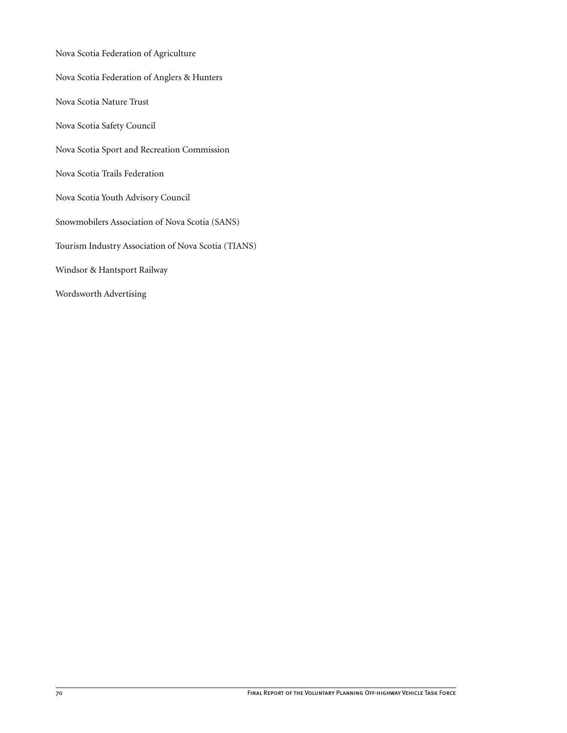Nova Scotia Federation of Agriculture Nova Scotia Federation of Anglers & Hunters Nova Scotia Nature Trust Nova Scotia Safety Council Nova Scotia Sport and Recreation Commission Nova Scotia Trails Federation Nova Scotia Youth Advisory Council Snowmobilers Association of Nova Scotia (SANS) Tourism Industry Association of Nova Scotia (TIANS) Windsor & Hantsport Railway Wordsworth Advertising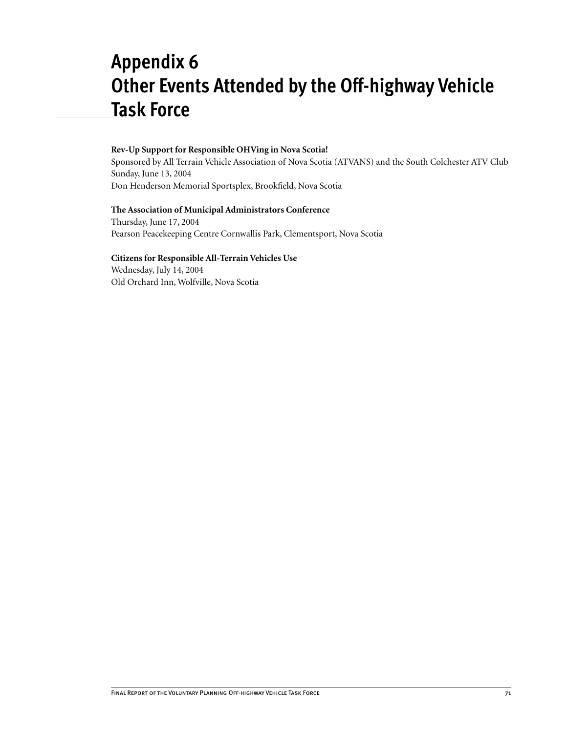## **Appendix 6 Other Events Attended by the Off-highway Vehicle Task Force**

### **Rev-Up Support for Responsible OHVing in Nova Scotia!**

Sponsored by All Terrain Vehicle Association of Nova Scotia (ATVANS) and the South Colchester ATV Club Sunday, June 13, 2004 Don Henderson Memorial Sportsplex, Brookfield, Nova Scotia

### **The Association of Municipal Administrators Conference**

Thursday, June 17, 2004 Pearson Peacekeeping Centre Cornwallis Park, Clementsport, Nova Scotia

### **Citizens for Responsible All-Terrain Vehicles Use**

Wednesday, July 14, 2004 Old Orchard Inn, Wolfville, Nova Scotia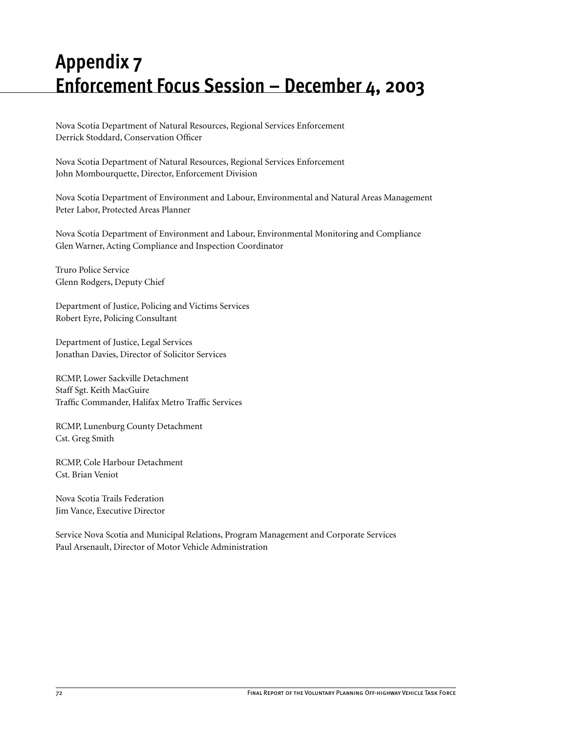# **Appendix 7 Enforcement Focus Session – December 4, 2003**

Nova Scotia Department of Natural Resources, Regional Services Enforcement Derrick Stoddard, Conservation Officer

Nova Scotia Department of Natural Resources, Regional Services Enforcement John Mombourquette, Director, Enforcement Division

Nova Scotia Department of Environment and Labour, Environmental and Natural Areas Management Peter Labor, Protected Areas Planner

Nova Scotia Department of Environment and Labour, Environmental Monitoring and Compliance Glen Warner, Acting Compliance and Inspection Coordinator

Truro Police Service Glenn Rodgers, Deputy Chief

Department of Justice, Policing and Victims Services Robert Eyre, Policing Consultant

Department of Justice, Legal Services Jonathan Davies, Director of Solicitor Services

RCMP, Lower Sackville Detachment Staff Sgt. Keith MacGuire Traffic Commander, Halifax Metro Traffic Services

RCMP, Lunenburg County Detachment Cst. Greg Smith

RCMP, Cole Harbour Detachment Cst. Brian Veniot

Nova Scotia Trails Federation Jim Vance, Executive Director

Service Nova Scotia and Municipal Relations, Program Management and Corporate Services Paul Arsenault, Director of Motor Vehicle Administration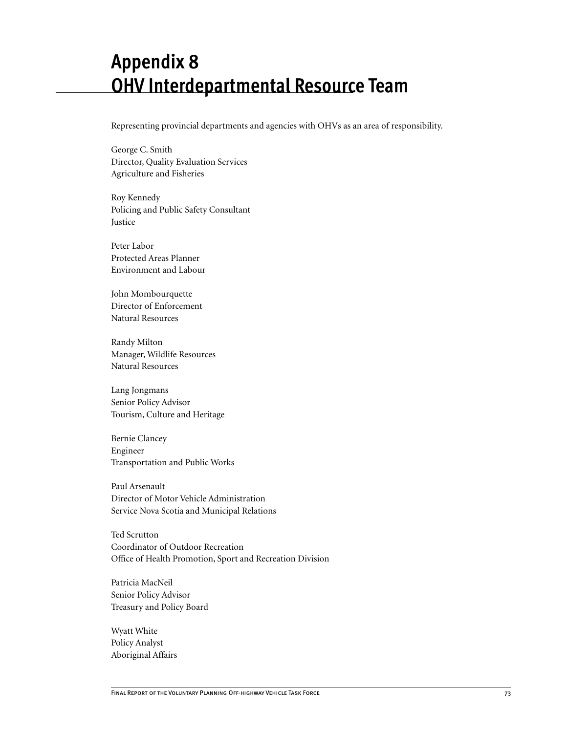## **Appendix 8 OHV Interdepartmental Resource Team**

Representing provincial departments and agencies with OHVs as an area of responsibility.

George C. Smith Director, Quality Evaluation Services Agriculture and Fisheries

Roy Kennedy Policing and Public Safety Consultant Justice

Peter Labor Protected Areas Planner Environment and Labour

John Mombourquette Director of Enforcement Natural Resources

Randy Milton Manager, Wildlife Resources Natural Resources

Lang Jongmans Senior Policy Advisor Tourism, Culture and Heritage

Bernie Clancey Engineer Transportation and Public Works

Paul Arsenault Director of Motor Vehicle Administration Service Nova Scotia and Municipal Relations

Ted Scrutton Coordinator of Outdoor Recreation Office of Health Promotion, Sport and Recreation Division

Patricia MacNeil Senior Policy Advisor Treasury and Policy Board

Wyatt White Policy Analyst Aboriginal Affairs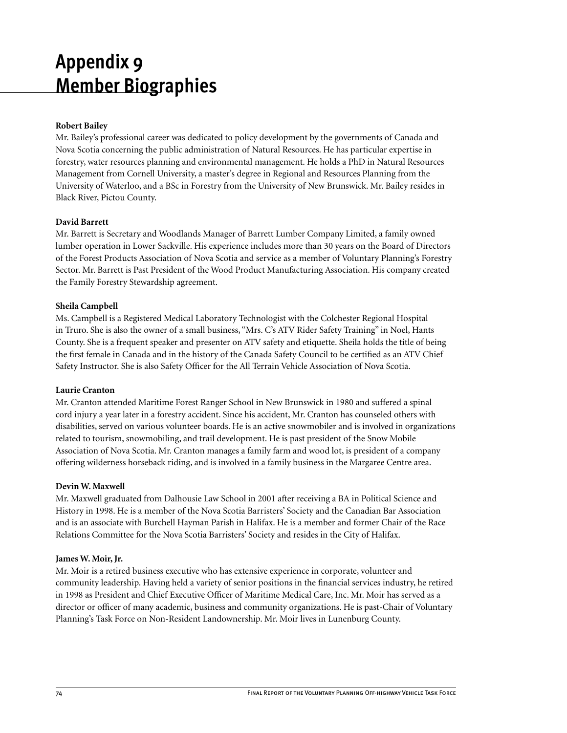# **Appendix 9 Member Biographies**

## **Robert Bailey**

Mr. Bailey's professional career was dedicated to policy development by the governments of Canada and Nova Scotia concerning the public administration of Natural Resources. He has particular expertise in forestry, water resources planning and environmental management. He holds a PhD in Natural Resources Management from Cornell University, a master's degree in Regional and Resources Planning from the University of Waterloo, and a BSc in Forestry from the University of New Brunswick. Mr. Bailey resides in Black River, Pictou County.

## **David Barrett**

Mr. Barrett is Secretary and Woodlands Manager of Barrett Lumber Company Limited, a family owned lumber operation in Lower Sackville. His experience includes more than 30 years on the Board of Directors of the Forest Products Association of Nova Scotia and service as a member of Voluntary Planning's Forestry Sector. Mr. Barrett is Past President of the Wood Product Manufacturing Association. His company created the Family Forestry Stewardship agreement.

### **Sheila Campbell**

Ms. Campbell is a Registered Medical Laboratory Technologist with the Colchester Regional Hospital in Truro. She is also the owner of a small business, "Mrs. C's ATV Rider Safety Training" in Noel, Hants County. She is a frequent speaker and presenter on ATV safety and etiquette. Sheila holds the title of being the first female in Canada and in the history of the Canada Safety Council to be certified as an ATV Chief Safety Instructor. She is also Safety Officer for the All Terrain Vehicle Association of Nova Scotia.

## **Laurie Cranton**

Mr. Cranton attended Maritime Forest Ranger School in New Brunswick in 1980 and suffered a spinal cord injury a year later in a forestry accident. Since his accident, Mr. Cranton has counseled others with disabilities, served on various volunteer boards. He is an active snowmobiler and is involved in organizations related to tourism, snowmobiling, and trail development. He is past president of the Snow Mobile Association of Nova Scotia. Mr. Cranton manages a family farm and wood lot, is president of a company offering wilderness horseback riding, and is involved in a family business in the Margaree Centre area.

## **Devin W. Maxwell**

Mr. Maxwell graduated from Dalhousie Law School in 2001 after receiving a BA in Political Science and History in 1998. He is a member of the Nova Scotia Barristers' Society and the Canadian Bar Association and is an associate with Burchell Hayman Parish in Halifax. He is a member and former Chair of the Race Relations Committee for the Nova Scotia Barristers' Society and resides in the City of Halifax.

### **James W. Moir, Jr.**

Mr. Moir is a retired business executive who has extensive experience in corporate, volunteer and community leadership. Having held a variety of senior positions in the financial services industry, he retired in 1998 as President and Chief Executive Officer of Maritime Medical Care, Inc. Mr. Moir has served as a director or officer of many academic, business and community organizations. He is past-Chair of Voluntary Planning's Task Force on Non-Resident Landownership. Mr. Moir lives in Lunenburg County.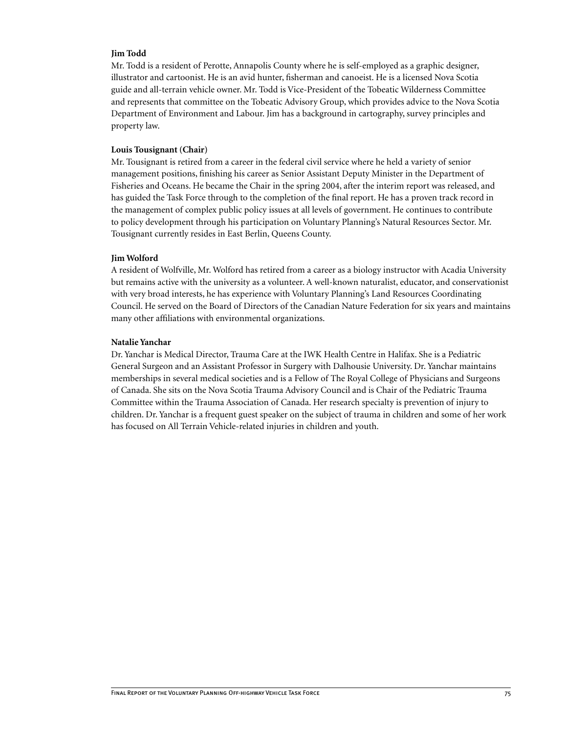### **Jim Todd**

Mr. Todd is a resident of Perotte, Annapolis County where he is self-employed as a graphic designer, illustrator and cartoonist. He is an avid hunter, fisherman and canoeist. He is a licensed Nova Scotia guide and all-terrain vehicle owner. Mr. Todd is Vice-President of the Tobeatic Wilderness Committee and represents that committee on the Tobeatic Advisory Group, which provides advice to the Nova Scotia Department of Environment and Labour. Jim has a background in cartography, survey principles and property law.

#### **Louis Tousignant (Chair)**

Mr. Tousignant is retired from a career in the federal civil service where he held a variety of senior management positions, finishing his career as Senior Assistant Deputy Minister in the Department of Fisheries and Oceans. He became the Chair in the spring 2004, after the interim report was released, and has guided the Task Force through to the completion of the final report. He has a proven track record in the management of complex public policy issues at all levels of government. He continues to contribute to policy development through his participation on Voluntary Planning's Natural Resources Sector. Mr. Tousignant currently resides in East Berlin, Queens County.

#### **Jim Wolford**

A resident of Wolfville, Mr. Wolford has retired from a career as a biology instructor with Acadia University but remains active with the university as a volunteer. A well-known naturalist, educator, and conservationist with very broad interests, he has experience with Voluntary Planning's Land Resources Coordinating Council. He served on the Board of Directors of the Canadian Nature Federation for six years and maintains many other affiliations with environmental organizations.

#### **Natalie Yanchar**

Dr. Yanchar is Medical Director, Trauma Care at the IWK Health Centre in Halifax. She is a Pediatric General Surgeon and an Assistant Professor in Surgery with Dalhousie University. Dr. Yanchar maintains memberships in several medical societies and is a Fellow of The Royal College of Physicians and Surgeons of Canada. She sits on the Nova Scotia Trauma Advisory Council and is Chair of the Pediatric Trauma Committee within the Trauma Association of Canada. Her research specialty is prevention of injury to children. Dr. Yanchar is a frequent guest speaker on the subject of trauma in children and some of her work has focused on All Terrain Vehicle-related injuries in children and youth.